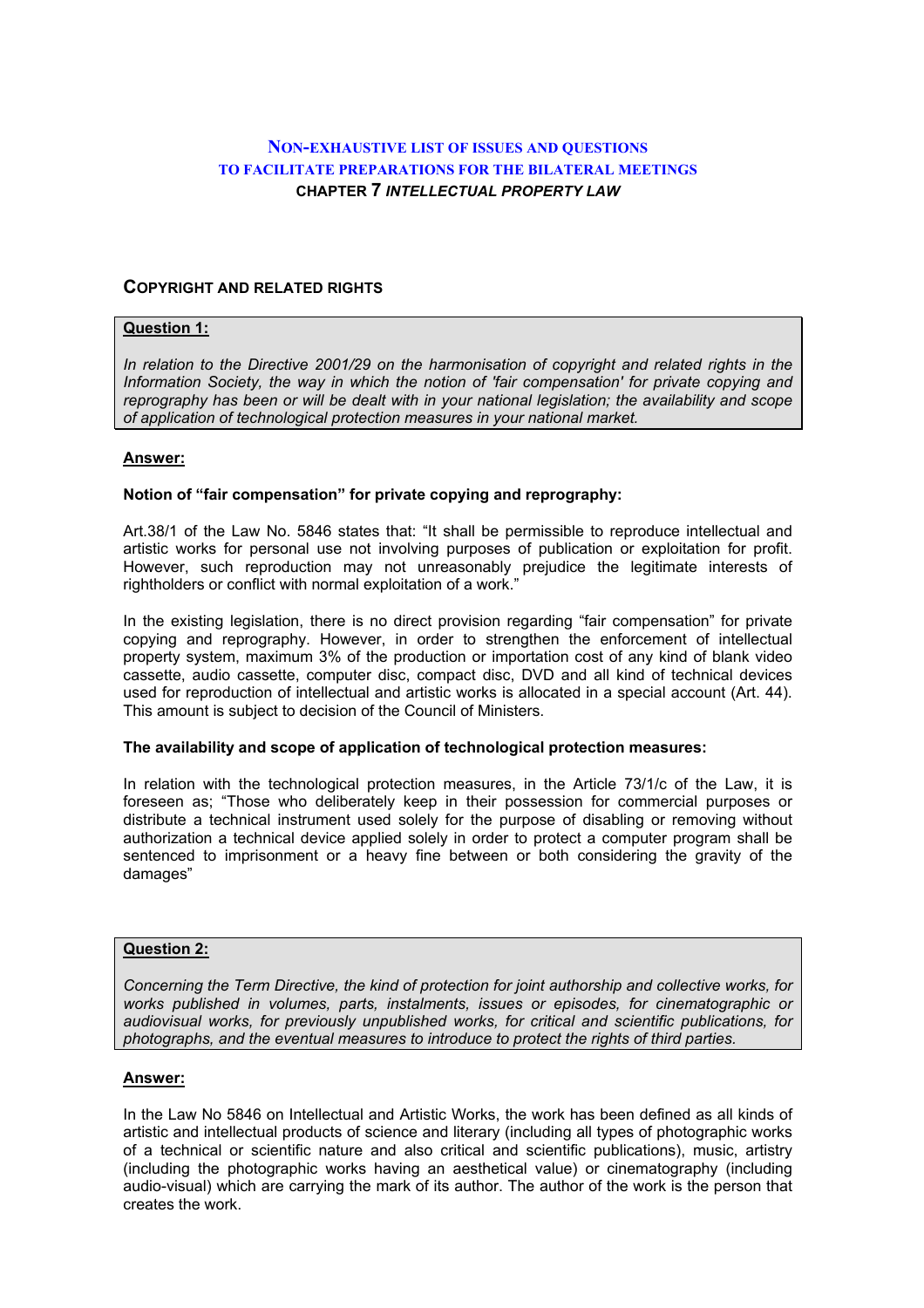# **NON-EXHAUSTIVE LIST OF ISSUES AND QUESTIONS TO FACILITATE PREPARATIONS FOR THE BILATERAL MEETINGS CHAPTER 7** *INTELLECTUAL PROPERTY LAW*

## **COPYRIGHT AND RELATED RIGHTS**

## **Question 1:**

*In relation to the Directive 2001/29 on the harmonisation of copyright and related rights in the Information Society, the way in which the notion of 'fair compensation' for private copying and reprography has been or will be dealt with in your national legislation; the availability and scope of application of technological protection measures in your national market.* 

### **Answer:**

### **Notion of "fair compensation" for private copying and reprography:**

Art.38/1 of the Law No. 5846 states that: "It shall be permissible to reproduce intellectual and artistic works for personal use not involving purposes of publication or exploitation for profit. However, such reproduction may not unreasonably prejudice the legitimate interests of rightholders or conflict with normal exploitation of a work."

In the existing legislation, there is no direct provision regarding "fair compensation" for private copying and reprography. However, in order to strengthen the enforcement of intellectual property system, maximum 3% of the production or importation cost of any kind of blank video cassette, audio cassette, computer disc, compact disc, DVD and all kind of technical devices used for reproduction of intellectual and artistic works is allocated in a special account (Art. 44). This amount is subject to decision of the Council of Ministers.

### **The availability and scope of application of technological protection measures:**

In relation with the technological protection measures, in the Article 73/1/c of the Law, it is foreseen as; "Those who deliberately keep in their possession for commercial purposes or distribute a technical instrument used solely for the purpose of disabling or removing without authorization a technical device applied solely in order to protect a computer program shall be sentenced to imprisonment or a heavy fine between or both considering the gravity of the damages"

## **Question 2:**

*Concerning the Term Directive, the kind of protection for joint authorship and collective works, for works published in volumes, parts, instalments, issues or episodes, for cinematographic or audiovisual works, for previously unpublished works, for critical and scientific publications, for photographs, and the eventual measures to introduce to protect the rights of third parties.* 

### **Answer:**

In the Law No 5846 on Intellectual and Artistic Works, the work has been defined as all kinds of artistic and intellectual products of science and literary (including all types of photographic works of a technical or scientific nature and also critical and scientific publications), music, artistry (including the photographic works having an aesthetical value) or cinematography (including audio-visual) which are carrying the mark of its author. The author of the work is the person that creates the work.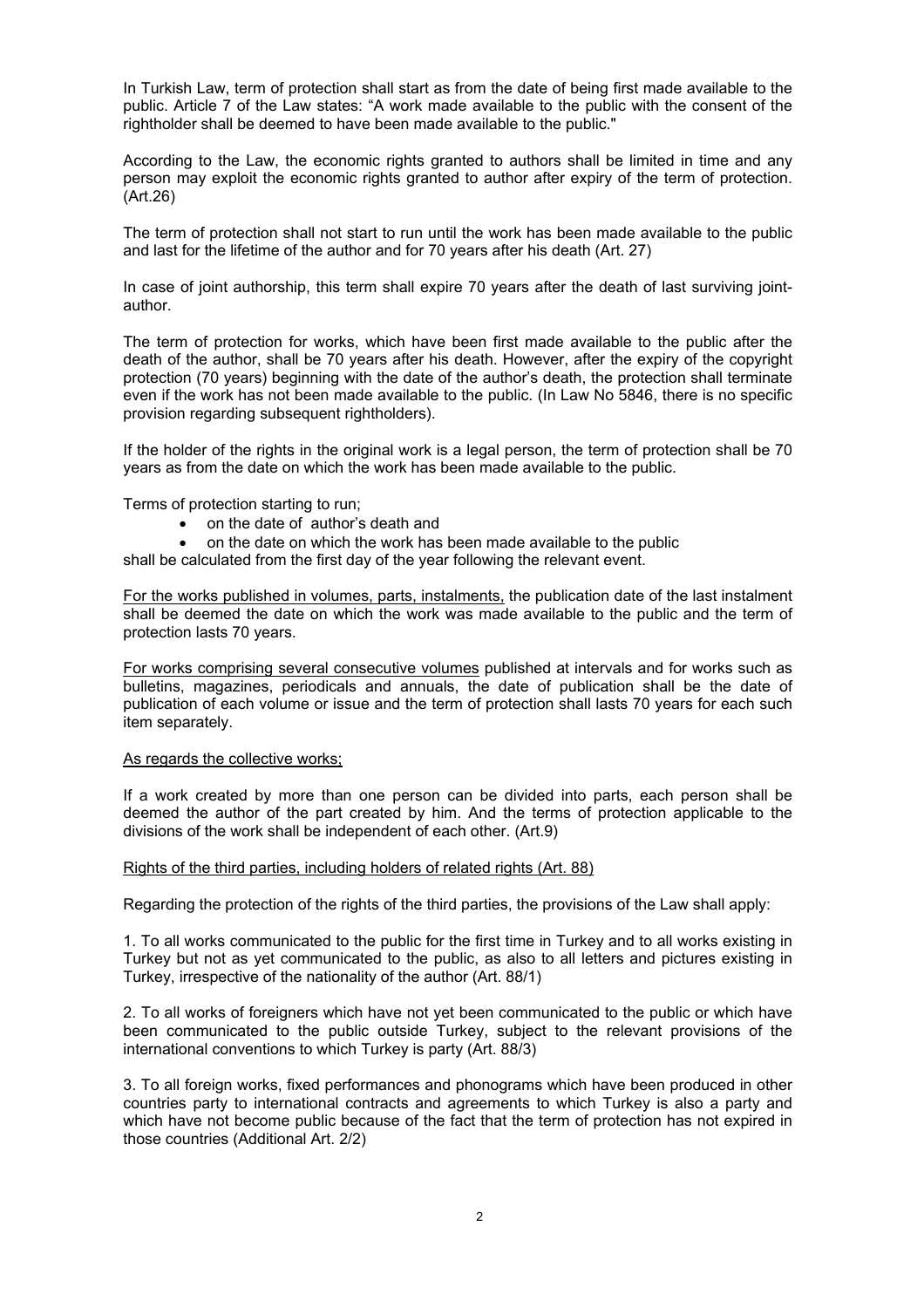In Turkish Law, term of protection shall start as from the date of being first made available to the public. Article 7 of the Law states: "A work made available to the public with the consent of the rightholder shall be deemed to have been made available to the public."

According to the Law, the economic rights granted to authors shall be limited in time and any person may exploit the economic rights granted to author after expiry of the term of protection. (Art.26)

The term of protection shall not start to run until the work has been made available to the public and last for the lifetime of the author and for 70 years after his death (Art. 27)

In case of joint authorship, this term shall expire 70 years after the death of last surviving jointauthor.

The term of protection for works, which have been first made available to the public after the death of the author, shall be 70 years after his death. However, after the expiry of the copyright protection (70 years) beginning with the date of the author's death, the protection shall terminate even if the work has not been made available to the public. (In Law No 5846, there is no specific provision regarding subsequent rightholders).

If the holder of the rights in the original work is a legal person, the term of protection shall be 70 years as from the date on which the work has been made available to the public.

Terms of protection starting to run;

- on the date of author's death and
- on the date on which the work has been made available to the public

shall be calculated from the first day of the year following the relevant event.

For the works published in volumes, parts, instalments, the publication date of the last instalment shall be deemed the date on which the work was made available to the public and the term of protection lasts 70 years.

For works comprising several consecutive volumes published at intervals and for works such as bulletins, magazines, periodicals and annuals, the date of publication shall be the date of publication of each volume or issue and the term of protection shall lasts 70 years for each such item separately.

### As regards the collective works;

If a work created by more than one person can be divided into parts, each person shall be deemed the author of the part created by him. And the terms of protection applicable to the divisions of the work shall be independent of each other. (Art.9)

#### Rights of the third parties, including holders of related rights (Art. 88)

Regarding the protection of the rights of the third parties, the provisions of the Law shall apply:

1. To all works communicated to the public for the first time in Turkey and to all works existing in Turkey but not as yet communicated to the public, as also to all letters and pictures existing in Turkey, irrespective of the nationality of the author (Art. 88/1)

2. To all works of foreigners which have not yet been communicated to the public or which have been communicated to the public outside Turkey, subject to the relevant provisions of the international conventions to which Turkey is party (Art. 88/3)

3. To all foreign works, fixed performances and phonograms which have been produced in other countries party to international contracts and agreements to which Turkey is also a party and which have not become public because of the fact that the term of protection has not expired in those countries (Additional Art. 2/2)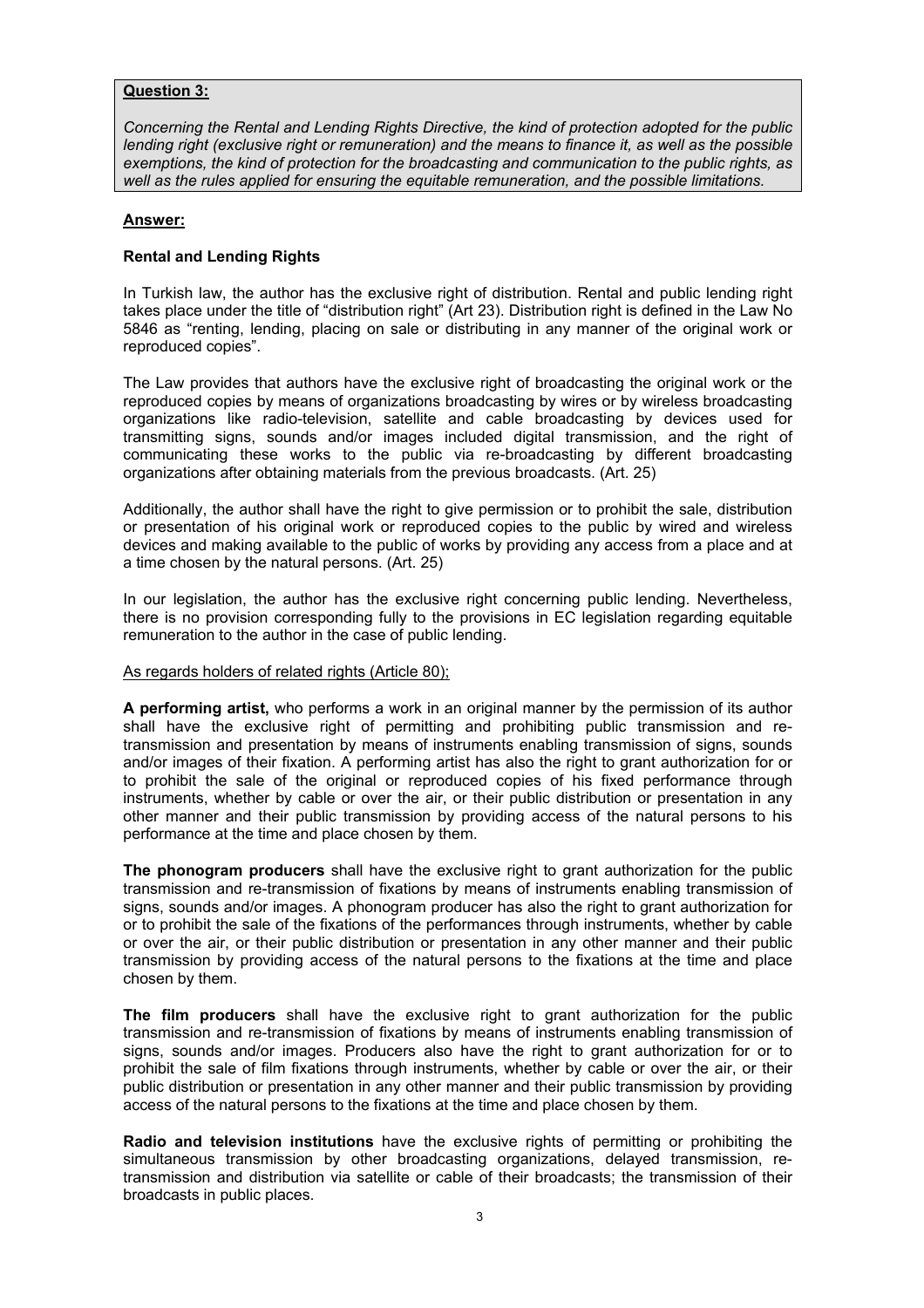## **Question 3:**

*Concerning the Rental and Lending Rights Directive, the kind of protection adopted for the public lending right (exclusive right or remuneration) and the means to finance it, as well as the possible exemptions, the kind of protection for the broadcasting and communication to the public rights, as well as the rules applied for ensuring the equitable remuneration, and the possible limitations.* 

## **Answer:**

## **Rental and Lending Rights**

In Turkish law, the author has the exclusive right of distribution. Rental and public lending right takes place under the title of "distribution right" (Art 23). Distribution right is defined in the Law No 5846 as "renting, lending, placing on sale or distributing in any manner of the original work or reproduced copies".

The Law provides that authors have the exclusive right of broadcasting the original work or the reproduced copies by means of organizations broadcasting by wires or by wireless broadcasting organizations like radio-television, satellite and cable broadcasting by devices used for transmitting signs, sounds and/or images included digital transmission, and the right of communicating these works to the public via re-broadcasting by different broadcasting organizations after obtaining materials from the previous broadcasts. (Art. 25)

Additionally, the author shall have the right to give permission or to prohibit the sale, distribution or presentation of his original work or reproduced copies to the public by wired and wireless devices and making available to the public of works by providing any access from a place and at a time chosen by the natural persons. (Art. 25)

In our legislation, the author has the exclusive right concerning public lending. Nevertheless, there is no provision corresponding fully to the provisions in EC legislation regarding equitable remuneration to the author in the case of public lending.

## As regards holders of related rights (Article 80);

**A performing artist,** who performs a work in an original manner by the permission of its author shall have the exclusive right of permitting and prohibiting public transmission and retransmission and presentation by means of instruments enabling transmission of signs, sounds and/or images of their fixation. A performing artist has also the right to grant authorization for or to prohibit the sale of the original or reproduced copies of his fixed performance through instruments, whether by cable or over the air, or their public distribution or presentation in any other manner and their public transmission by providing access of the natural persons to his performance at the time and place chosen by them.

**The phonogram producers** shall have the exclusive right to grant authorization for the public transmission and re-transmission of fixations by means of instruments enabling transmission of signs, sounds and/or images. A phonogram producer has also the right to grant authorization for or to prohibit the sale of the fixations of the performances through instruments, whether by cable or over the air, or their public distribution or presentation in any other manner and their public transmission by providing access of the natural persons to the fixations at the time and place chosen by them.

**The film producers** shall have the exclusive right to grant authorization for the public transmission and re-transmission of fixations by means of instruments enabling transmission of signs, sounds and/or images. Producers also have the right to grant authorization for or to prohibit the sale of film fixations through instruments, whether by cable or over the air, or their public distribution or presentation in any other manner and their public transmission by providing access of the natural persons to the fixations at the time and place chosen by them.

**Radio and television institutions** have the exclusive rights of permitting or prohibiting the simultaneous transmission by other broadcasting organizations, delayed transmission, retransmission and distribution via satellite or cable of their broadcasts; the transmission of their broadcasts in public places.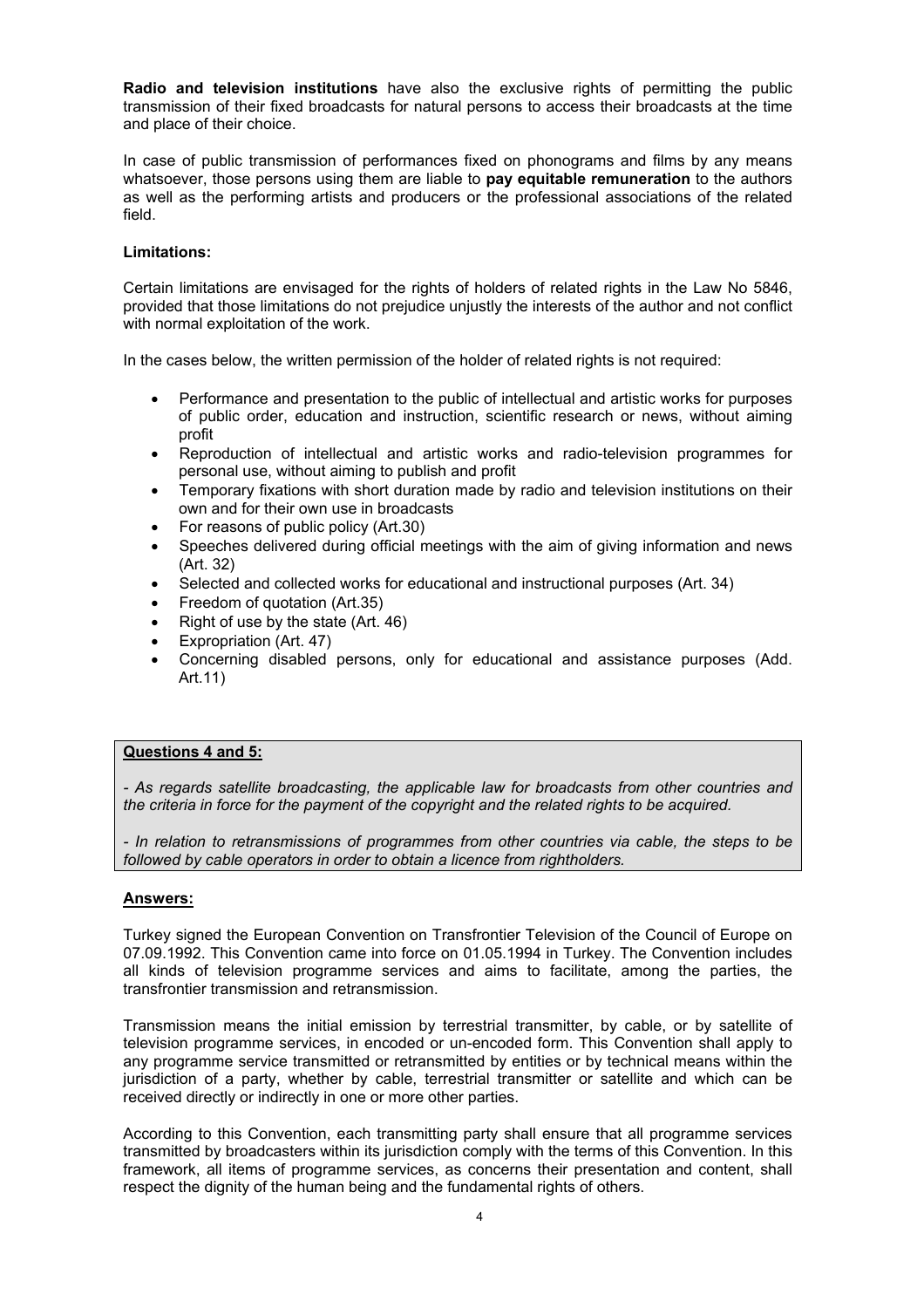**Radio and television institutions** have also the exclusive rights of permitting the public transmission of their fixed broadcasts for natural persons to access their broadcasts at the time and place of their choice.

In case of public transmission of performances fixed on phonograms and films by any means whatsoever, those persons using them are liable to **pay equitable remuneration** to the authors as well as the performing artists and producers or the professional associations of the related field.

## **Limitations:**

Certain limitations are envisaged for the rights of holders of related rights in the Law No 5846, provided that those limitations do not prejudice unjustly the interests of the author and not conflict with normal exploitation of the work.

In the cases below, the written permission of the holder of related rights is not required:

- Performance and presentation to the public of intellectual and artistic works for purposes of public order, education and instruction, scientific research or news, without aiming profit
- Reproduction of intellectual and artistic works and radio-television programmes for personal use, without aiming to publish and profit
- Temporary fixations with short duration made by radio and television institutions on their own and for their own use in broadcasts
- For reasons of public policy (Art.30)
- Speeches delivered during official meetings with the aim of giving information and news (Art. 32)
- Selected and collected works for educational and instructional purposes (Art. 34)
- Freedom of quotation (Art.35)
- Right of use by the state (Art. 46)
- Expropriation (Art. 47)
- Concerning disabled persons, only for educational and assistance purposes (Add. Art.11)

### **Questions 4 and 5:**

*- As regards satellite broadcasting, the applicable law for broadcasts from other countries and the criteria in force for the payment of the copyright and the related rights to be acquired.* 

*- In relation to retransmissions of programmes from other countries via cable, the steps to be followed by cable operators in order to obtain a licence from rightholders.* 

## **Answers:**

Turkey signed the European Convention on Transfrontier Television of the Council of Europe on 07.09.1992. This Convention came into force on 01.05.1994 in Turkey. The Convention includes all kinds of television programme services and aims to facilitate, among the parties, the transfrontier transmission and retransmission.

Transmission means the initial emission by terrestrial transmitter, by cable, or by satellite of television programme services, in encoded or un-encoded form. This Convention shall apply to any programme service transmitted or retransmitted by entities or by technical means within the jurisdiction of a party, whether by cable, terrestrial transmitter or satellite and which can be received directly or indirectly in one or more other parties.

According to this Convention, each transmitting party shall ensure that all programme services transmitted by broadcasters within its jurisdiction comply with the terms of this Convention. In this framework, all items of programme services, as concerns their presentation and content, shall respect the dignity of the human being and the fundamental rights of others.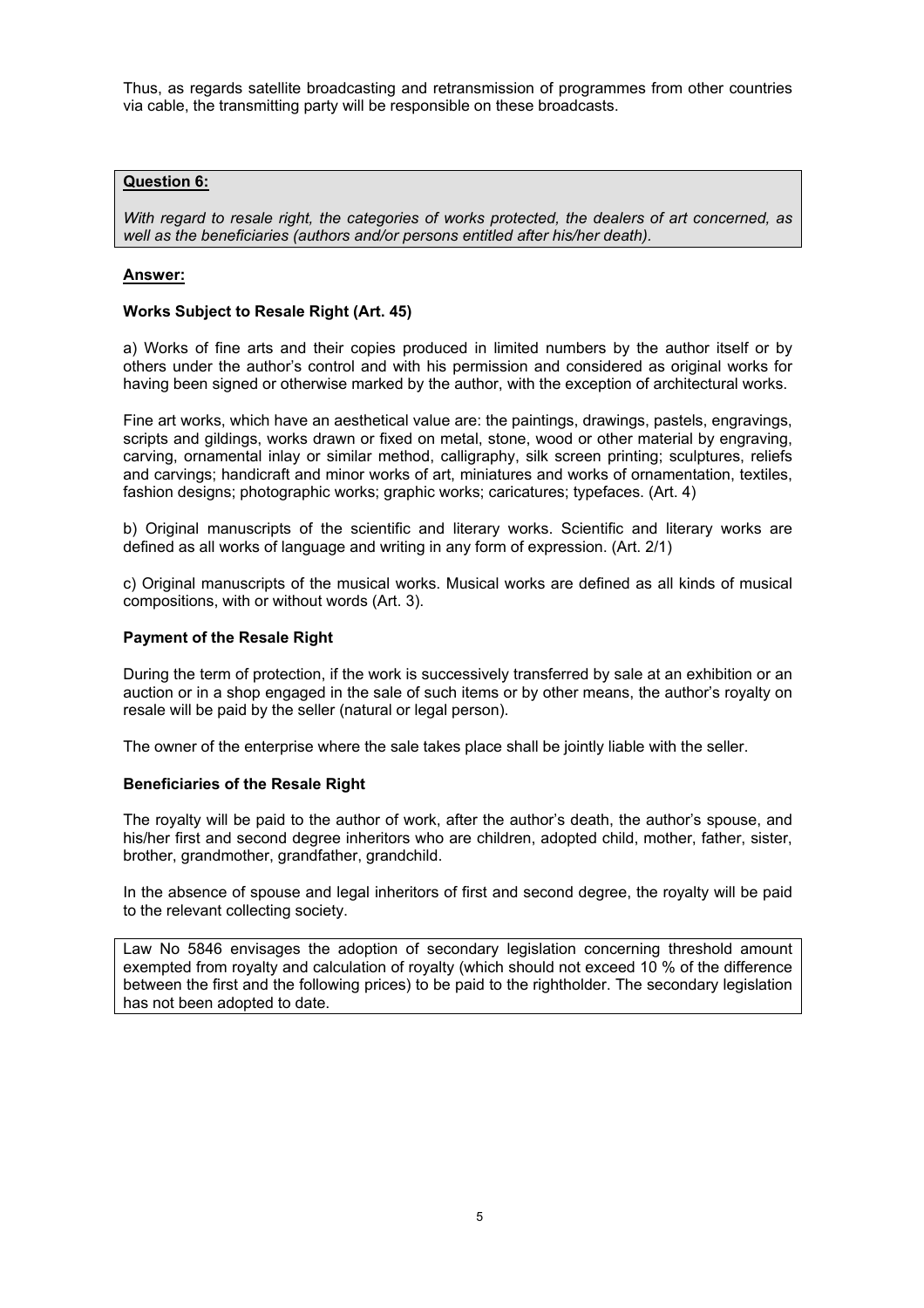Thus, as regards satellite broadcasting and retransmission of programmes from other countries via cable, the transmitting party will be responsible on these broadcasts.

## **Question 6:**

*With regard to resale right, the categories of works protected, the dealers of art concerned, as well as the beneficiaries (authors and/or persons entitled after his/her death).* 

## **Answer:**

### **Works Subject to Resale Right (Art. 45)**

a) Works of fine arts and their copies produced in limited numbers by the author itself or by others under the author's control and with his permission and considered as original works for having been signed or otherwise marked by the author, with the exception of architectural works.

Fine art works, which have an aesthetical value are: the paintings, drawings, pastels, engravings, scripts and gildings, works drawn or fixed on metal, stone, wood or other material by engraving, carving, ornamental inlay or similar method, calligraphy, silk screen printing; sculptures, reliefs and carvings; handicraft and minor works of art, miniatures and works of ornamentation, textiles, fashion designs; photographic works; graphic works; caricatures; typefaces. (Art. 4)

b) Original manuscripts of the scientific and literary works. Scientific and literary works are defined as all works of language and writing in any form of expression. (Art. 2/1)

c) Original manuscripts of the musical works. Musical works are defined as all kinds of musical compositions, with or without words (Art. 3).

### **Payment of the Resale Right**

During the term of protection, if the work is successively transferred by sale at an exhibition or an auction or in a shop engaged in the sale of such items or by other means, the author's royalty on resale will be paid by the seller (natural or legal person).

The owner of the enterprise where the sale takes place shall be jointly liable with the seller.

### **Beneficiaries of the Resale Right**

The royalty will be paid to the author of work, after the author's death, the author's spouse, and his/her first and second degree inheritors who are children, adopted child, mother, father, sister, brother, grandmother, grandfather, grandchild.

In the absence of spouse and legal inheritors of first and second degree, the royalty will be paid to the relevant collecting society.

Law No 5846 envisages the adoption of secondary legislation concerning threshold amount exempted from royalty and calculation of royalty (which should not exceed 10 % of the difference between the first and the following prices) to be paid to the rightholder. The secondary legislation has not been adopted to date.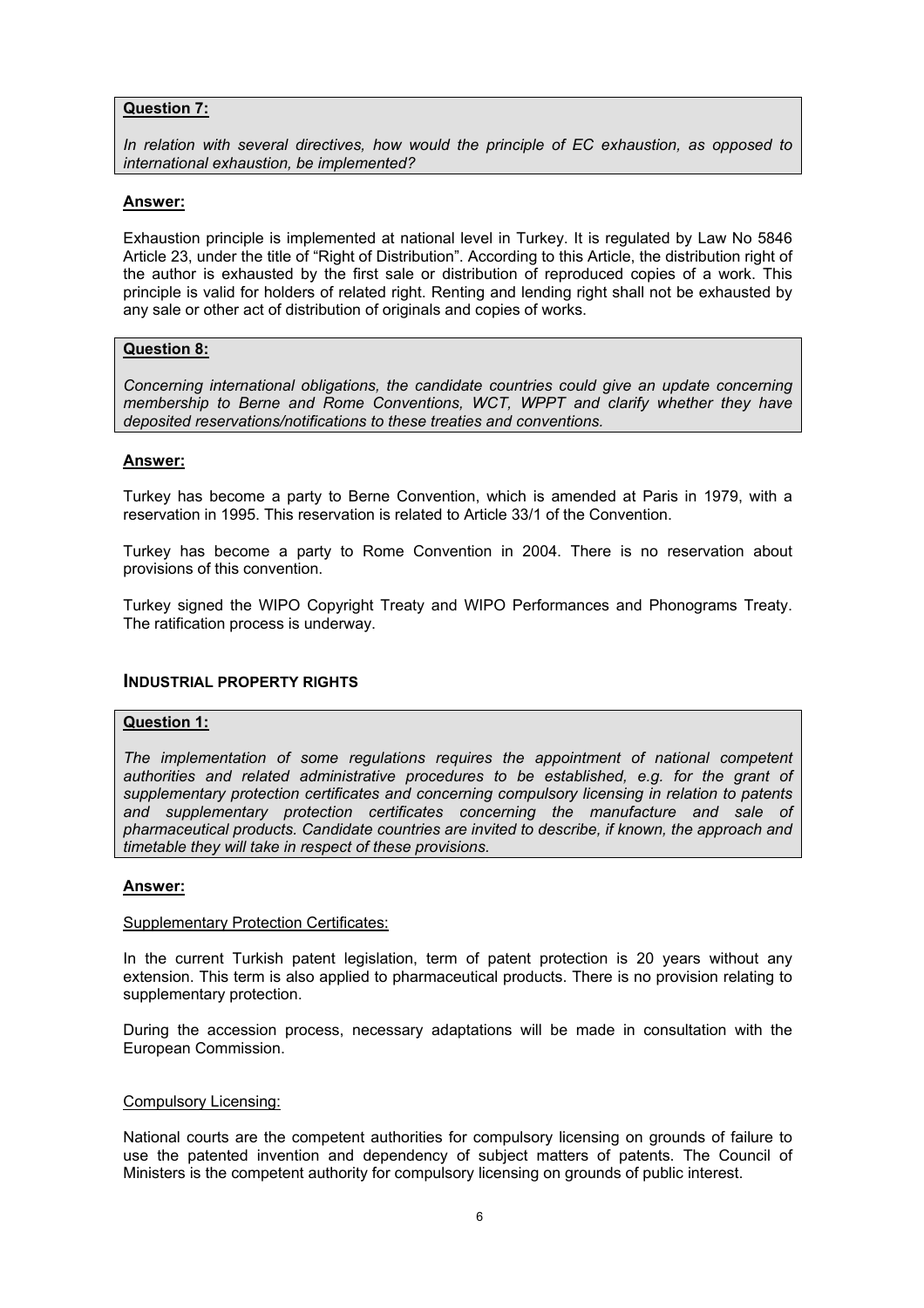## **Question 7:**

*In relation with several directives, how would the principle of EC exhaustion, as opposed to international exhaustion, be implemented?* 

## **Answer:**

Exhaustion principle is implemented at national level in Turkey. It is regulated by Law No 5846 Article 23, under the title of "Right of Distribution". According to this Article, the distribution right of the author is exhausted by the first sale or distribution of reproduced copies of a work. This principle is valid for holders of related right. Renting and lending right shall not be exhausted by any sale or other act of distribution of originals and copies of works.

## **Question 8:**

*Concerning international obligations, the candidate countries could give an update concerning membership to Berne and Rome Conventions, WCT, WPPT and clarify whether they have deposited reservations/notifications to these treaties and conventions.* 

## **Answer:**

Turkey has become a party to Berne Convention, which is amended at Paris in 1979, with a reservation in 1995. This reservation is related to Article 33/1 of the Convention.

Turkey has become a party to Rome Convention in 2004. There is no reservation about provisions of this convention.

Turkey signed the WIPO Copyright Treaty and WIPO Performances and Phonograms Treaty. The ratification process is underway.

## **INDUSTRIAL PROPERTY RIGHTS**

## **Question 1:**

*The implementation of some regulations requires the appointment of national competent*  authorities and related administrative procedures to be established, e.g. for the grant of *supplementary protection certificates and concerning compulsory licensing in relation to patents and supplementary protection certificates concerning the manufacture and sale of pharmaceutical products. Candidate countries are invited to describe, if known, the approach and timetable they will take in respect of these provisions.* 

### **Answer:**

#### Supplementary Protection Certificates:

In the current Turkish patent legislation, term of patent protection is 20 years without any extension. This term is also applied to pharmaceutical products. There is no provision relating to supplementary protection.

During the accession process, necessary adaptations will be made in consultation with the European Commission.

### Compulsory Licensing:

National courts are the competent authorities for compulsory licensing on grounds of failure to use the patented invention and dependency of subject matters of patents. The Council of Ministers is the competent authority for compulsory licensing on grounds of public interest.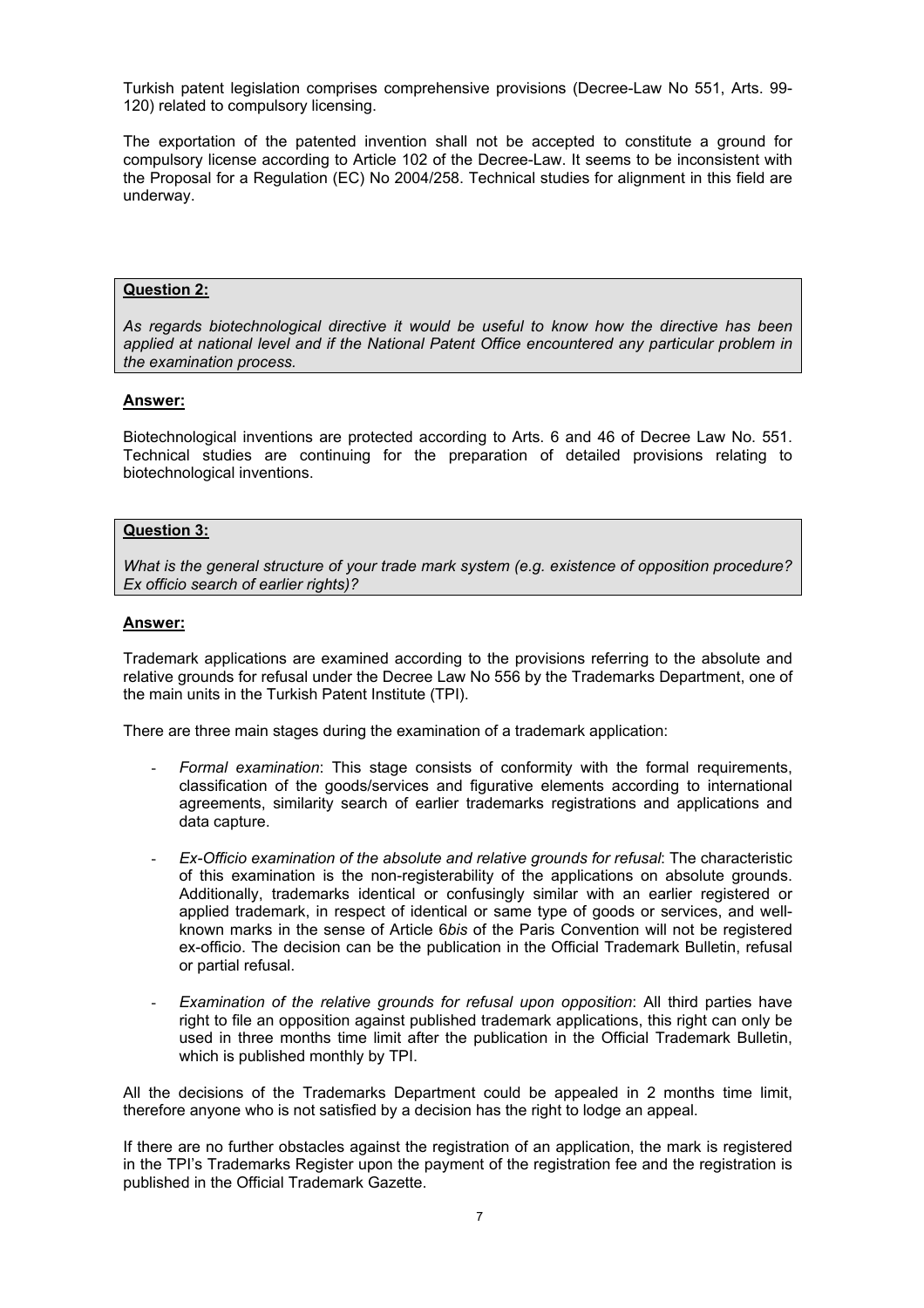Turkish patent legislation comprises comprehensive provisions (Decree-Law No 551, Arts. 99- 120) related to compulsory licensing.

The exportation of the patented invention shall not be accepted to constitute a ground for compulsory license according to Article 102 of the Decree-Law. It seems to be inconsistent with the Proposal for a Regulation (EC) No 2004/258. Technical studies for alignment in this field are underway.

## **Question 2:**

*As regards biotechnological directive it would be useful to know how the directive has been applied at national level and if the National Patent Office encountered any particular problem in the examination process.* 

## **Answer:**

Biotechnological inventions are protected according to Arts. 6 and 46 of Decree Law No. 551. Technical studies are continuing for the preparation of detailed provisions relating to biotechnological inventions.

### **Question 3:**

*What is the general structure of your trade mark system (e.g. existence of opposition procedure? Ex officio search of earlier rights)?* 

#### **Answer:**

Trademark applications are examined according to the provisions referring to the absolute and relative grounds for refusal under the Decree Law No 556 by the Trademarks Department, one of the main units in the Turkish Patent Institute (TPI).

There are three main stages during the examination of a trademark application:

- *Formal examination*: This stage consists of conformity with the formal requirements, classification of the goods/services and figurative elements according to international agreements, similarity search of earlier trademarks registrations and applications and data capture.
- *Ex-Officio examination of the absolute and relative grounds for refusal*: The characteristic of this examination is the non-registerability of the applications on absolute grounds. Additionally, trademarks identical or confusingly similar with an earlier registered or applied trademark, in respect of identical or same type of goods or services, and wellknown marks in the sense of Article 6*bis* of the Paris Convention will not be registered ex-officio. The decision can be the publication in the Official Trademark Bulletin, refusal or partial refusal.
- *Examination of the relative grounds for refusal upon opposition*: All third parties have right to file an opposition against published trademark applications, this right can only be used in three months time limit after the publication in the Official Trademark Bulletin, which is published monthly by TPI.

All the decisions of the Trademarks Department could be appealed in 2 months time limit, therefore anyone who is not satisfied by a decision has the right to lodge an appeal.

If there are no further obstacles against the registration of an application, the mark is registered in the TPI's Trademarks Register upon the payment of the registration fee and the registration is published in the Official Trademark Gazette.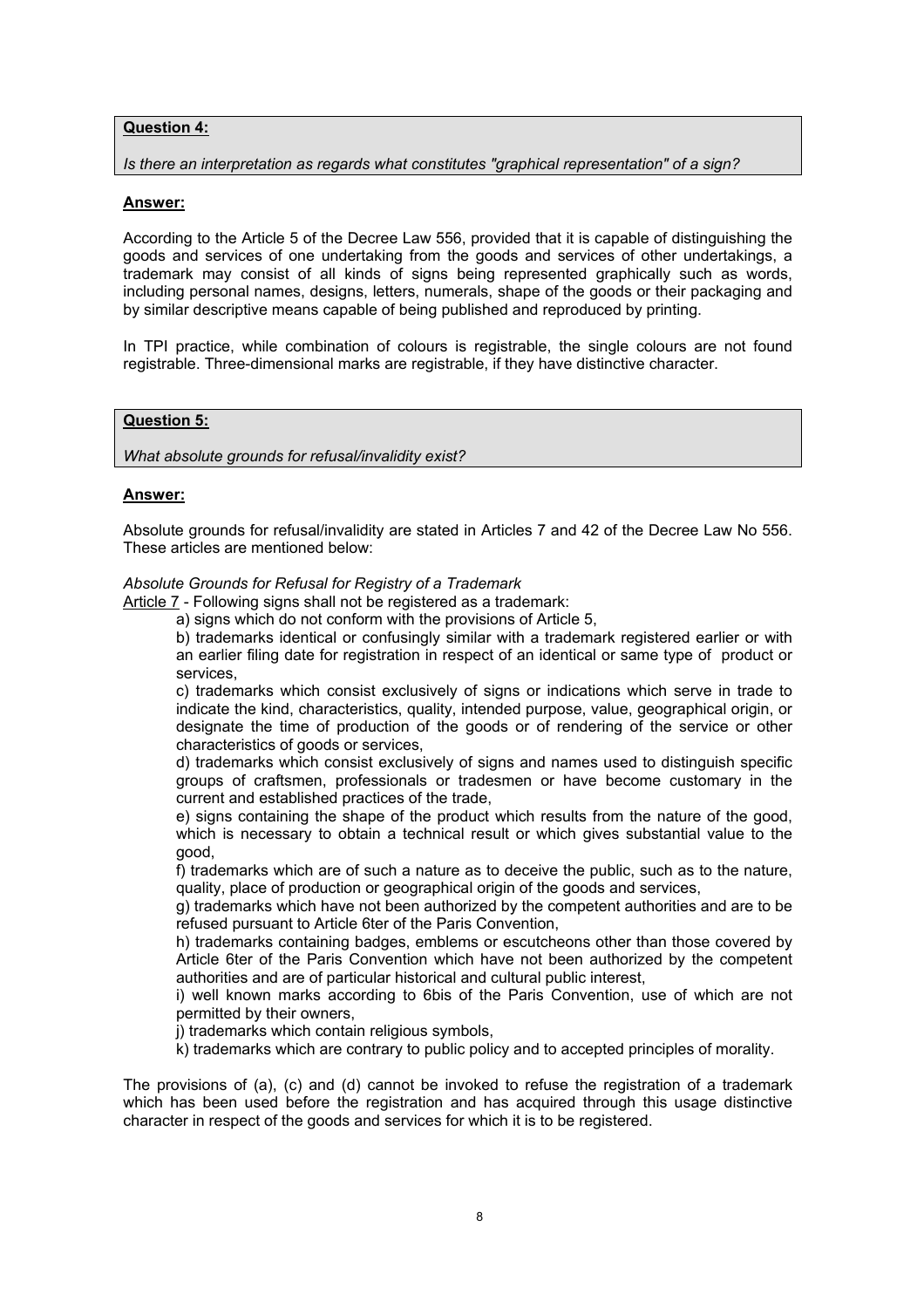## **Question 4:**

### *Is there an interpretation as regards what constitutes "graphical representation" of a sign?*

## **Answer:**

According to the Article 5 of the Decree Law 556, provided that it is capable of distinguishing the goods and services of one undertaking from the goods and services of other undertakings, a trademark may consist of all kinds of signs being represented graphically such as words, including personal names, designs, letters, numerals, shape of the goods or their packaging and by similar descriptive means capable of being published and reproduced by printing.

In TPI practice, while combination of colours is registrable, the single colours are not found registrable. Three-dimensional marks are registrable, if they have distinctive character.

## **Question 5:**

### *What absolute grounds for refusal/invalidity exist?*

### **Answer:**

Absolute grounds for refusal/invalidity are stated in Articles 7 and 42 of the Decree Law No 556. These articles are mentioned below:

### *Absolute Grounds for Refusal for Registry of a Trademark*

Article 7 - Following signs shall not be registered as a trademark:

a) signs which do not conform with the provisions of Article 5,

b) trademarks identical or confusingly similar with a trademark registered earlier or with an earlier filing date for registration in respect of an identical or same type of product or services,

c) trademarks which consist exclusively of signs or indications which serve in trade to indicate the kind, characteristics, quality, intended purpose, value, geographical origin, or designate the time of production of the goods or of rendering of the service or other characteristics of goods or services,

d) trademarks which consist exclusively of signs and names used to distinguish specific groups of craftsmen, professionals or tradesmen or have become customary in the current and established practices of the trade,

e) signs containing the shape of the product which results from the nature of the good, which is necessary to obtain a technical result or which gives substantial value to the good,

f) trademarks which are of such a nature as to deceive the public, such as to the nature, quality, place of production or geographical origin of the goods and services,

g) trademarks which have not been authorized by the competent authorities and are to be refused pursuant to Article 6ter of the Paris Convention,

h) trademarks containing badges, emblems or escutcheons other than those covered by Article 6ter of the Paris Convention which have not been authorized by the competent authorities and are of particular historical and cultural public interest,

i) well known marks according to 6bis of the Paris Convention, use of which are not permitted by their owners,

j) trademarks which contain religious symbols,

k) trademarks which are contrary to public policy and to accepted principles of morality.

The provisions of (a), (c) and (d) cannot be invoked to refuse the registration of a trademark which has been used before the registration and has acquired through this usage distinctive character in respect of the goods and services for which it is to be registered.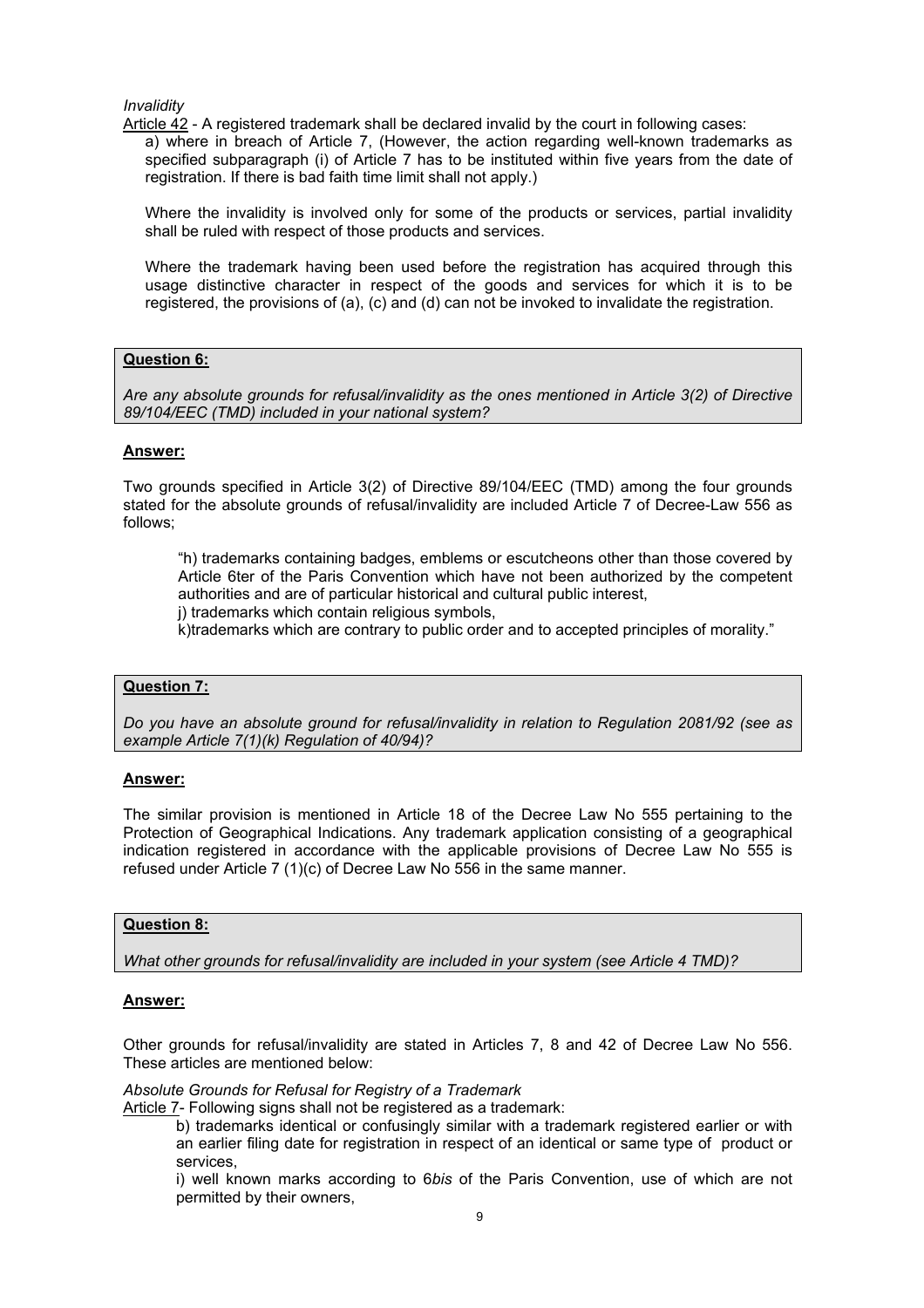*Invalidity* 

Article 42 - A registered trademark shall be declared invalid by the court in following cases:

a) where in breach of Article 7, (However, the action regarding well-known trademarks as specified subparagraph (i) of Article 7 has to be instituted within five years from the date of registration. If there is bad faith time limit shall not apply.)

Where the invalidity is involved only for some of the products or services, partial invalidity shall be ruled with respect of those products and services.

Where the trademark having been used before the registration has acquired through this usage distinctive character in respect of the goods and services for which it is to be registered, the provisions of (a), (c) and (d) can not be invoked to invalidate the registration.

## **Question 6:**

*Are any absolute grounds for refusal/invalidity as the ones mentioned in Article 3(2) of Directive 89/104/EEC (TMD) included in your national system?* 

### **Answer:**

Two grounds specified in Article 3(2) of Directive 89/104/EEC (TMD) among the four grounds stated for the absolute grounds of refusal/invalidity are included Article 7 of Decree-Law 556 as follows;

"h) trademarks containing badges, emblems or escutcheons other than those covered by Article 6ter of the Paris Convention which have not been authorized by the competent authorities and are of particular historical and cultural public interest,

j) trademarks which contain religious symbols,

k)trademarks which are contrary to public order and to accepted principles of morality."

### **Question 7:**

*Do you have an absolute ground for refusal/invalidity in relation to Regulation 2081/92 (see as example Article 7(1)(k) Regulation of 40/94)?* 

#### **Answer:**

The similar provision is mentioned in Article 18 of the Decree Law No 555 pertaining to the Protection of Geographical Indications. Any trademark application consisting of a geographical indication registered in accordance with the applicable provisions of Decree Law No 555 is refused under Article 7 (1)(c) of Decree Law No 556 in the same manner.

#### **Question 8:**

*What other grounds for refusal/invalidity are included in your system (see Article 4 TMD)?* 

#### **Answer:**

Other grounds for refusal/invalidity are stated in Articles 7, 8 and 42 of Decree Law No 556. These articles are mentioned below:

*Absolute Grounds for Refusal for Registry of a Trademark* 

Article 7- Following signs shall not be registered as a trademark:

b) trademarks identical or confusingly similar with a trademark registered earlier or with an earlier filing date for registration in respect of an identical or same type of product or services,

i) well known marks according to 6*bis* of the Paris Convention, use of which are not permitted by their owners,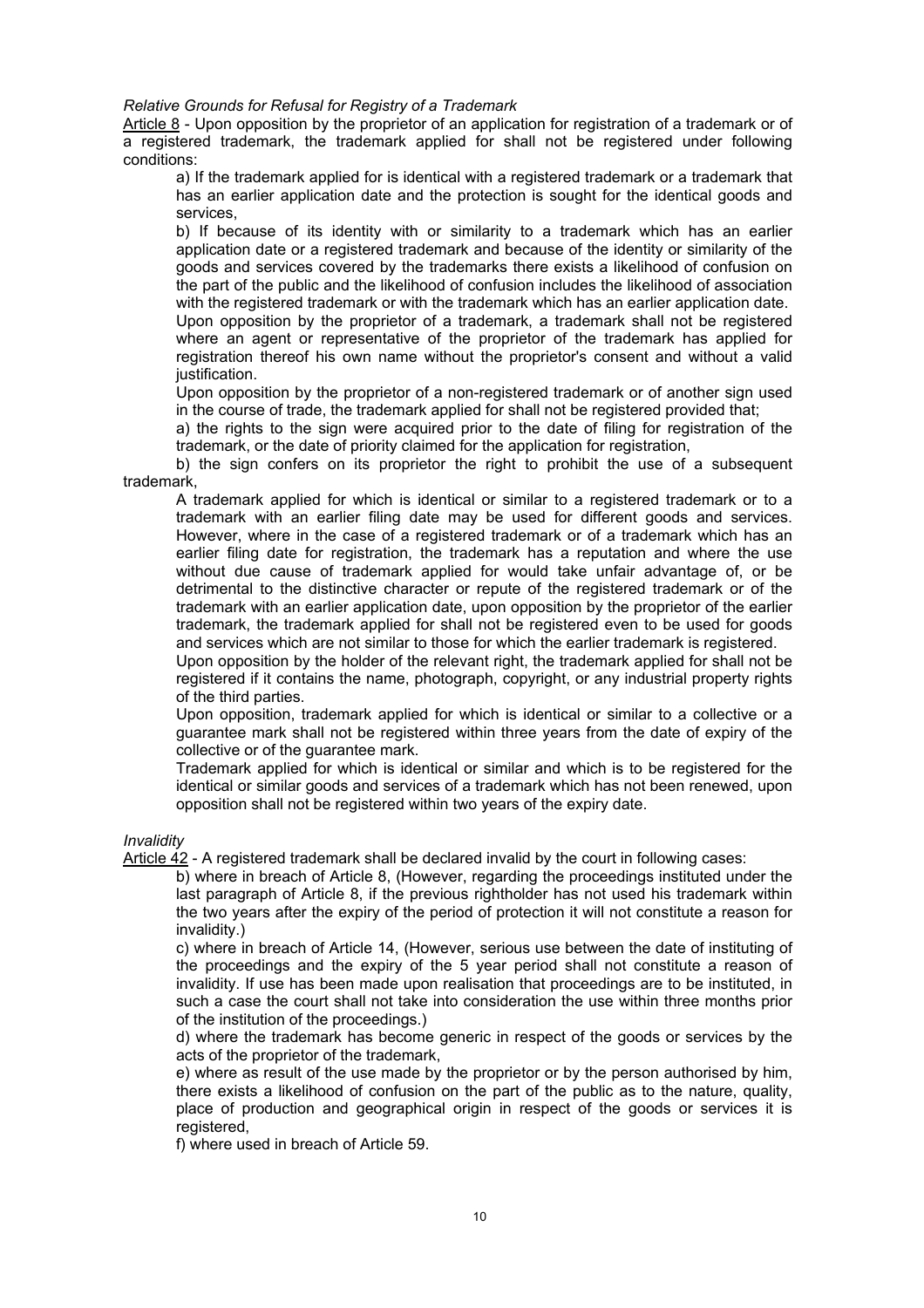*Relative Grounds for Refusal for Registry of a Trademark* 

Article 8 - Upon opposition by the proprietor of an application for registration of a trademark or of a registered trademark, the trademark applied for shall not be registered under following conditions:

a) If the trademark applied for is identical with a registered trademark or a trademark that has an earlier application date and the protection is sought for the identical goods and services,

b) If because of its identity with or similarity to a trademark which has an earlier application date or a registered trademark and because of the identity or similarity of the goods and services covered by the trademarks there exists a likelihood of confusion on the part of the public and the likelihood of confusion includes the likelihood of association with the registered trademark or with the trademark which has an earlier application date.

Upon opposition by the proprietor of a trademark, a trademark shall not be registered where an agent or representative of the proprietor of the trademark has applied for registration thereof his own name without the proprietor's consent and without a valid justification.

Upon opposition by the proprietor of a non-registered trademark or of another sign used in the course of trade, the trademark applied for shall not be registered provided that;

a) the rights to the sign were acquired prior to the date of filing for registration of the trademark, or the date of priority claimed for the application for registration,

b) the sign confers on its proprietor the right to prohibit the use of a subsequent trademark,

A trademark applied for which is identical or similar to a registered trademark or to a trademark with an earlier filing date may be used for different goods and services. However, where in the case of a registered trademark or of a trademark which has an earlier filing date for registration, the trademark has a reputation and where the use without due cause of trademark applied for would take unfair advantage of, or be detrimental to the distinctive character or repute of the registered trademark or of the trademark with an earlier application date, upon opposition by the proprietor of the earlier trademark, the trademark applied for shall not be registered even to be used for goods and services which are not similar to those for which the earlier trademark is registered.

Upon opposition by the holder of the relevant right, the trademark applied for shall not be registered if it contains the name, photograph, copyright, or any industrial property rights of the third parties.

Upon opposition, trademark applied for which is identical or similar to a collective or a guarantee mark shall not be registered within three years from the date of expiry of the collective or of the guarantee mark.

Trademark applied for which is identical or similar and which is to be registered for the identical or similar goods and services of a trademark which has not been renewed, upon opposition shall not be registered within two years of the expiry date.

*Invalidity* 

Article 42 - A registered trademark shall be declared invalid by the court in following cases:

b) where in breach of Article 8, (However, regarding the proceedings instituted under the last paragraph of Article 8, if the previous rightholder has not used his trademark within the two years after the expiry of the period of protection it will not constitute a reason for invalidity.)

c) where in breach of Article 14, (However, serious use between the date of instituting of the proceedings and the expiry of the 5 year period shall not constitute a reason of invalidity. If use has been made upon realisation that proceedings are to be instituted, in such a case the court shall not take into consideration the use within three months prior of the institution of the proceedings.)

d) where the trademark has become generic in respect of the goods or services by the acts of the proprietor of the trademark,

e) where as result of the use made by the proprietor or by the person authorised by him, there exists a likelihood of confusion on the part of the public as to the nature, quality, place of production and geographical origin in respect of the goods or services it is registered,

f) where used in breach of Article 59.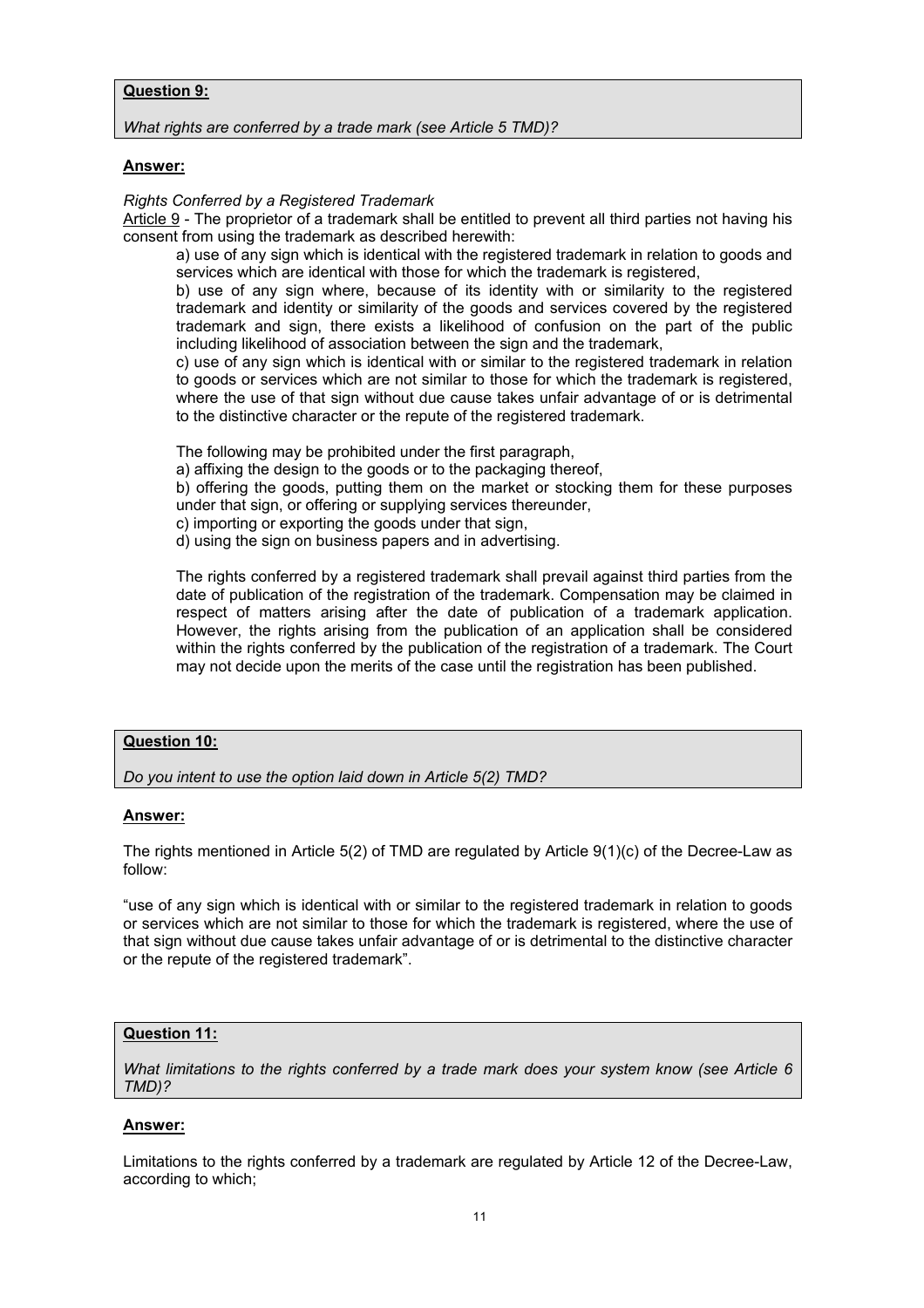## **Question 9:**

*What rights are conferred by a trade mark (see Article 5 TMD)?* 

## **Answer:**

### *Rights Conferred by a Registered Trademark*

Article 9 - The proprietor of a trademark shall be entitled to prevent all third parties not having his consent from using the trademark as described herewith:

a) use of any sign which is identical with the registered trademark in relation to goods and services which are identical with those for which the trademark is registered,

b) use of any sign where, because of its identity with or similarity to the registered trademark and identity or similarity of the goods and services covered by the registered trademark and sign, there exists a likelihood of confusion on the part of the public including likelihood of association between the sign and the trademark,

c) use of any sign which is identical with or similar to the registered trademark in relation to goods or services which are not similar to those for which the trademark is registered, where the use of that sign without due cause takes unfair advantage of or is detrimental to the distinctive character or the repute of the registered trademark.

The following may be prohibited under the first paragraph,

a) affixing the design to the goods or to the packaging thereof,

b) offering the goods, putting them on the market or stocking them for these purposes under that sign, or offering or supplying services thereunder,

c) importing or exporting the goods under that sign,

d) using the sign on business papers and in advertising.

The rights conferred by a registered trademark shall prevail against third parties from the date of publication of the registration of the trademark. Compensation may be claimed in respect of matters arising after the date of publication of a trademark application. However, the rights arising from the publication of an application shall be considered within the rights conferred by the publication of the registration of a trademark. The Court may not decide upon the merits of the case until the registration has been published.

## **Question 10:**

*Do you intent to use the option laid down in Article 5(2) TMD?* 

## **Answer:**

The rights mentioned in Article 5(2) of TMD are regulated by Article 9(1)(c) of the Decree-Law as follow:

"use of any sign which is identical with or similar to the registered trademark in relation to goods or services which are not similar to those for which the trademark is registered, where the use of that sign without due cause takes unfair advantage of or is detrimental to the distinctive character or the repute of the registered trademark".

## **Question 11:**

*What limitations to the rights conferred by a trade mark does your system know (see Article 6 TMD)?* 

## **Answer:**

Limitations to the rights conferred by a trademark are regulated by Article 12 of the Decree-Law, according to which;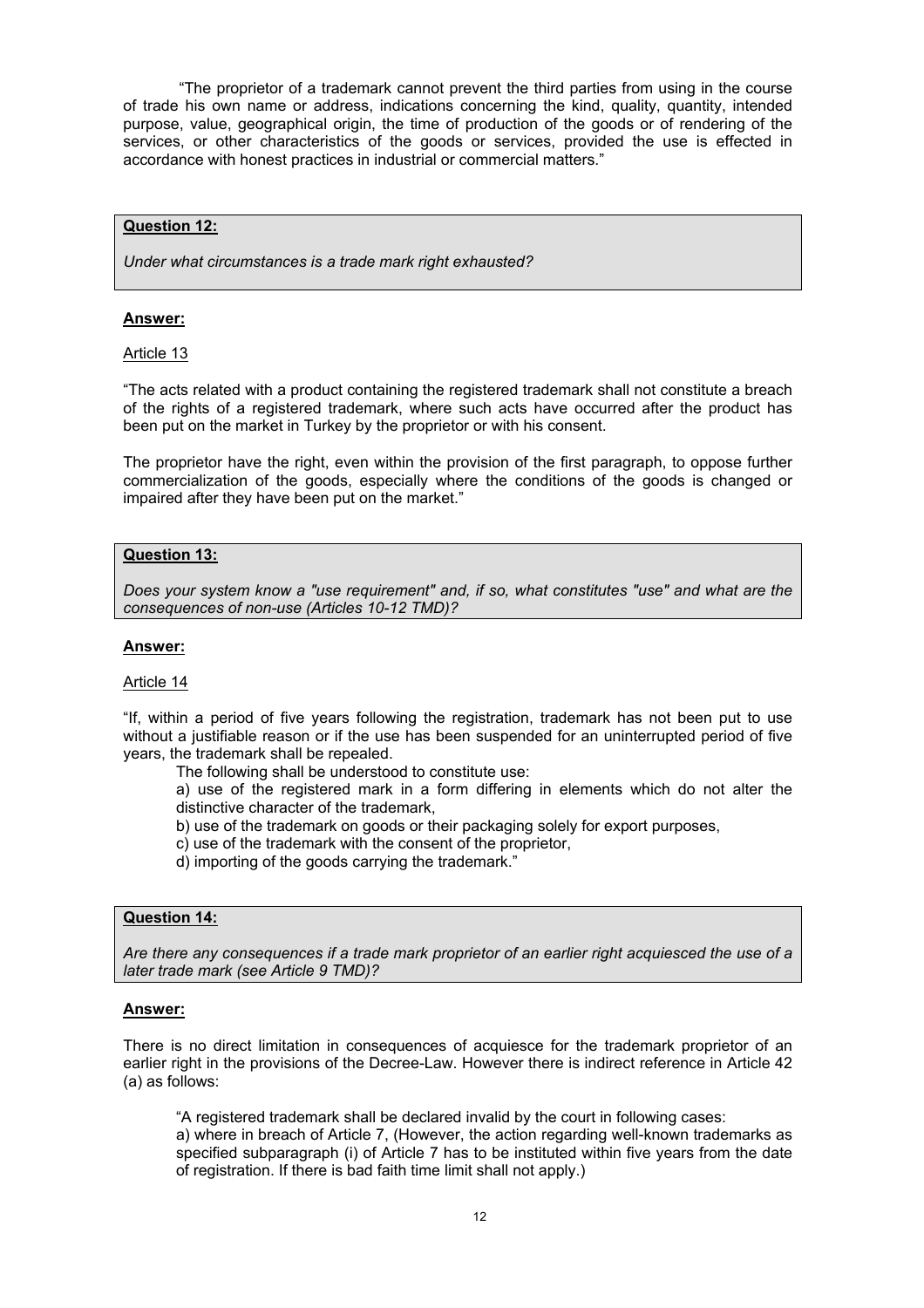"The proprietor of a trademark cannot prevent the third parties from using in the course of trade his own name or address, indications concerning the kind, quality, quantity, intended purpose, value, geographical origin, the time of production of the goods or of rendering of the services, or other characteristics of the goods or services, provided the use is effected in accordance with honest practices in industrial or commercial matters."

## **Question 12:**

*Under what circumstances is a trade mark right exhausted?* 

#### **Answer:**

#### Article 13

"The acts related with a product containing the registered trademark shall not constitute a breach of the rights of a registered trademark, where such acts have occurred after the product has been put on the market in Turkey by the proprietor or with his consent.

The proprietor have the right, even within the provision of the first paragraph, to oppose further commercialization of the goods, especially where the conditions of the goods is changed or impaired after they have been put on the market."

### **Question 13:**

*Does your system know a "use requirement" and, if so, what constitutes "use" and what are the consequences of non-use (Articles 10-12 TMD)?* 

### **Answer:**

#### Article 14

"If, within a period of five years following the registration, trademark has not been put to use without a justifiable reason or if the use has been suspended for an uninterrupted period of five years, the trademark shall be repealed.

The following shall be understood to constitute use:

a) use of the registered mark in a form differing in elements which do not alter the distinctive character of the trademark,

- b) use of the trademark on goods or their packaging solely for export purposes,
- c) use of the trademark with the consent of the proprietor,
- d) importing of the goods carrying the trademark."

## **Question 14:**

*Are there any consequences if a trade mark proprietor of an earlier right acquiesced the use of a later trade mark (see Article 9 TMD)?* 

### **Answer:**

There is no direct limitation in consequences of acquiesce for the trademark proprietor of an earlier right in the provisions of the Decree-Law. However there is indirect reference in Article 42 (a) as follows:

"A registered trademark shall be declared invalid by the court in following cases:

a) where in breach of Article 7, (However, the action regarding well-known trademarks as specified subparagraph (i) of Article 7 has to be instituted within five years from the date of registration. If there is bad faith time limit shall not apply.)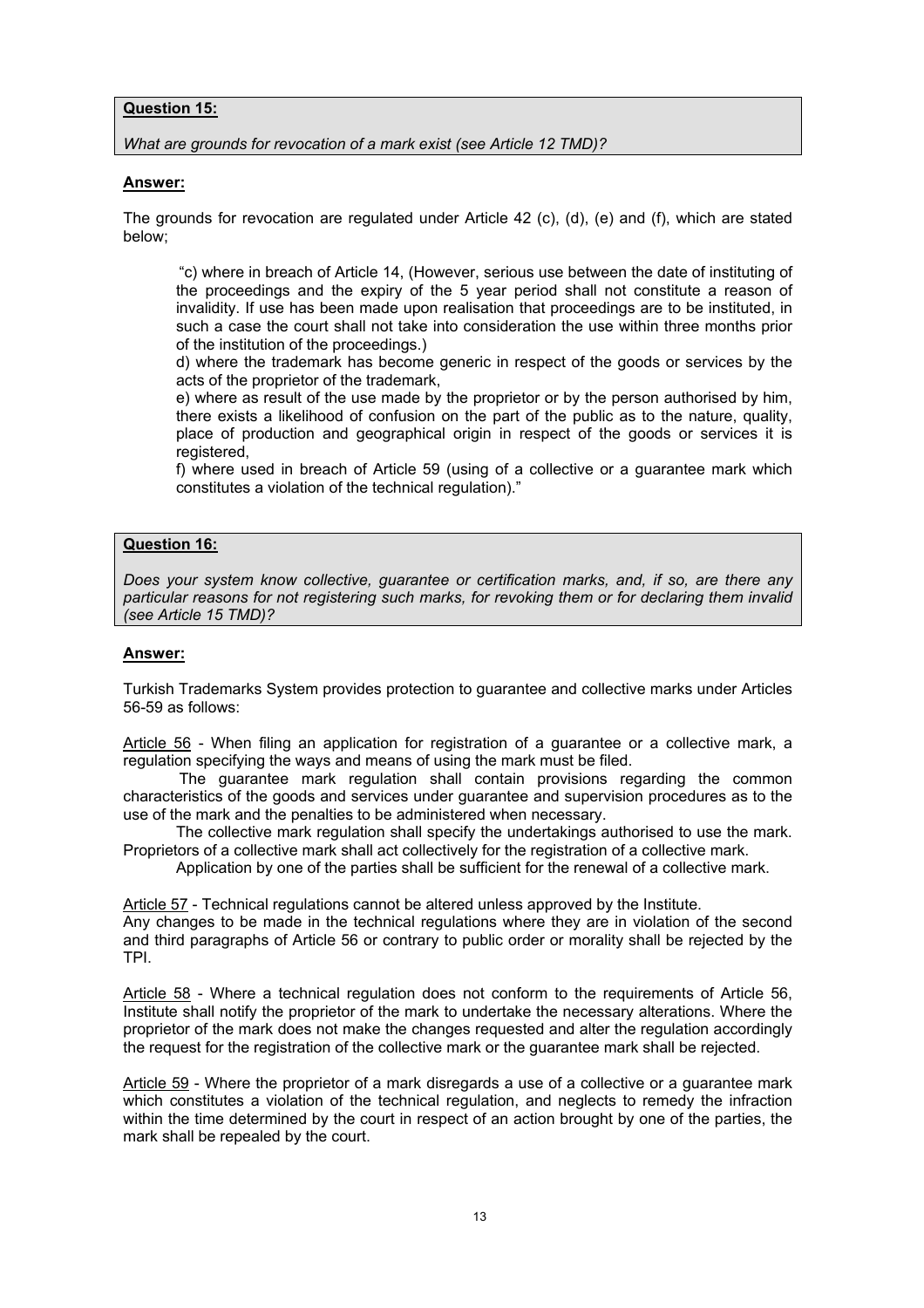## **Question 15:**

*What are grounds for revocation of a mark exist (see Article 12 TMD)?* 

### **Answer:**

The grounds for revocation are regulated under Article 42 (c), (d), (e) and (f), which are stated below;

"c) where in breach of Article 14, (However, serious use between the date of instituting of the proceedings and the expiry of the 5 year period shall not constitute a reason of invalidity. If use has been made upon realisation that proceedings are to be instituted, in such a case the court shall not take into consideration the use within three months prior of the institution of the proceedings.)

d) where the trademark has become generic in respect of the goods or services by the acts of the proprietor of the trademark,

e) where as result of the use made by the proprietor or by the person authorised by him, there exists a likelihood of confusion on the part of the public as to the nature, quality, place of production and geographical origin in respect of the goods or services it is registered,

f) where used in breach of Article 59 (using of a collective or a guarantee mark which constitutes a violation of the technical regulation)."

## **Question 16:**

*Does your system know collective, guarantee or certification marks, and, if so, are there any particular reasons for not registering such marks, for revoking them or for declaring them invalid (see Article 15 TMD)?* 

## **Answer:**

Turkish Trademarks System provides protection to guarantee and collective marks under Articles 56-59 as follows:

Article 56 - When filing an application for registration of a guarantee or a collective mark, a regulation specifying the ways and means of using the mark must be filed.

The guarantee mark regulation shall contain provisions regarding the common characteristics of the goods and services under guarantee and supervision procedures as to the use of the mark and the penalties to be administered when necessary.

The collective mark regulation shall specify the undertakings authorised to use the mark. Proprietors of a collective mark shall act collectively for the registration of a collective mark.

Application by one of the parties shall be sufficient for the renewal of a collective mark.

Article 57 - Technical regulations cannot be altered unless approved by the Institute.

Any changes to be made in the technical regulations where they are in violation of the second and third paragraphs of Article 56 or contrary to public order or morality shall be rejected by the TPI.

Article 58 - Where a technical regulation does not conform to the requirements of Article 56, Institute shall notify the proprietor of the mark to undertake the necessary alterations. Where the proprietor of the mark does not make the changes requested and alter the regulation accordingly the request for the registration of the collective mark or the guarantee mark shall be rejected.

Article 59 - Where the proprietor of a mark disregards a use of a collective or a guarantee mark which constitutes a violation of the technical regulation, and neglects to remedy the infraction within the time determined by the court in respect of an action brought by one of the parties, the mark shall be repealed by the court.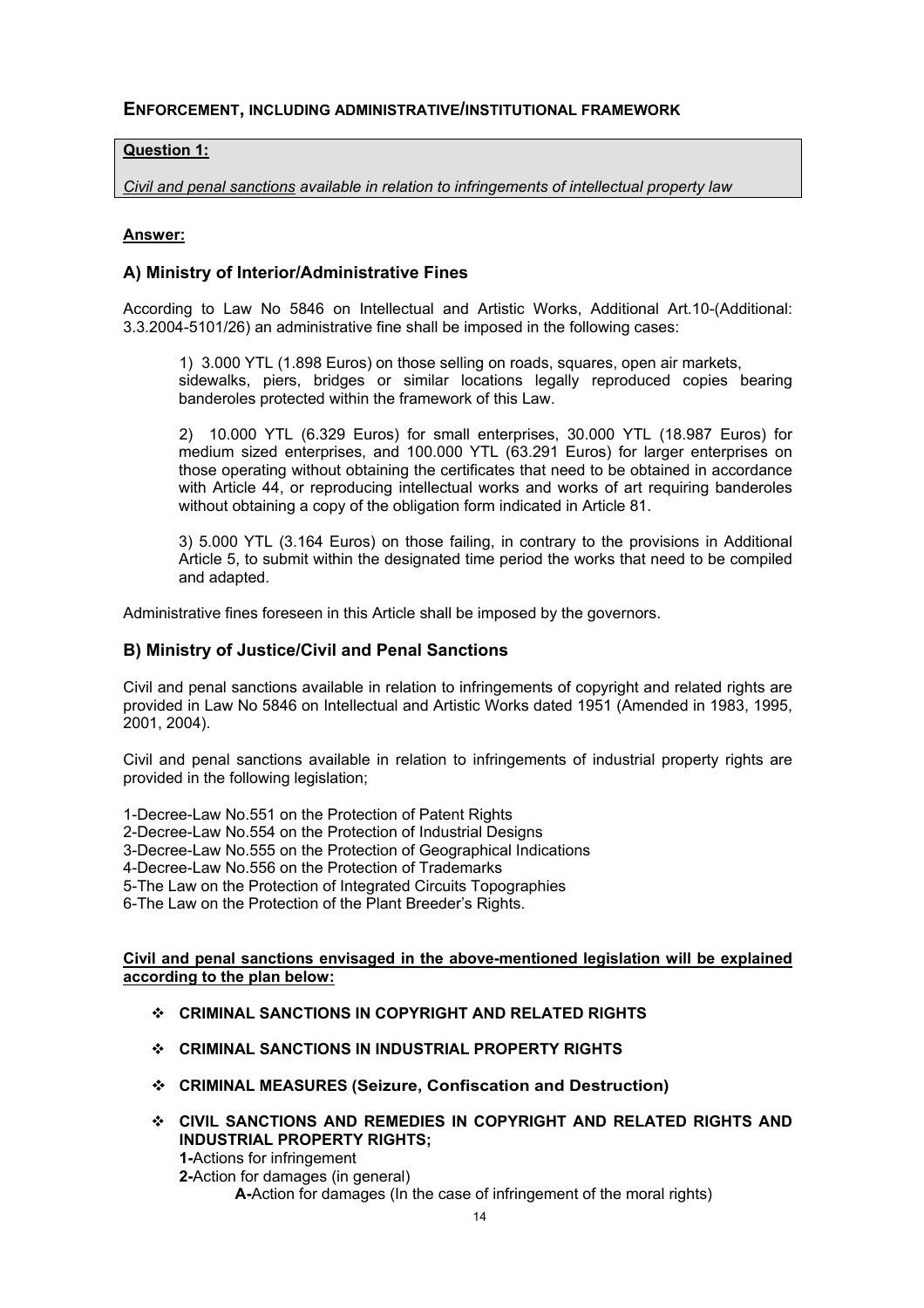## **ENFORCEMENT, INCLUDING ADMINISTRATIVE/INSTITUTIONAL FRAMEWORK**

## **Question 1:**

*Civil and penal sanctions available in relation to infringements of intellectual property law* 

## **Answer:**

## **A) Ministry of Interior/Administrative Fines**

According to Law No 5846 on Intellectual and Artistic Works, Additional Art.10-(Additional: 3.3.2004-5101/26) an administrative fine shall be imposed in the following cases:

 1) 3.000 YTL (1.898 Euros) on those selling on roads, squares, open air markets, sidewalks, piers, bridges or similar locations legally reproduced copies bearing banderoles protected within the framework of this Law.

2) 10.000 YTL (6.329 Euros) for small enterprises, 30.000 YTL (18.987 Euros) for medium sized enterprises, and 100.000 YTL (63.291 Euros) for larger enterprises on those operating without obtaining the certificates that need to be obtained in accordance with Article 44, or reproducing intellectual works and works of art requiring banderoles without obtaining a copy of the obligation form indicated in Article 81.

3) 5.000 YTL (3.164 Euros) on those failing, in contrary to the provisions in Additional Article 5, to submit within the designated time period the works that need to be compiled and adapted.

Administrative fines foreseen in this Article shall be imposed by the governors.

## **B) Ministry of Justice/Civil and Penal Sanctions**

Civil and penal sanctions available in relation to infringements of copyright and related rights are provided in Law No 5846 on Intellectual and Artistic Works dated 1951 (Amended in 1983, 1995, 2001, 2004).

Civil and penal sanctions available in relation to infringements of industrial property rights are provided in the following legislation;

1-Decree-Law No.551 on the Protection of Patent Rights

2-Decree-Law No.554 on the Protection of Industrial Designs

3-Decree-Law No.555 on the Protection of Geographical Indications

4-Decree-Law No.556 on the Protection of Trademarks

5-The Law on the Protection of Integrated Circuits Topographies

6-The Law on the Protection of the Plant Breeder's Rights.

**Civil and penal sanctions envisaged in the above-mentioned legislation will be explained according to the plan below:**

- **CRIMINAL SANCTIONS IN COPYRIGHT AND RELATED RIGHTS**
- **CRIMINAL SANCTIONS IN INDUSTRIAL PROPERTY RIGHTS**
- **CRIMINAL MEASURES (Seizure, Confiscation and Destruction)**
- **CIVIL SANCTIONS AND REMEDIES IN COPYRIGHT AND RELATED RIGHTS AND INDUSTRIAL PROPERTY RIGHTS; 1-**Actions for infringement **2-**Action for damages (in general)

**A-**Action for damages (In the case of infringement of the moral rights)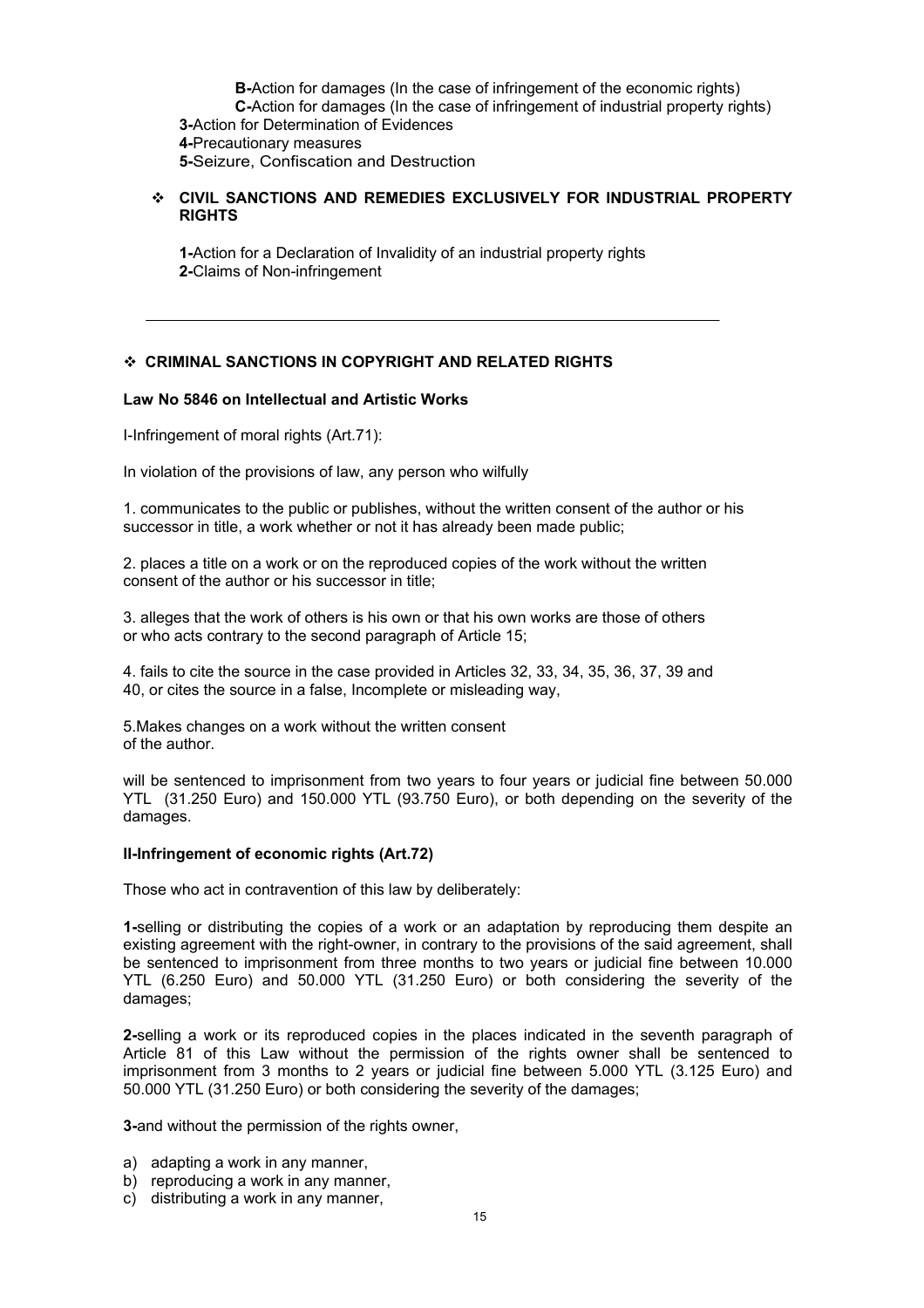**B-**Action for damages (In the case of infringement of the economic rights) **C-**Action for damages (In the case of infringement of industrial property rights) **3-**Action for Determination of Evidences **4-**Precautionary measures **5-**Seizure, Confiscation and Destruction

## **CIVIL SANCTIONS AND REMEDIES EXCLUSIVELY FOR INDUSTRIAL PROPERTY RIGHTS**

**1-**Action for a Declaration of Invalidity of an industrial property rights **2-**Claims of Non-infringement

## **CRIMINAL SANCTIONS IN COPYRIGHT AND RELATED RIGHTS**

### **Law No 5846 on Intellectual and Artistic Works**

I-Infringement of moral rights (Art.71):

In violation of the provisions of law, any person who wilfully

1. communicates to the public or publishes, without the written consent of the author or his successor in title, a work whether or not it has already been made public;

2. places a title on a work or on the reproduced copies of the work without the written consent of the author or his successor in title;

3. alleges that the work of others is his own or that his own works are those of others or who acts contrary to the second paragraph of Article 15;

4. fails to cite the source in the case provided in Articles 32, 33, 34, 35, 36, 37, 39 and 40, or cites the source in a false, Incomplete or misleading way,

5.Makes changes on a work without the written consent of the author.

will be sentenced to imprisonment from two years to four years or judicial fine between 50.000 YTL (31.250 Euro) and 150.000 YTL (93.750 Euro), or both depending on the severity of the damages.

### **II-Infringement of economic rights (Art.72)**

Those who act in contravention of this law by deliberately:

**1-**selling or distributing the copies of a work or an adaptation by reproducing them despite an existing agreement with the right-owner, in contrary to the provisions of the said agreement, shall be sentenced to imprisonment from three months to two years or judicial fine between 10.000 YTL (6.250 Euro) and 50.000 YTL (31.250 Euro) or both considering the severity of the damages;

**2-**selling a work or its reproduced copies in the places indicated in the seventh paragraph of Article 81 of this Law without the permission of the rights owner shall be sentenced to imprisonment from 3 months to 2 years or judicial fine between 5.000 YTL (3.125 Euro) and 50.000 YTL (31.250 Euro) or both considering the severity of the damages;

**3-**and without the permission of the rights owner,

- a) adapting a work in any manner,
- b) reproducing a work in any manner,
- c) distributing a work in any manner,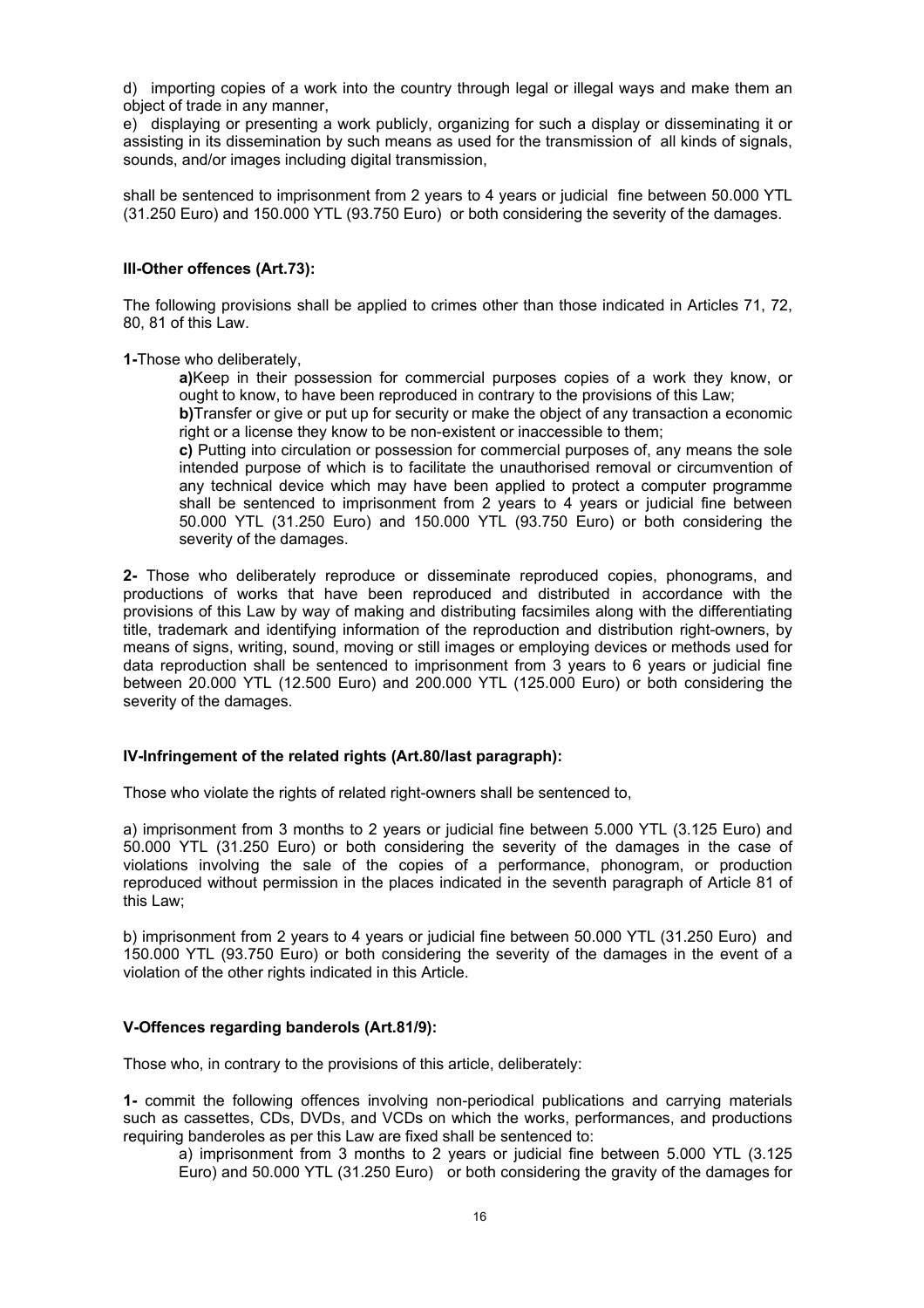d) importing copies of a work into the country through legal or illegal ways and make them an object of trade in any manner,

e) displaying or presenting a work publicly, organizing for such a display or disseminating it or assisting in its dissemination by such means as used for the transmission of all kinds of signals, sounds, and/or images including digital transmission,

shall be sentenced to imprisonment from 2 years to 4 years or judicial fine between 50.000 YTL (31.250 Euro) and 150.000 YTL (93.750 Euro) or both considering the severity of the damages.

### **III-Other offences (Art.73):**

The following provisions shall be applied to crimes other than those indicated in Articles 71, 72, 80, 81 of this Law.

**1-**Those who deliberately,

**a)**Keep in their possession for commercial purposes copies of a work they know, or ought to know, to have been reproduced in contrary to the provisions of this Law;

**b)**Transfer or give or put up for security or make the object of any transaction a economic right or a license they know to be non-existent or inaccessible to them;

**c)** Putting into circulation or possession for commercial purposes of, any means the sole intended purpose of which is to facilitate the unauthorised removal or circumvention of any technical device which may have been applied to protect a computer programme shall be sentenced to imprisonment from 2 years to 4 years or judicial fine between 50.000 YTL (31.250 Euro) and 150.000 YTL (93.750 Euro) or both considering the severity of the damages.

**2-** Those who deliberately reproduce or disseminate reproduced copies, phonograms, and productions of works that have been reproduced and distributed in accordance with the provisions of this Law by way of making and distributing facsimiles along with the differentiating title, trademark and identifying information of the reproduction and distribution right-owners, by means of signs, writing, sound, moving or still images or employing devices or methods used for data reproduction shall be sentenced to imprisonment from 3 years to 6 years or judicial fine between 20.000 YTL (12.500 Euro) and 200.000 YTL (125.000 Euro) or both considering the severity of the damages.

## **IV-Infringement of the related rights (Art.80/last paragraph):**

Those who violate the rights of related right-owners shall be sentenced to,

a) imprisonment from 3 months to 2 years or judicial fine between 5.000 YTL (3.125 Euro) and 50.000 YTL (31.250 Euro) or both considering the severity of the damages in the case of violations involving the sale of the copies of a performance, phonogram, or production reproduced without permission in the places indicated in the seventh paragraph of Article 81 of this Law;

b) imprisonment from 2 years to 4 years or judicial fine between 50.000 YTL (31.250 Euro) and 150.000 YTL (93.750 Euro) or both considering the severity of the damages in the event of a violation of the other rights indicated in this Article.

### **V-Offences regarding banderols (Art.81/9):**

Those who, in contrary to the provisions of this article, deliberately:

**1-** commit the following offences involving non-periodical publications and carrying materials such as cassettes, CDs, DVDs, and VCDs on which the works, performances, and productions requiring banderoles as per this Law are fixed shall be sentenced to:

a) imprisonment from 3 months to 2 years or judicial fine between 5.000 YTL (3.125 Euro) and 50.000 YTL (31.250 Euro) or both considering the gravity of the damages for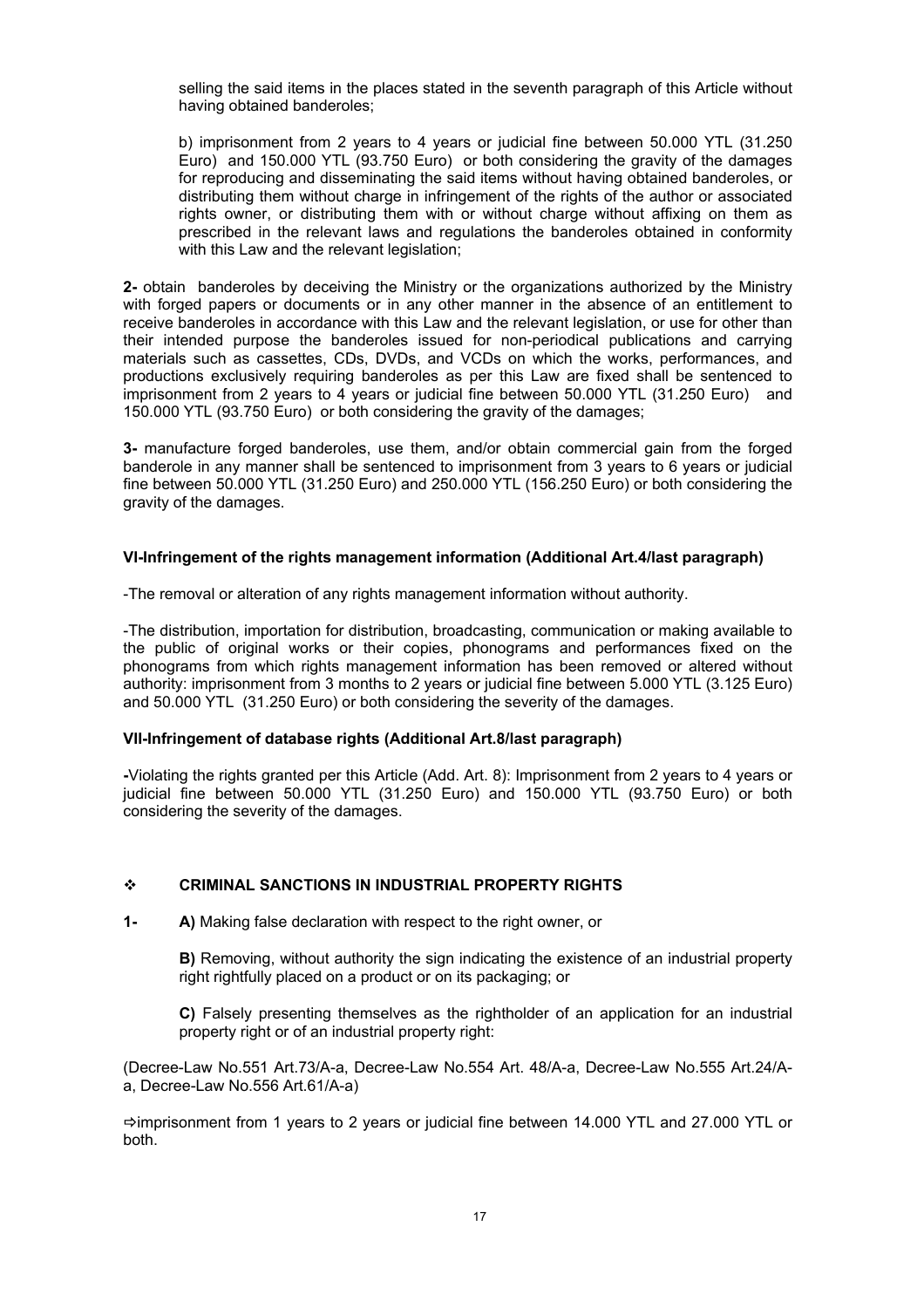selling the said items in the places stated in the seventh paragraph of this Article without having obtained banderoles;

b) imprisonment from 2 years to 4 years or judicial fine between 50.000 YTL (31.250 Euro) and 150.000 YTL (93.750 Euro) or both considering the gravity of the damages for reproducing and disseminating the said items without having obtained banderoles, or distributing them without charge in infringement of the rights of the author or associated rights owner, or distributing them with or without charge without affixing on them as prescribed in the relevant laws and regulations the banderoles obtained in conformity with this Law and the relevant legislation;

**2-** obtain banderoles by deceiving the Ministry or the organizations authorized by the Ministry with forged papers or documents or in any other manner in the absence of an entitlement to receive banderoles in accordance with this Law and the relevant legislation, or use for other than their intended purpose the banderoles issued for non-periodical publications and carrying materials such as cassettes, CDs, DVDs, and VCDs on which the works, performances, and productions exclusively requiring banderoles as per this Law are fixed shall be sentenced to imprisonment from 2 years to 4 years or judicial fine between 50.000 YTL (31.250 Euro) and 150.000 YTL (93.750 Euro) or both considering the gravity of the damages;

**3-** manufacture forged banderoles, use them, and/or obtain commercial gain from the forged banderole in any manner shall be sentenced to imprisonment from 3 years to 6 years or judicial fine between 50.000 YTL (31.250 Euro) and 250.000 YTL (156.250 Euro) or both considering the gravity of the damages.

## **VI-Infringement of the rights management information (Additional Art.4/last paragraph)**

-The removal or alteration of any rights management information without authority.

-The distribution, importation for distribution, broadcasting, communication or making available to the public of original works or their copies, phonograms and performances fixed on the phonograms from which rights management information has been removed or altered without authority: imprisonment from 3 months to 2 years or judicial fine between 5.000 YTL (3.125 Euro) and 50.000 YTL (31.250 Euro) or both considering the severity of the damages.

## **VII-Infringement of database rights (Additional Art.8/last paragraph)**

**-**Violating the rights granted per this Article (Add. Art. 8): Imprisonment from 2 years to 4 years or judicial fine between 50.000 YTL (31.250 Euro) and 150.000 YTL (93.750 Euro) or both considering the severity of the damages.

### **CRIMINAL SANCTIONS IN INDUSTRIAL PROPERTY RIGHTS**

**1- A)** Making false declaration with respect to the right owner, or

**B)** Removing, without authority the sign indicating the existence of an industrial property right rightfully placed on a product or on its packaging; or

**C)** Falsely presenting themselves as the rightholder of an application for an industrial property right or of an industrial property right:

(Decree-Law No.551 Art.73/A-a, Decree-Law No.554 Art. 48/A-a, Decree-Law No.555 Art.24/Aa, Decree-Law No.556 Art.61/A-a)

 $\Rightarrow$  imprisonment from 1 years to 2 years or judicial fine between 14.000 YTL and 27.000 YTL or both.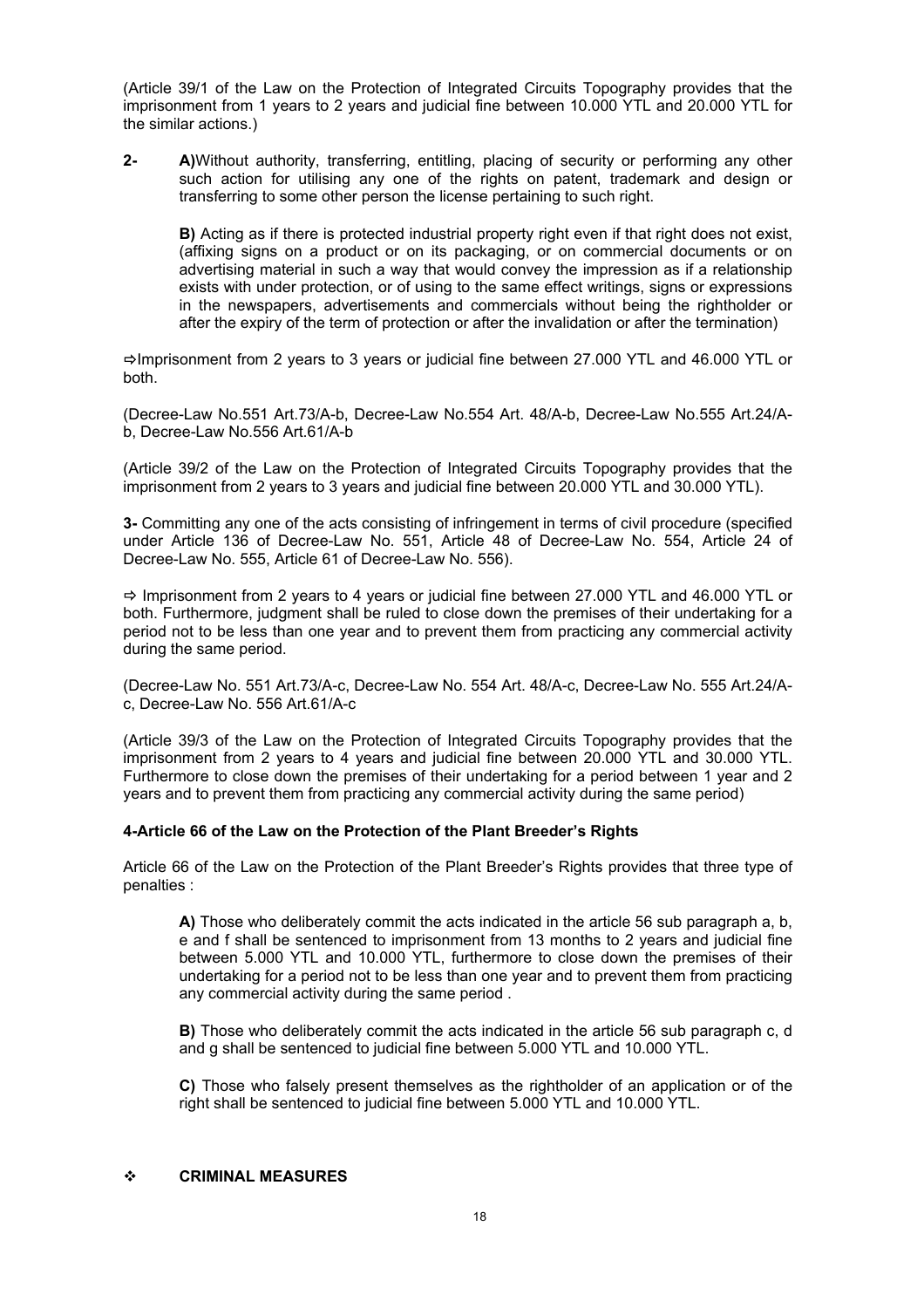(Article 39/1 of the Law on the Protection of Integrated Circuits Topography provides that the imprisonment from 1 years to 2 years and judicial fine between 10.000 YTL and 20.000 YTL for the similar actions.)

**2- A)**Without authority, transferring, entitling, placing of security or performing any other such action for utilising any one of the rights on patent, trademark and design or transferring to some other person the license pertaining to such right.

**B)** Acting as if there is protected industrial property right even if that right does not exist, (affixing signs on a product or on its packaging, or on commercial documents or on advertising material in such a way that would convey the impression as if a relationship exists with under protection, or of using to the same effect writings, signs or expressions in the newspapers, advertisements and commercials without being the rightholder or after the expiry of the term of protection or after the invalidation or after the termination)

 $\Rightarrow$  Imprisonment from 2 years to 3 years or judicial fine between 27.000 YTL and 46.000 YTL or both.

(Decree-Law No.551 Art.73/A-b, Decree-Law No.554 Art. 48/A-b, Decree-Law No.555 Art.24/Ab, Decree-Law No.556 Art.61/A-b

(Article 39/2 of the Law on the Protection of Integrated Circuits Topography provides that the imprisonment from 2 years to 3 years and judicial fine between 20.000 YTL and 30.000 YTL).

**3-** Committing any one of the acts consisting of infringement in terms of civil procedure (specified under Article 136 of Decree-Law No. 551, Article 48 of Decree-Law No. 554, Article 24 of Decree-Law No. 555, Article 61 of Decree-Law No. 556).

 $\Rightarrow$  Imprisonment from 2 years to 4 years or judicial fine between 27.000 YTL and 46.000 YTL or both. Furthermore, judgment shall be ruled to close down the premises of their undertaking for a period not to be less than one year and to prevent them from practicing any commercial activity during the same period.

(Decree-Law No. 551 Art.73/A-c, Decree-Law No. 554 Art. 48/A-c, Decree-Law No. 555 Art.24/Ac, Decree-Law No. 556 Art.61/A-c

(Article 39/3 of the Law on the Protection of Integrated Circuits Topography provides that the imprisonment from 2 years to 4 years and judicial fine between 20.000 YTL and 30.000 YTL. Furthermore to close down the premises of their undertaking for a period between 1 year and 2 years and to prevent them from practicing any commercial activity during the same period)

### **4-Article 66 of the Law on the Protection of the Plant Breeder's Rights**

Article 66 of the Law on the Protection of the Plant Breeder's Rights provides that three type of penalties :

**A)** Those who deliberately commit the acts indicated in the article 56 sub paragraph a, b, e and f shall be sentenced to imprisonment from 13 months to 2 years and judicial fine between 5.000 YTL and 10.000 YTL, furthermore to close down the premises of their undertaking for a period not to be less than one year and to prevent them from practicing any commercial activity during the same period .

**B)** Those who deliberately commit the acts indicated in the article 56 sub paragraph c, d and g shall be sentenced to judicial fine between 5.000 YTL and 10.000 YTL.

**C)** Those who falsely present themselves as the rightholder of an application or of the right shall be sentenced to judicial fine between 5.000 YTL and 10.000 YTL.

### **CRIMINAL MEASURES**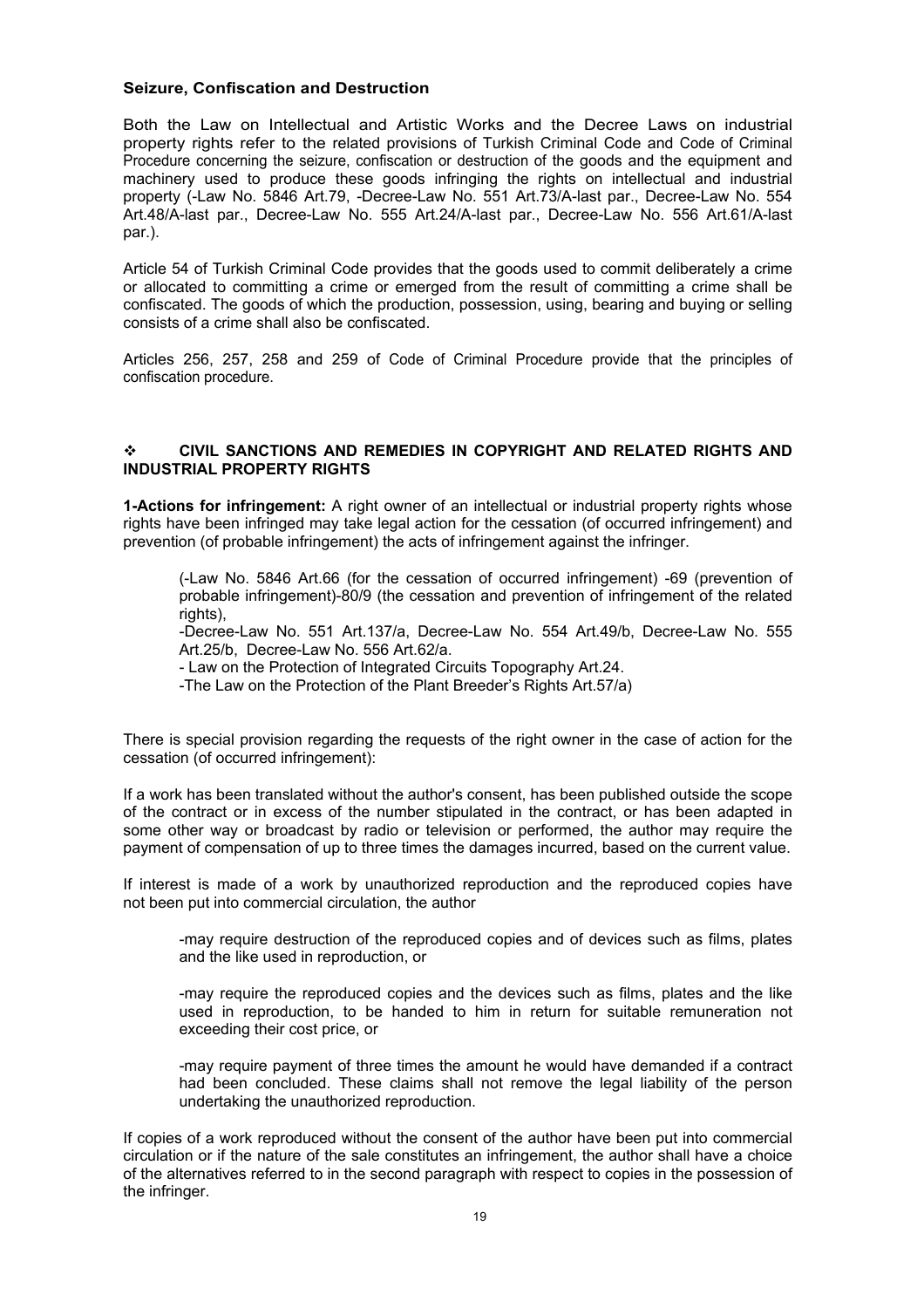### **Seizure, Confiscation and Destruction**

Both the Law on Intellectual and Artistic Works and the Decree Laws on industrial property rights refer to the related provisions of Turkish Criminal Code and Code of Criminal Procedure concerning the seizure, confiscation or destruction of the goods and the equipment and machinery used to produce these goods infringing the rights on intellectual and industrial property (-Law No. 5846 Art.79, -Decree-Law No. 551 Art.73/A-last par., Decree-Law No. 554 Art.48/A-last par., Decree-Law No. 555 Art.24/A-last par., Decree-Law No. 556 Art.61/A-last par.).

Article 54 of Turkish Criminal Code provides that the goods used to commit deliberately a crime or allocated to committing a crime or emerged from the result of committing a crime shall be confiscated. The goods of which the production, possession, using, bearing and buying or selling consists of a crime shall also be confiscated.

Articles 256, 257, 258 and 259 of Code of Criminal Procedure provide that the principles of confiscation procedure.

## **CIVIL SANCTIONS AND REMEDIES IN COPYRIGHT AND RELATED RIGHTS AND INDUSTRIAL PROPERTY RIGHTS**

**1-Actions for infringement:** A right owner of an intellectual or industrial property rights whose rights have been infringed may take legal action for the cessation (of occurred infringement) and prevention (of probable infringement) the acts of infringement against the infringer.

(-Law No. 5846 Art.66 (for the cessation of occurred infringement) -69 (prevention of probable infringement)-80/9 (the cessation and prevention of infringement of the related rights).

-Decree-Law No. 551 Art.137/a, Decree-Law No. 554 Art.49/b, Decree-Law No. 555 Art.25/b, Decree-Law No. 556 Art.62/a.

- Law on the Protection of Integrated Circuits Topography Art.24.

-The Law on the Protection of the Plant Breeder's Rights Art.57/a)

There is special provision regarding the requests of the right owner in the case of action for the cessation (of occurred infringement):

If a work has been translated without the author's consent, has been published outside the scope of the contract or in excess of the number stipulated in the contract, or has been adapted in some other way or broadcast by radio or television or performed, the author may require the payment of compensation of up to three times the damages incurred, based on the current value.

If interest is made of a work by unauthorized reproduction and the reproduced copies have not been put into commercial circulation, the author

-may require destruction of the reproduced copies and of devices such as films, plates and the like used in reproduction, or

-may require the reproduced copies and the devices such as films, plates and the like used in reproduction, to be handed to him in return for suitable remuneration not exceeding their cost price, or

-may require payment of three times the amount he would have demanded if a contract had been concluded. These claims shall not remove the legal liability of the person undertaking the unauthorized reproduction.

If copies of a work reproduced without the consent of the author have been put into commercial circulation or if the nature of the sale constitutes an infringement, the author shall have a choice of the alternatives referred to in the second paragraph with respect to copies in the possession of the infringer.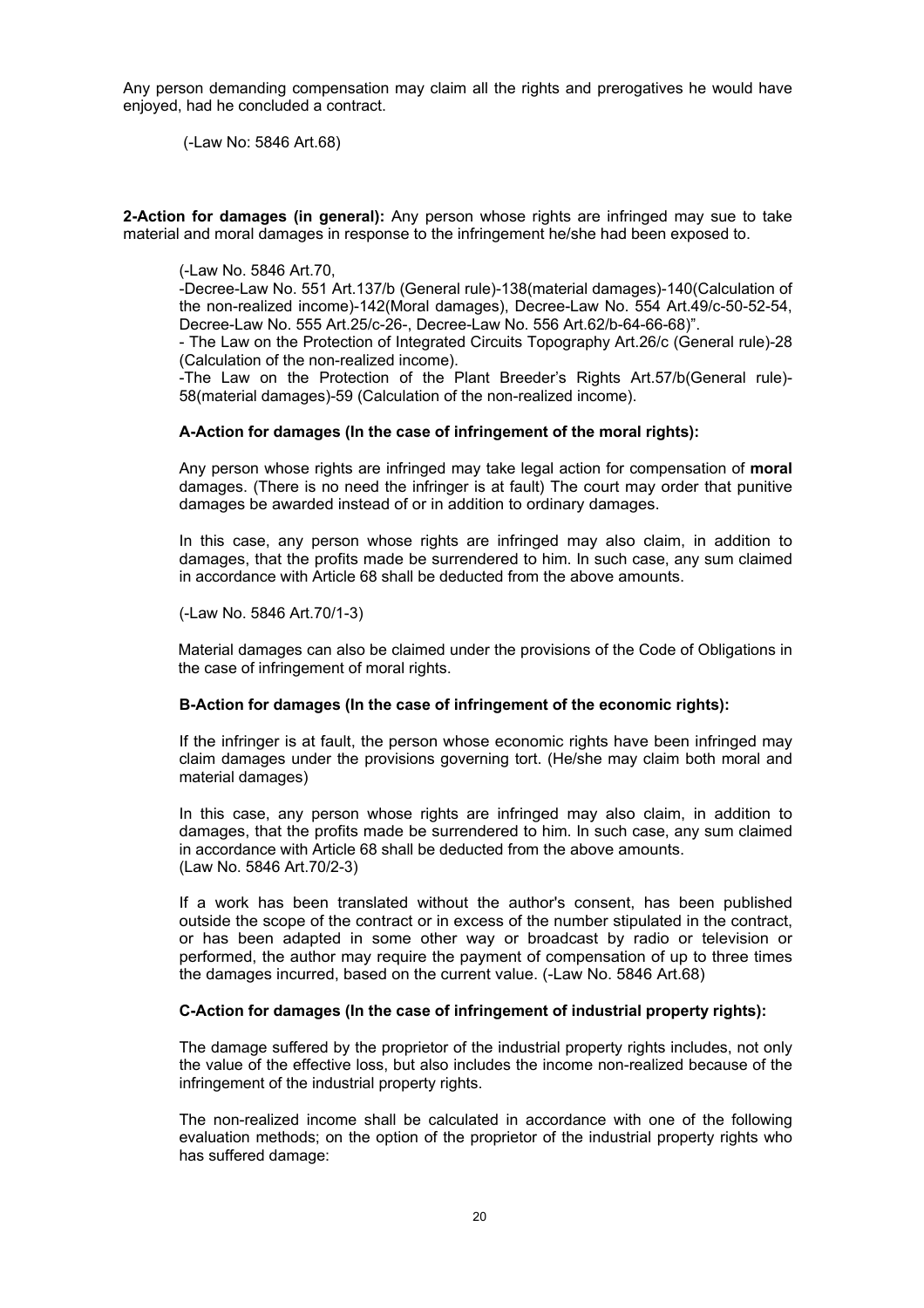Any person demanding compensation may claim all the rights and prerogatives he would have enjoyed, had he concluded a contract.

(-Law No: 5846 Art.68)

**2-Action for damages (in general):** Any person whose rights are infringed may sue to take material and moral damages in response to the infringement he/she had been exposed to.

### (-Law No. 5846 Art.70,

-Decree-Law No. 551 Art.137/b (General rule)-138(material damages)-140(Calculation of the non-realized income)-142(Moral damages), Decree-Law No. 554 Art.49/c-50-52-54, Decree-Law No. 555 Art.25/c-26-, Decree-Law No. 556 Art.62/b-64-66-68)".

- The Law on the Protection of Integrated Circuits Topography Art.26/c (General rule)-28 (Calculation of the non-realized income).

-The Law on the Protection of the Plant Breeder's Rights Art.57/b(General rule)- 58(material damages)-59 (Calculation of the non-realized income).

## **A-Action for damages (In the case of infringement of the moral rights):**

Any person whose rights are infringed may take legal action for compensation of **moral**  damages. (There is no need the infringer is at fault) The court may order that punitive damages be awarded instead of or in addition to ordinary damages.

In this case, any person whose rights are infringed may also claim, in addition to damages, that the profits made be surrendered to him. In such case, any sum claimed in accordance with Article 68 shall be deducted from the above amounts.

(-Law No. 5846 Art.70/1-3)

Material damages can also be claimed under the provisions of the Code of Obligations in the case of infringement of moral rights.

### **B-Action for damages (In the case of infringement of the economic rights):**

If the infringer is at fault, the person whose economic rights have been infringed may claim damages under the provisions governing tort. (He/she may claim both moral and material damages)

In this case, any person whose rights are infringed may also claim, in addition to damages, that the profits made be surrendered to him. In such case, any sum claimed in accordance with Article 68 shall be deducted from the above amounts. (Law No. 5846 Art.70/2-3)

If a work has been translated without the author's consent, has been published outside the scope of the contract or in excess of the number stipulated in the contract, or has been adapted in some other way or broadcast by radio or television or performed, the author may require the payment of compensation of up to three times the damages incurred, based on the current value. (-Law No. 5846 Art.68)

#### **C-Action for damages (In the case of infringement of industrial property rights):**

The damage suffered by the proprietor of the industrial property rights includes, not only the value of the effective loss, but also includes the income non-realized because of the infringement of the industrial property rights.

The non-realized income shall be calculated in accordance with one of the following evaluation methods; on the option of the proprietor of the industrial property rights who has suffered damage: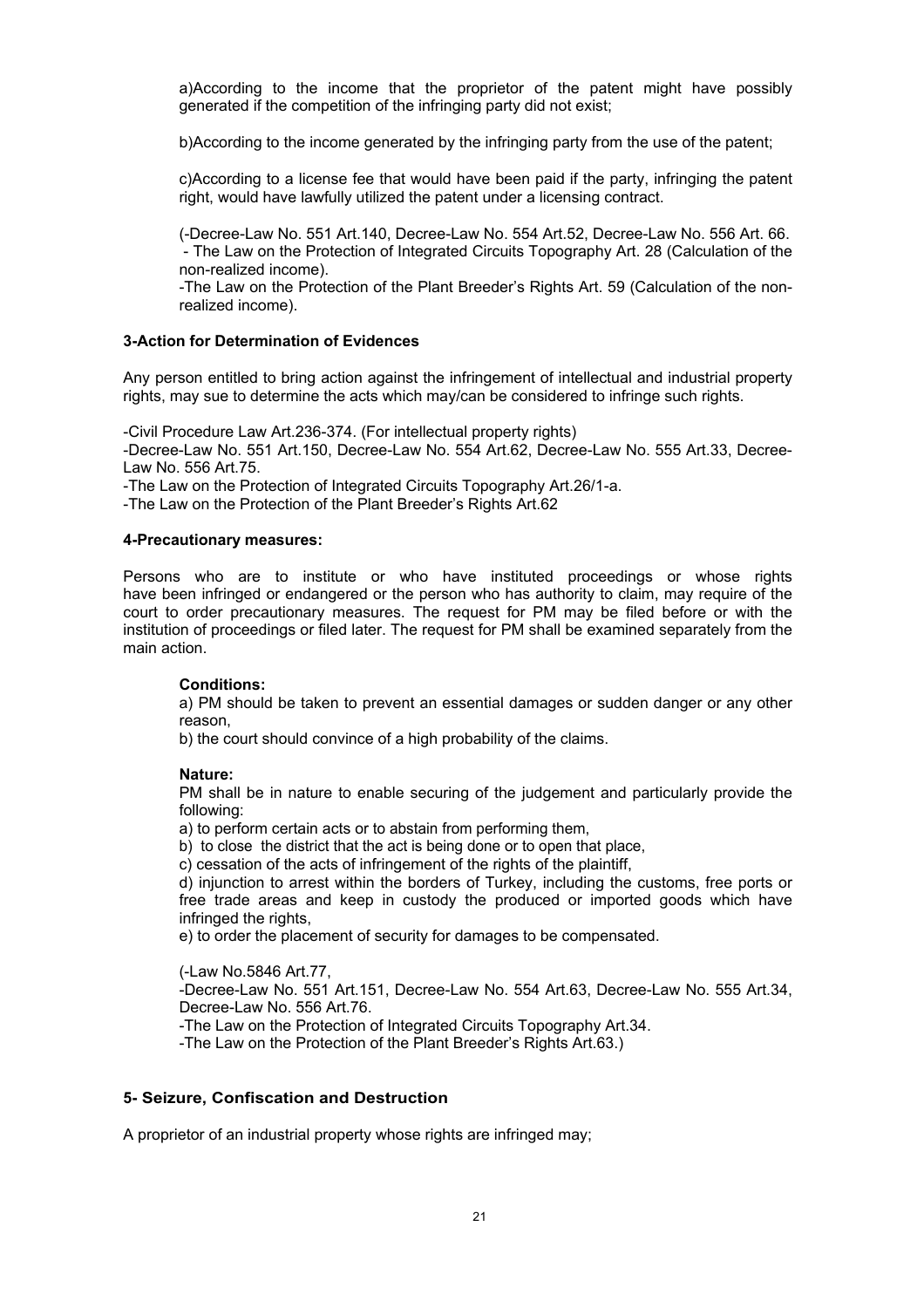a)According to the income that the proprietor of the patent might have possibly generated if the competition of the infringing party did not exist;

b)According to the income generated by the infringing party from the use of the patent;

c)According to a license fee that would have been paid if the party, infringing the patent right, would have lawfully utilized the patent under a licensing contract.

(-Decree-Law No. 551 Art.140, Decree-Law No. 554 Art.52, Decree-Law No. 556 Art. 66. - The Law on the Protection of Integrated Circuits Topography Art. 28 (Calculation of the non-realized income).

-The Law on the Protection of the Plant Breeder's Rights Art. 59 (Calculation of the nonrealized income).

### **3-Action for Determination of Evidences**

Any person entitled to bring action against the infringement of intellectual and industrial property rights, may sue to determine the acts which may/can be considered to infringe such rights.

-Civil Procedure Law Art.236-374. (For intellectual property rights)

-Decree-Law No. 551 Art.150, Decree-Law No. 554 Art.62, Decree-Law No. 555 Art.33, Decree-Law No. 556 Art.75.

-The Law on the Protection of Integrated Circuits Topography Art.26/1-a.

-The Law on the Protection of the Plant Breeder's Rights Art.62

#### **4-Precautionary measures:**

Persons who are to institute or who have instituted proceedings or whose rights have been infringed or endangered or the person who has authority to claim, may require of the court to order precautionary measures. The request for PM may be filed before or with the institution of proceedings or filed later. The request for PM shall be examined separately from the main action.

### **Conditions:**

a) PM should be taken to prevent an essential damages or sudden danger or any other reason,

b) the court should convince of a high probability of the claims.

### **Nature:**

PM shall be in nature to enable securing of the judgement and particularly provide the following:

a) to perform certain acts or to abstain from performing them,

b) to close the district that the act is being done or to open that place,

c) cessation of the acts of infringement of the rights of the plaintiff,

d) injunction to arrest within the borders of Turkey, including the customs, free ports or free trade areas and keep in custody the produced or imported goods which have infringed the rights,

e) to order the placement of security for damages to be compensated.

(-Law No.5846 Art.77,

-Decree-Law No. 551 Art.151, Decree-Law No. 554 Art.63, Decree-Law No. 555 Art.34, Decree-Law No. 556 Art.76.

-The Law on the Protection of Integrated Circuits Topography Art.34.

-The Law on the Protection of the Plant Breeder's Rights Art.63.)

# **5- Seizure, Confiscation and Destruction**

A proprietor of an industrial property whose rights are infringed may;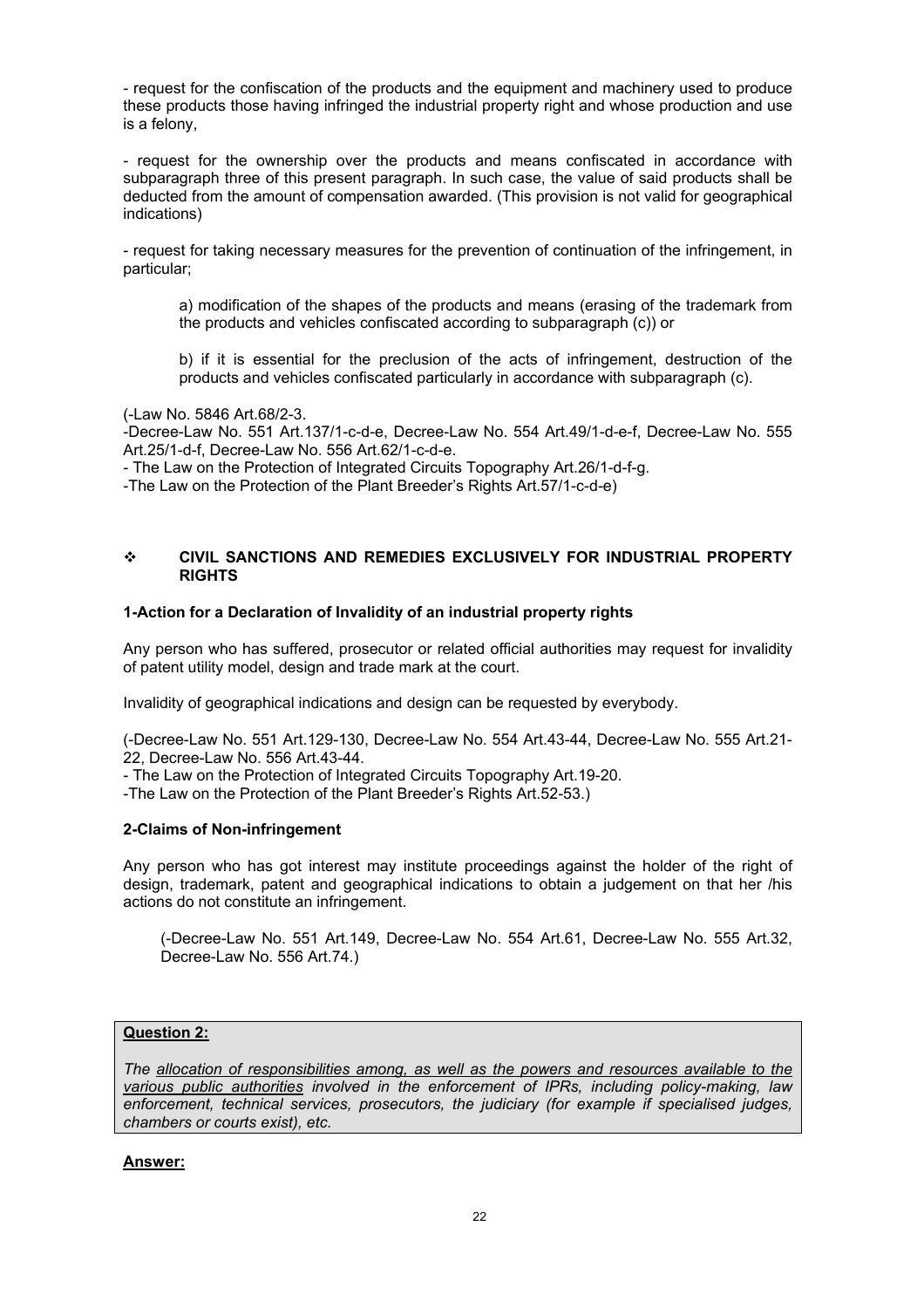- request for the confiscation of the products and the equipment and machinery used to produce these products those having infringed the industrial property right and whose production and use is a felony,

- request for the ownership over the products and means confiscated in accordance with subparagraph three of this present paragraph. In such case, the value of said products shall be deducted from the amount of compensation awarded. (This provision is not valid for geographical indications)

- request for taking necessary measures for the prevention of continuation of the infringement, in particular;

a) modification of the shapes of the products and means (erasing of the trademark from the products and vehicles confiscated according to subparagraph (c)) or

b) if it is essential for the preclusion of the acts of infringement, destruction of the products and vehicles confiscated particularly in accordance with subparagraph (c).

(-Law No. 5846 Art.68/2-3.

-Decree-Law No. 551 Art.137/1-c-d-e, Decree-Law No. 554 Art.49/1-d-e-f, Decree-Law No. 555 Art.25/1-d-f, Decree-Law No. 556 Art.62/1-c-d-e.

- The Law on the Protection of Integrated Circuits Topography Art.26/1-d-f-g.

-The Law on the Protection of the Plant Breeder's Rights Art.57/1-c-d-e)

## **CIVIL SANCTIONS AND REMEDIES EXCLUSIVELY FOR INDUSTRIAL PROPERTY RIGHTS**

#### **1-Action for a Declaration of Invalidity of an industrial property rights**

Any person who has suffered, prosecutor or related official authorities may request for invalidity of patent utility model, design and trade mark at the court.

Invalidity of geographical indications and design can be requested by everybody.

(-Decree-Law No. 551 Art.129-130, Decree-Law No. 554 Art.43-44, Decree-Law No. 555 Art.21- 22, Decree-Law No. 556 Art.43-44.

- The Law on the Protection of Integrated Circuits Topography Art.19-20.

-The Law on the Protection of the Plant Breeder's Rights Art.52-53.)

### **2-Claims of Non-infringement**

Any person who has got interest may institute proceedings against the holder of the right of design, trademark, patent and geographical indications to obtain a judgement on that her /his actions do not constitute an infringement.

(-Decree-Law No. 551 Art.149, Decree-Law No. 554 Art.61, Decree-Law No. 555 Art.32, Decree-Law No. 556 Art.74.)

### **Question 2:**

*The allocation of responsibilities among, as well as the powers and resources available to the various public authorities involved in the enforcement of IPRs, including policy-making, law enforcement, technical services, prosecutors, the judiciary (for example if specialised judges, chambers or courts exist), etc.* 

### **Answer:**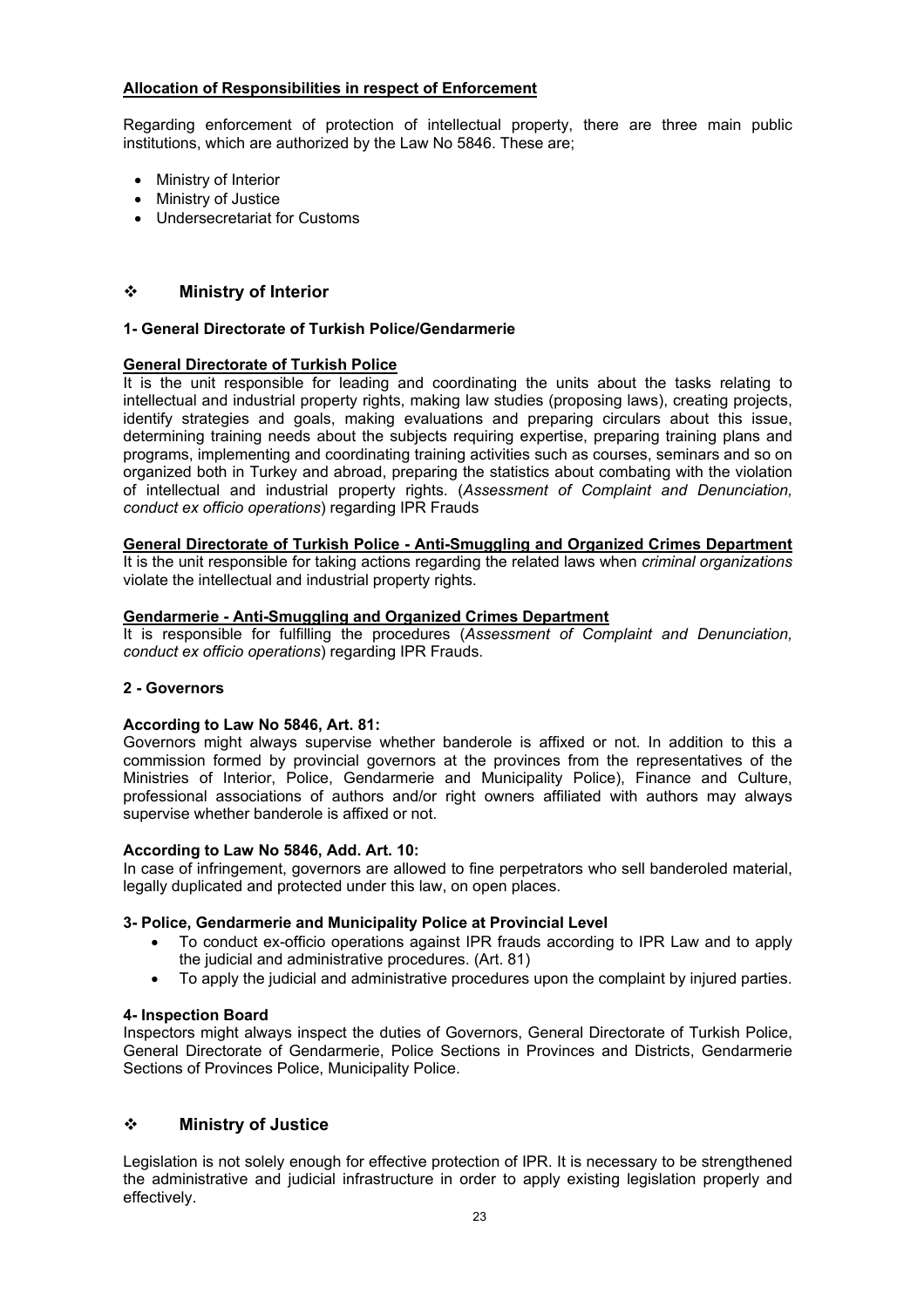## **Allocation of Responsibilities in respect of Enforcement**

Regarding enforcement of protection of intellectual property, there are three main public institutions, which are authorized by the Law No 5846. These are;

- Ministry of Interior
- Ministry of Justice
- Undersecretariat for Customs

## **Ministry of Interior**

## **1- General Directorate of Turkish Police/Gendarmerie**

## **General Directorate of Turkish Police**

It is the unit responsible for leading and coordinating the units about the tasks relating to intellectual and industrial property rights, making law studies (proposing laws), creating projects, identify strategies and goals, making evaluations and preparing circulars about this issue, determining training needs about the subjects requiring expertise, preparing training plans and programs, implementing and coordinating training activities such as courses, seminars and so on organized both in Turkey and abroad, preparing the statistics about combating with the violation of intellectual and industrial property rights. (*Assessment of Complaint and Denunciation, conduct ex officio operations*) regarding IPR Frauds

### **General Directorate of Turkish Police - Anti-Smuggling and Organized Crimes Department**

It is the unit responsible for taking actions regarding the related laws when *criminal organizations* violate the intellectual and industrial property rights.

### **Gendarmerie - Anti-Smuggling and Organized Crimes Department**

It is responsible for fulfilling the procedures (*Assessment of Complaint and Denunciation, conduct ex officio operations*) regarding IPR Frauds.

## **2 - Governors**

## **According to Law No 5846, Art. 81:**

Governors might always supervise whether banderole is affixed or not. In addition to this a commission formed by provincial governors at the provinces from the representatives of the Ministries of Interior, Police, Gendarmerie and Municipality Police), Finance and Culture, professional associations of authors and/or right owners affiliated with authors may always supervise whether banderole is affixed or not.

### **According to Law No 5846, Add. Art. 10:**

In case of infringement, governors are allowed to fine perpetrators who sell banderoled material, legally duplicated and protected under this law, on open places.

## **3- Police, Gendarmerie and Municipality Police at Provincial Level**

- To conduct ex-officio operations against IPR frauds according to IPR Law and to apply the judicial and administrative procedures. (Art. 81)
- To apply the judicial and administrative procedures upon the complaint by injured parties.

## **4- Inspection Board**

Inspectors might always inspect the duties of Governors, General Directorate of Turkish Police, General Directorate of Gendarmerie, Police Sections in Provinces and Districts, Gendarmerie Sections of Provinces Police, Municipality Police.

## **Ministry of Justice**

Legislation is not solely enough for effective protection of IPR. It is necessary to be strengthened the administrative and judicial infrastructure in order to apply existing legislation properly and effectively.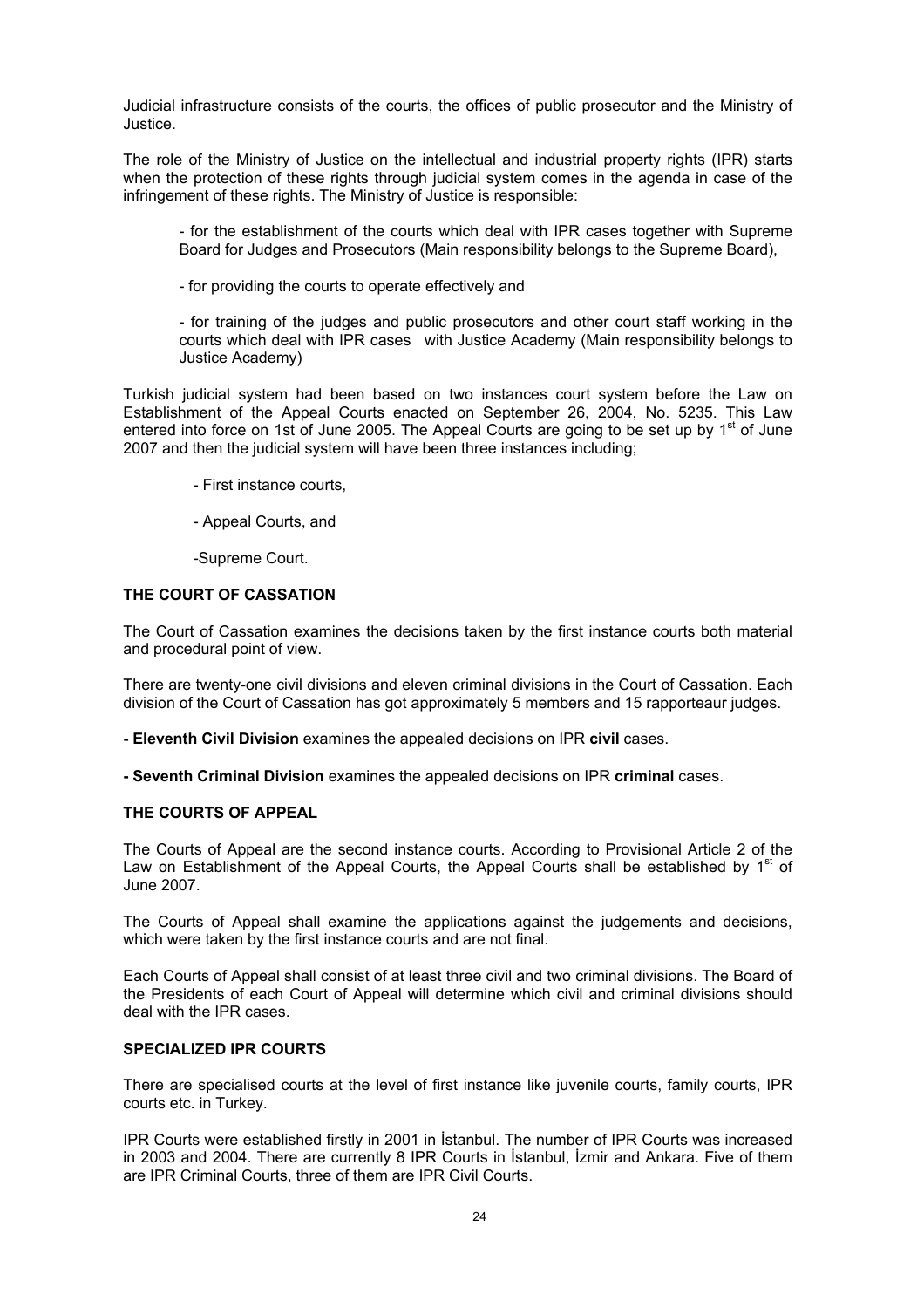Judicial infrastructure consists of the courts, the offices of public prosecutor and the Ministry of Justice.

The role of the Ministry of Justice on the intellectual and industrial property rights (IPR) starts when the protection of these rights through judicial system comes in the agenda in case of the infringement of these rights. The Ministry of Justice is responsible:

- for the establishment of the courts which deal with IPR cases together with Supreme Board for Judges and Prosecutors (Main responsibility belongs to the Supreme Board),

- for providing the courts to operate effectively and

- for training of the judges and public prosecutors and other court staff working in the courts which deal with IPR cases with Justice Academy (Main responsibility belongs to Justice Academy)

Turkish judicial system had been based on two instances court system before the Law on Establishment of the Appeal Courts enacted on September 26, 2004, No. 5235. This Law entered into force on 1st of June 2005. The Appeal Courts are going to be set up by  $1<sup>st</sup>$  of June 2007 and then the judicial system will have been three instances including;

- First instance courts,
- Appeal Courts, and

-Supreme Court.

### **THE COURT OF CASSATION**

The Court of Cassation examines the decisions taken by the first instance courts both material and procedural point of view.

There are twenty-one civil divisions and eleven criminal divisions in the Court of Cassation. Each division of the Court of Cassation has got approximately 5 members and 15 rapporteaur judges.

**- Eleventh Civil Division** examines the appealed decisions on IPR **civil** cases.

**- Seventh Criminal Division** examines the appealed decisions on IPR **criminal** cases.

## **THE COURTS OF APPEAL**

The Courts of Appeal are the second instance courts. According to Provisional Article 2 of the Law on Establishment of the Appeal Courts, the Appeal Courts shall be established by  $1<sup>st</sup>$  of June 2007.

The Courts of Appeal shall examine the applications against the judgements and decisions, which were taken by the first instance courts and are not final.

Each Courts of Appeal shall consist of at least three civil and two criminal divisions. The Board of the Presidents of each Court of Appeal will determine which civil and criminal divisions should deal with the IPR cases.

## **SPECIALIZED IPR COURTS**

There are specialised courts at the level of first instance like juvenile courts, family courts, IPR courts etc. in Turkey.

IPR Courts were established firstly in 2001 in İstanbul. The number of IPR Courts was increased in 2003 and 2004. There are currently 8 IPR Courts in İstanbul, İzmir and Ankara. Five of them are IPR Criminal Courts, three of them are IPR Civil Courts.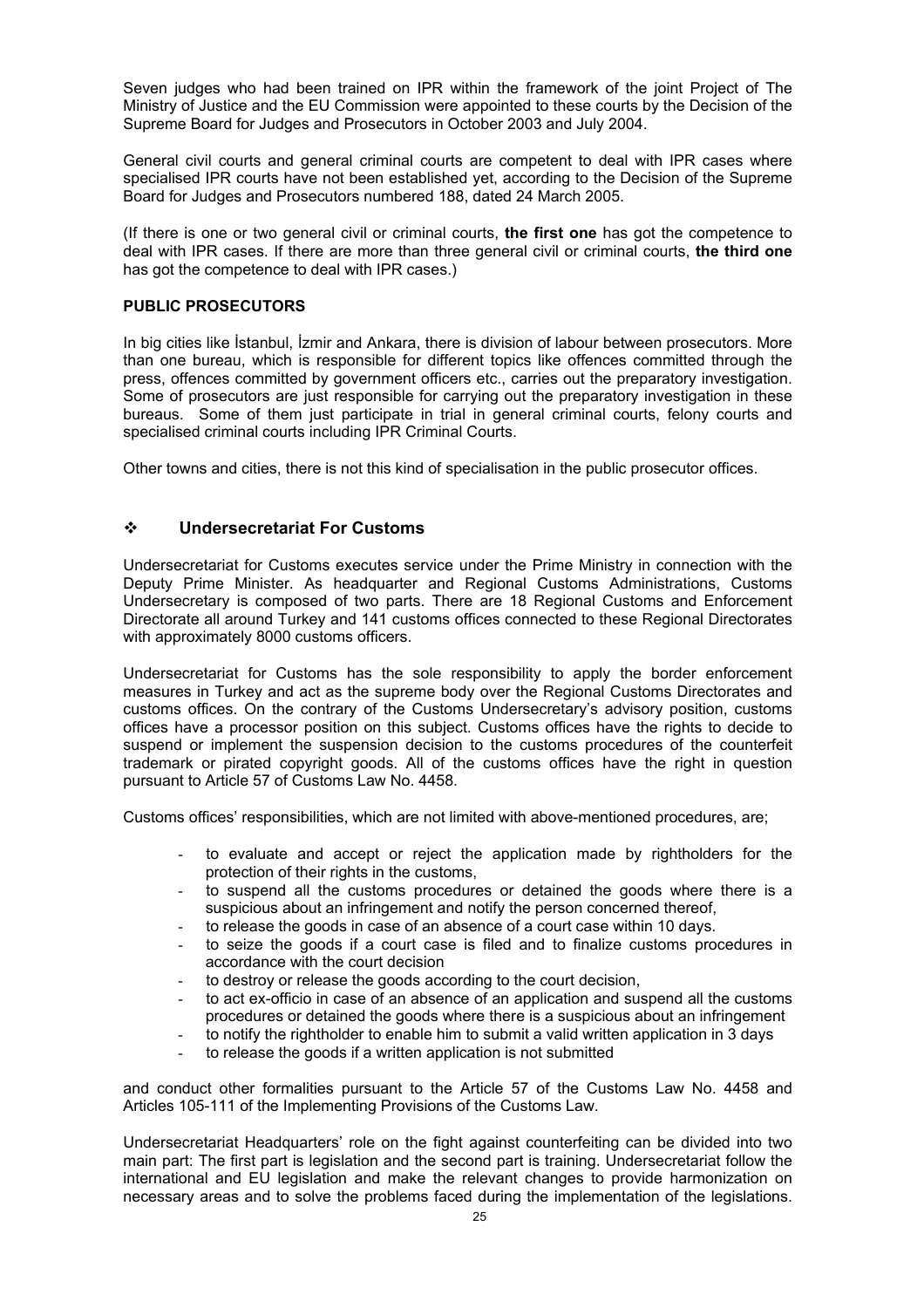Seven judges who had been trained on IPR within the framework of the joint Project of The Ministry of Justice and the EU Commission were appointed to these courts by the Decision of the Supreme Board for Judges and Prosecutors in October 2003 and July 2004.

General civil courts and general criminal courts are competent to deal with IPR cases where specialised IPR courts have not been established yet, according to the Decision of the Supreme Board for Judges and Prosecutors numbered 188, dated 24 March 2005.

(If there is one or two general civil or criminal courts, **the first one** has got the competence to deal with IPR cases. If there are more than three general civil or criminal courts, **the third one** has got the competence to deal with IPR cases.)

## **PUBLIC PROSECUTORS**

In big cities like İstanbul, İzmir and Ankara, there is division of labour between prosecutors. More than one bureau, which is responsible for different topics like offences committed through the press, offences committed by government officers etc., carries out the preparatory investigation. Some of prosecutors are just responsible for carrying out the preparatory investigation in these bureaus. Some of them just participate in trial in general criminal courts, felony courts and specialised criminal courts including IPR Criminal Courts.

Other towns and cities, there is not this kind of specialisation in the public prosecutor offices.

## **Undersecretariat For Customs**

Undersecretariat for Customs executes service under the Prime Ministry in connection with the Deputy Prime Minister. As headquarter and Regional Customs Administrations, Customs Undersecretary is composed of two parts. There are 18 Regional Customs and Enforcement Directorate all around Turkey and 141 customs offices connected to these Regional Directorates with approximately 8000 customs officers.

Undersecretariat for Customs has the sole responsibility to apply the border enforcement measures in Turkey and act as the supreme body over the Regional Customs Directorates and customs offices. On the contrary of the Customs Undersecretary's advisory position, customs offices have a processor position on this subject. Customs offices have the rights to decide to suspend or implement the suspension decision to the customs procedures of the counterfeit trademark or pirated copyright goods. All of the customs offices have the right in question pursuant to Article 57 of Customs Law No. 4458.

Customs offices' responsibilities, which are not limited with above-mentioned procedures, are;

- to evaluate and accept or reject the application made by rightholders for the protection of their rights in the customs,
- to suspend all the customs procedures or detained the goods where there is a suspicious about an infringement and notify the person concerned thereof,
- to release the goods in case of an absence of a court case within 10 days.
- to seize the goods if a court case is filed and to finalize customs procedures in accordance with the court decision
- to destroy or release the goods according to the court decision,
- to act ex-officio in case of an absence of an application and suspend all the customs procedures or detained the goods where there is a suspicious about an infringement
- to notify the rightholder to enable him to submit a valid written application in 3 days
- to release the goods if a written application is not submitted

and conduct other formalities pursuant to the Article 57 of the Customs Law No. 4458 and Articles 105-111 of the Implementing Provisions of the Customs Law.

Undersecretariat Headquarters' role on the fight against counterfeiting can be divided into two main part: The first part is legislation and the second part is training. Undersecretariat follow the international and EU legislation and make the relevant changes to provide harmonization on necessary areas and to solve the problems faced during the implementation of the legislations.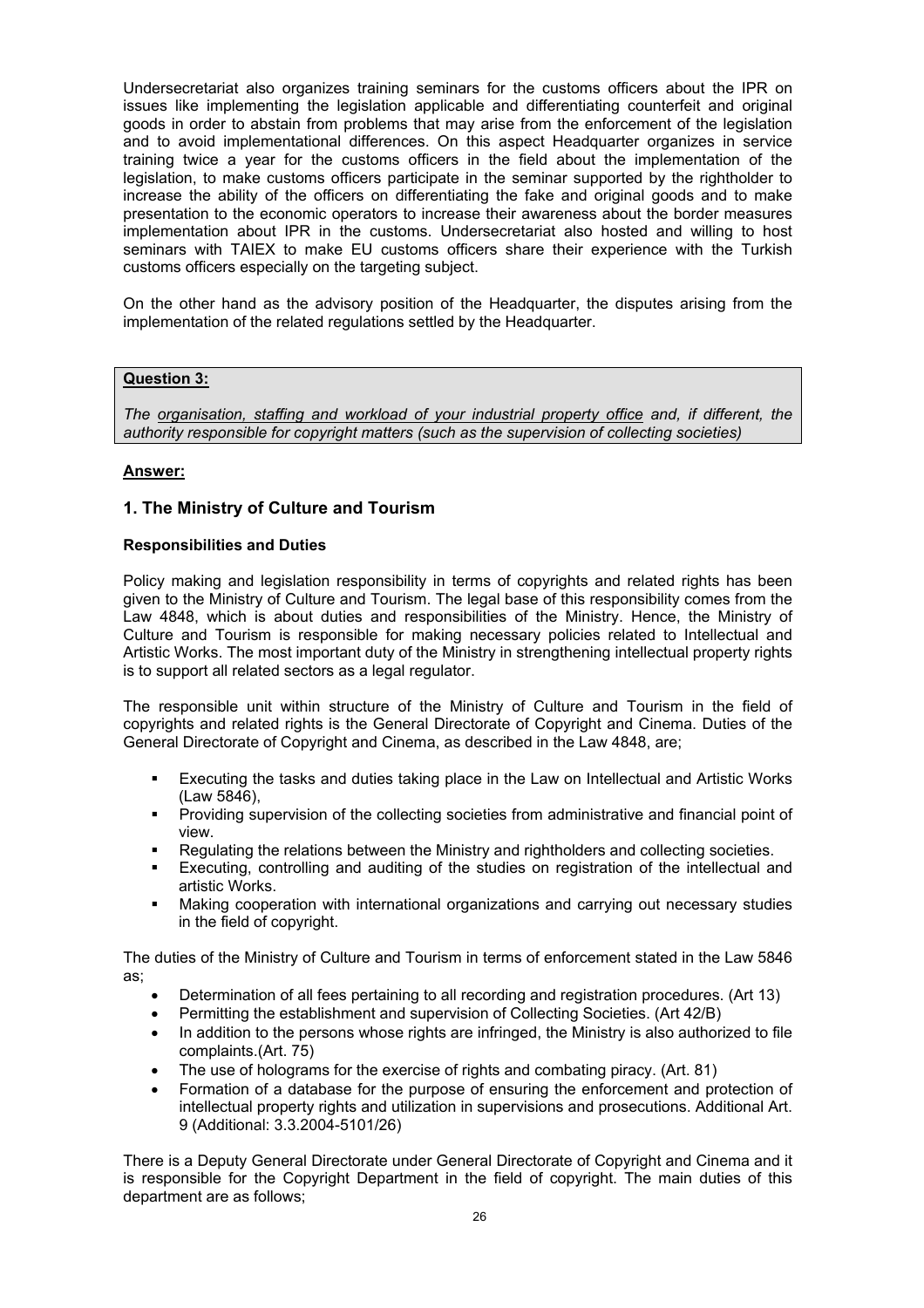Undersecretariat also organizes training seminars for the customs officers about the IPR on issues like implementing the legislation applicable and differentiating counterfeit and original goods in order to abstain from problems that may arise from the enforcement of the legislation and to avoid implementational differences. On this aspect Headquarter organizes in service training twice a year for the customs officers in the field about the implementation of the legislation, to make customs officers participate in the seminar supported by the rightholder to increase the ability of the officers on differentiating the fake and original goods and to make presentation to the economic operators to increase their awareness about the border measures implementation about IPR in the customs. Undersecretariat also hosted and willing to host seminars with TAIEX to make EU customs officers share their experience with the Turkish customs officers especially on the targeting subject.

On the other hand as the advisory position of the Headquarter, the disputes arising from the implementation of the related regulations settled by the Headquarter.

## **Question 3:**

*The organisation, staffing and workload of your industrial property office and, if different, the authority responsible for copyright matters (such as the supervision of collecting societies)* 

## **Answer:**

## **1. The Ministry of Culture and Tourism**

### **Responsibilities and Duties**

Policy making and legislation responsibility in terms of copyrights and related rights has been given to the Ministry of Culture and Tourism. The legal base of this responsibility comes from the Law 4848, which is about duties and responsibilities of the Ministry. Hence, the Ministry of Culture and Tourism is responsible for making necessary policies related to Intellectual and Artistic Works. The most important duty of the Ministry in strengthening intellectual property rights is to support all related sectors as a legal regulator.

The responsible unit within structure of the Ministry of Culture and Tourism in the field of copyrights and related rights is the General Directorate of Copyright and Cinema. Duties of the General Directorate of Copyright and Cinema, as described in the Law 4848, are;

- Executing the tasks and duties taking place in the Law on Intellectual and Artistic Works (Law 5846),
- Providing supervision of the collecting societies from administrative and financial point of view.
- Regulating the relations between the Ministry and rightholders and collecting societies.
- Executing, controlling and auditing of the studies on registration of the intellectual and artistic Works.
- Making cooperation with international organizations and carrying out necessary studies in the field of copyright.

The duties of the Ministry of Culture and Tourism in terms of enforcement stated in the Law 5846 as;

- Determination of all fees pertaining to all recording and registration procedures. (Art 13)
- Permitting the establishment and supervision of Collecting Societies. (Art 42/B)
- In addition to the persons whose rights are infringed, the Ministry is also authorized to file complaints.(Art. 75)
- The use of holograms for the exercise of rights and combating piracy. (Art. 81)
- Formation of a database for the purpose of ensuring the enforcement and protection of intellectual property rights and utilization in supervisions and prosecutions. Additional Art. 9 (Additional: 3.3.2004-5101/26)

There is a Deputy General Directorate under General Directorate of Copyright and Cinema and it is responsible for the Copyright Department in the field of copyright. The main duties of this department are as follows;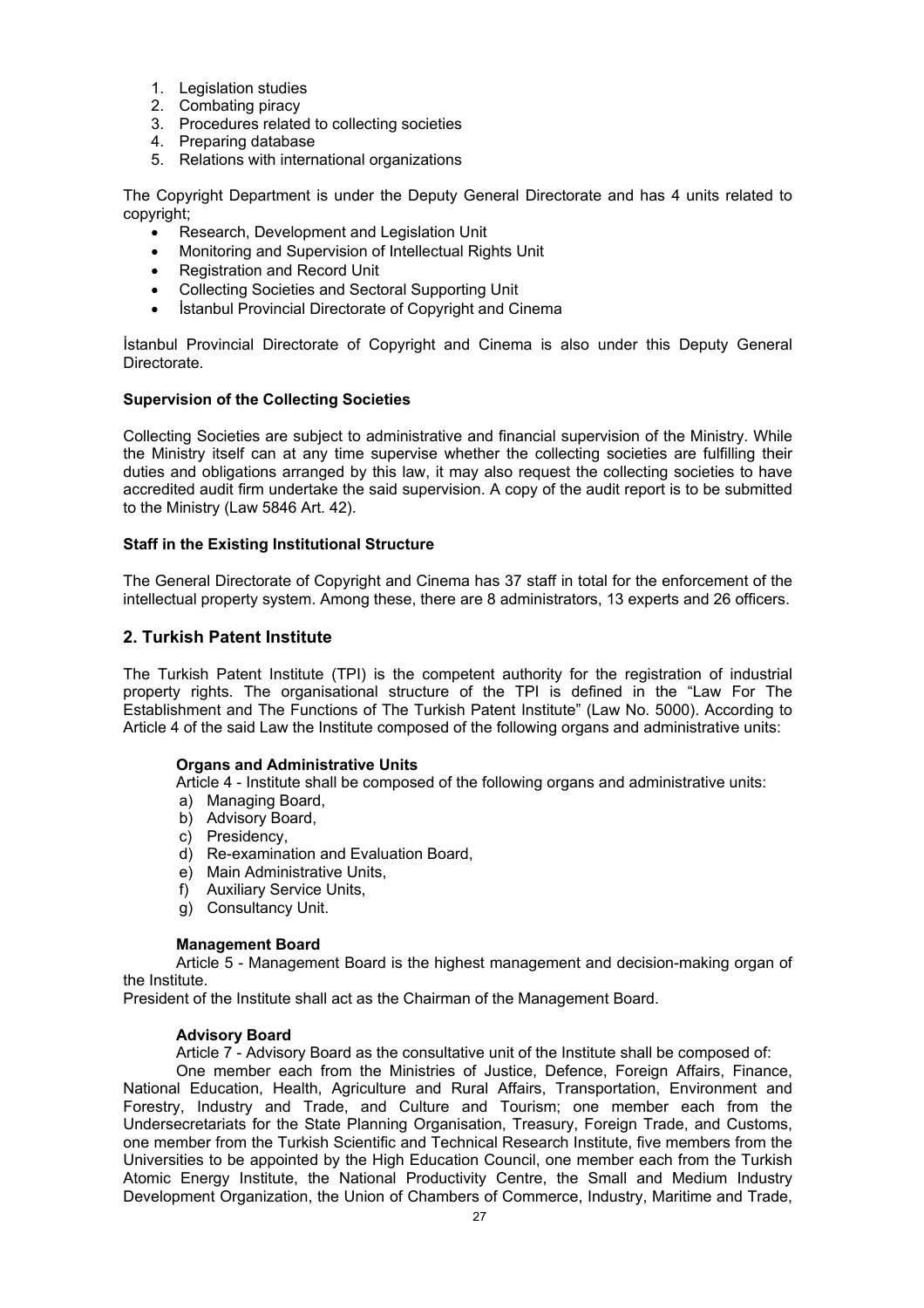- 1. Legislation studies
- 2. Combating piracy
- 3. Procedures related to collecting societies
- 4. Preparing database
- 5. Relations with international organizations

The Copyright Department is under the Deputy General Directorate and has 4 units related to copyright;

- Research, Development and Legislation Unit
- Monitoring and Supervision of Intellectual Rights Unit
- Registration and Record Unit
- Collecting Societies and Sectoral Supporting Unit
- İstanbul Provincial Directorate of Copyright and Cinema

İstanbul Provincial Directorate of Copyright and Cinema is also under this Deputy General Directorate.

## **Supervision of the Collecting Societies**

Collecting Societies are subject to administrative and financial supervision of the Ministry. While the Ministry itself can at any time supervise whether the collecting societies are fulfilling their duties and obligations arranged by this law, it may also request the collecting societies to have accredited audit firm undertake the said supervision. A copy of the audit report is to be submitted to the Ministry (Law 5846 Art. 42).

## **Staff in the Existing Institutional Structure**

The General Directorate of Copyright and Cinema has 37 staff in total for the enforcement of the intellectual property system. Among these, there are 8 administrators, 13 experts and 26 officers.

## **2. Turkish Patent Institute**

The Turkish Patent Institute (TPI) is the competent authority for the registration of industrial property rights. The organisational structure of the TPI is defined in the "Law For The Establishment and The Functions of The Turkish Patent Institute" (Law No. 5000). According to Article 4 of the said Law the Institute composed of the following organs and administrative units:

### **Organs and Administrative Units**

Article 4 - Institute shall be composed of the following organs and administrative units:

- a) Managing Board,
- b) Advisory Board,
- c) Presidency,
- d) Re-examination and Evaluation Board,
- e) Main Administrative Units,
- f) Auxiliary Service Units,
- g) Consultancy Unit.

## **Management Board**

Article 5 - Management Board is the highest management and decision-making organ of the Institute.

President of the Institute shall act as the Chairman of the Management Board.

### **Advisory Board**

Article 7 - Advisory Board as the consultative unit of the Institute shall be composed of:

One member each from the Ministries of Justice, Defence, Foreign Affairs, Finance, National Education, Health, Agriculture and Rural Affairs, Transportation, Environment and Forestry, Industry and Trade, and Culture and Tourism; one member each from the Undersecretariats for the State Planning Organisation, Treasury, Foreign Trade, and Customs, one member from the Turkish Scientific and Technical Research Institute, five members from the Universities to be appointed by the High Education Council, one member each from the Turkish Atomic Energy Institute, the National Productivity Centre, the Small and Medium Industry Development Organization, the Union of Chambers of Commerce, Industry, Maritime and Trade,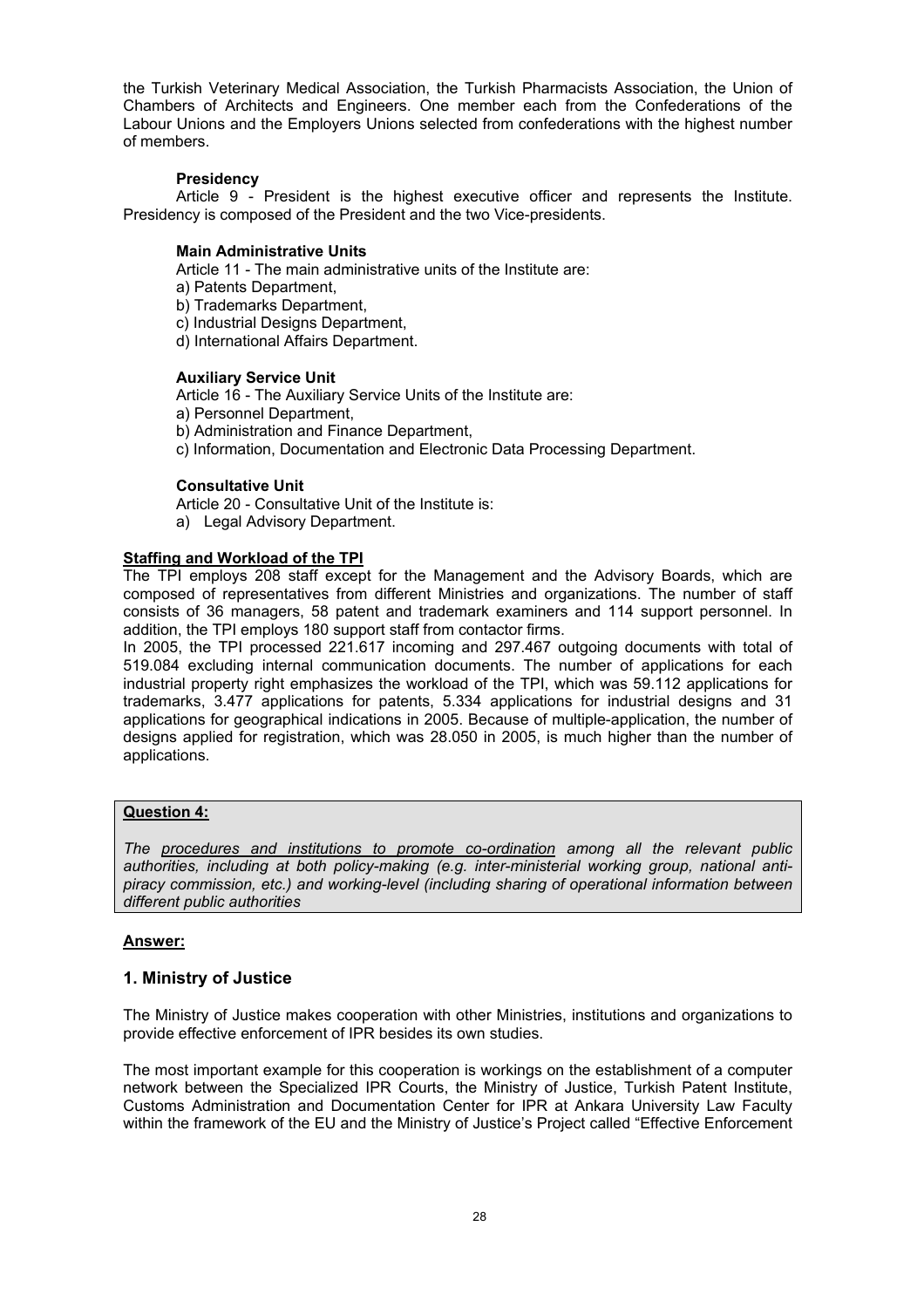the Turkish Veterinary Medical Association, the Turkish Pharmacists Association, the Union of Chambers of Architects and Engineers. One member each from the Confederations of the Labour Unions and the Employers Unions selected from confederations with the highest number of members.

## **Presidency**

Article 9 - President is the highest executive officer and represents the Institute. Presidency is composed of the President and the two Vice-presidents.

## **Main Administrative Units**

Article 11 - The main administrative units of the Institute are:

- a) Patents Department,
- b) Trademarks Department,
- c) Industrial Designs Department,
- d) International Affairs Department.

## **Auxiliary Service Unit**

Article 16 - The Auxiliary Service Units of the Institute are:

- a) Personnel Department,
- b) Administration and Finance Department,
- c) Information, Documentation and Electronic Data Processing Department.

## **Consultative Unit**

Article 20 - Consultative Unit of the Institute is:

a) Legal Advisory Department.

## **Staffing and Workload of the TPI**

The TPI employs 208 staff except for the Management and the Advisory Boards, which are composed of representatives from different Ministries and organizations. The number of staff consists of 36 managers, 58 patent and trademark examiners and 114 support personnel. In addition, the TPI employs 180 support staff from contactor firms.

In 2005, the TPI processed 221.617 incoming and 297.467 outgoing documents with total of 519.084 excluding internal communication documents. The number of applications for each industrial property right emphasizes the workload of the TPI, which was 59.112 applications for trademarks, 3.477 applications for patents, 5.334 applications for industrial designs and 31 applications for geographical indications in 2005. Because of multiple-application, the number of designs applied for registration, which was 28.050 in 2005, is much higher than the number of applications.

## **Question 4:**

*The procedures and institutions to promote co-ordination among all the relevant public authorities, including at both policy-making (e.g. inter-ministerial working group, national antipiracy commission, etc.) and working-level (including sharing of operational information between different public authorities* 

## **Answer:**

## **1. Ministry of Justice**

The Ministry of Justice makes cooperation with other Ministries, institutions and organizations to provide effective enforcement of IPR besides its own studies.

The most important example for this cooperation is workings on the establishment of a computer network between the Specialized IPR Courts, the Ministry of Justice, Turkish Patent Institute, Customs Administration and Documentation Center for IPR at Ankara University Law Faculty within the framework of the EU and the Ministry of Justice's Project called "Effective Enforcement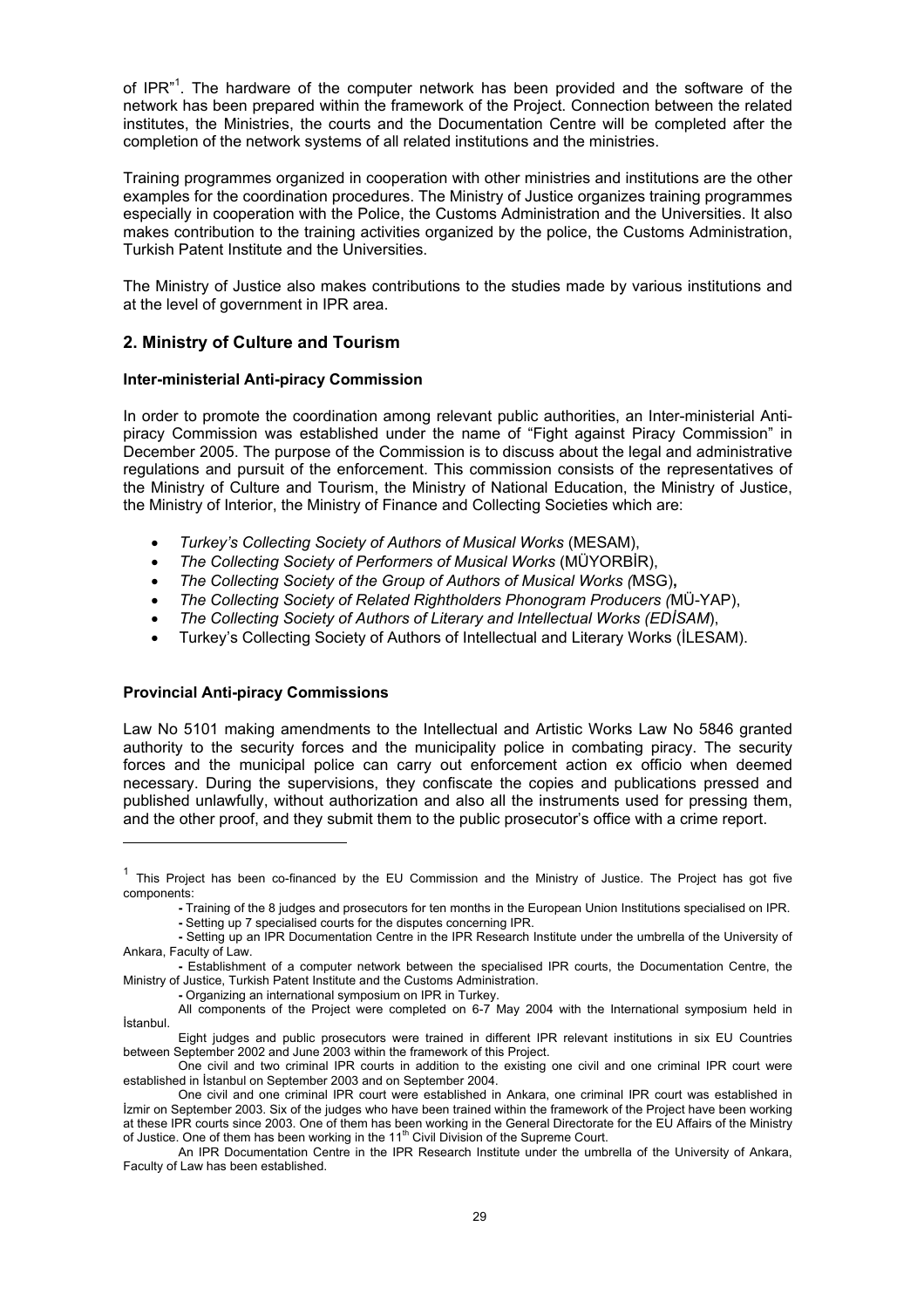of IPR"<sup>1</sup>. The hardware of the computer network has been provided and the software of the network has been prepared within the framework of the Project. Connection between the related institutes, the Ministries, the courts and the Documentation Centre will be completed after the completion of the network systems of all related institutions and the ministries.

Training programmes organized in cooperation with other ministries and institutions are the other examples for the coordination procedures. The Ministry of Justice organizes training programmes especially in cooperation with the Police, the Customs Administration and the Universities. It also makes contribution to the training activities organized by the police, the Customs Administration, Turkish Patent Institute and the Universities.

The Ministry of Justice also makes contributions to the studies made by various institutions and at the level of government in IPR area.

## **2. Ministry of Culture and Tourism**

### **Inter-ministerial Anti-piracy Commission**

In order to promote the coordination among relevant public authorities, an Inter-ministerial Antipiracy Commission was established under the name of "Fight against Piracy Commission" in December 2005. The purpose of the Commission is to discuss about the legal and administrative regulations and pursuit of the enforcement. This commission consists of the representatives of the Ministry of Culture and Tourism, the Ministry of National Education, the Ministry of Justice, the Ministry of Interior, the Ministry of Finance and Collecting Societies which are:

- *Turkey's Collecting Society of Authors of Musical Works* (MESAM),
- *The Collecting Society of Performers of Musical Works* (MÜYORBİR),
- *The Collecting Society of the Group of Authors of Musical Works (*MSG)**,**
- *The Collecting Society of Related Rightholders Phonogram Producers (*MÜ-YAP),
- *The Collecting Society of Authors of Literary and Intellectual Works (EDİSAM*),
- Turkey's Collecting Society of Authors of Intellectual and Literary Works (İLESAM).

### **Provincial Anti-piracy Commissions**

l

Law No 5101 making amendments to the Intellectual and Artistic Works Law No 5846 granted authority to the security forces and the municipality police in combating piracy. The security forces and the municipal police can carry out enforcement action ex officio when deemed necessary. During the supervisions, they confiscate the copies and publications pressed and published unlawfully, without authorization and also all the instruments used for pressing them, and the other proof, and they submit them to the public prosecutor's office with a crime report.

- Training of the 8 judges and prosecutors for ten months in the European Union Institutions specialised on IPR.
- Setting up 7 specialised courts for the disputes concerning IPR.

 $1$  This Project has been co-financed by the EU Commission and the Ministry of Justice. The Project has got five components:

**<sup>-</sup>** Setting up an IPR Documentation Centre in the IPR Research Institute under the umbrella of the University of Ankara, Faculty of Law.

**<sup>-</sup>** Establishment of a computer network between the specialised IPR courts, the Documentation Centre, the Ministry of Justice, Turkish Patent Institute and the Customs Administration.

**<sup>-</sup>** Organizing an international symposium on IPR in Turkey.

All components of the Project were completed on 6-7 May 2004 with the International symposium held in İstanbul.

Eight judges and public prosecutors were trained in different IPR relevant institutions in six EU Countries between September 2002 and June 2003 within the framework of this Project.

One civil and two criminal IPR courts in addition to the existing one civil and one criminal IPR court were established in İstanbul on September 2003 and on September 2004.

One civil and one criminal IPR court were established in Ankara, one criminal IPR court was established in İzmir on September 2003. Six of the judges who have been trained within the framework of the Project have been working at these IPR courts since 2003. One of them has been working in the General Directorate for the EU Affairs of the Ministry of Justice. One of them has been working in the  $11<sup>th</sup>$  Civil Division of the Supreme Court.

An IPR Documentation Centre in the IPR Research Institute under the umbrella of the University of Ankara, Faculty of Law has been established.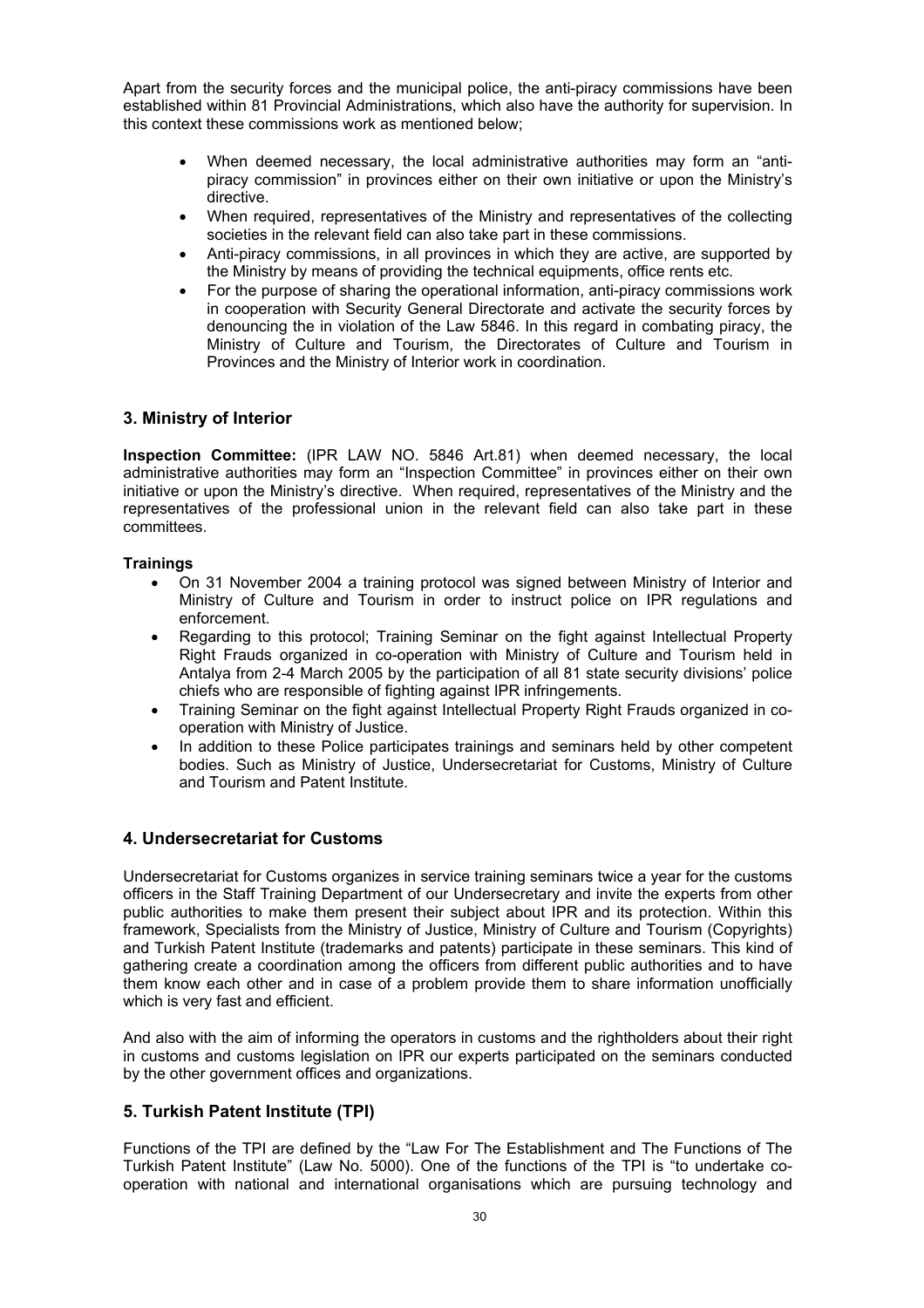Apart from the security forces and the municipal police, the anti-piracy commissions have been established within 81 Provincial Administrations, which also have the authority for supervision. In this context these commissions work as mentioned below;

- When deemed necessary, the local administrative authorities may form an "antipiracy commission" in provinces either on their own initiative or upon the Ministry's directive.
- When required, representatives of the Ministry and representatives of the collecting societies in the relevant field can also take part in these commissions.
- Anti-piracy commissions, in all provinces in which they are active, are supported by the Ministry by means of providing the technical equipments, office rents etc.
- For the purpose of sharing the operational information, anti-piracy commissions work in cooperation with Security General Directorate and activate the security forces by denouncing the in violation of the Law 5846. In this regard in combating piracy, the Ministry of Culture and Tourism, the Directorates of Culture and Tourism in Provinces and the Ministry of Interior work in coordination.

## **3. Ministry of Interior**

**Inspection Committee:** (IPR LAW NO. 5846 Art.81) when deemed necessary, the local administrative authorities may form an "Inspection Committee" in provinces either on their own initiative or upon the Ministry's directive. When required, representatives of the Ministry and the representatives of the professional union in the relevant field can also take part in these committees.

## **Trainings**

- On 31 November 2004 a training protocol was signed between Ministry of Interior and Ministry of Culture and Tourism in order to instruct police on IPR regulations and enforcement.
- Regarding to this protocol; Training Seminar on the fight against Intellectual Property Right Frauds organized in co-operation with Ministry of Culture and Tourism held in Antalya from 2-4 March 2005 by the participation of all 81 state security divisions' police chiefs who are responsible of fighting against IPR infringements.
- Training Seminar on the fight against Intellectual Property Right Frauds organized in cooperation with Ministry of Justice.
- In addition to these Police participates trainings and seminars held by other competent bodies. Such as Ministry of Justice, Undersecretariat for Customs, Ministry of Culture and Tourism and Patent Institute.

## **4. Undersecretariat for Customs**

Undersecretariat for Customs organizes in service training seminars twice a year for the customs officers in the Staff Training Department of our Undersecretary and invite the experts from other public authorities to make them present their subject about IPR and its protection. Within this framework, Specialists from the Ministry of Justice, Ministry of Culture and Tourism (Copyrights) and Turkish Patent Institute (trademarks and patents) participate in these seminars. This kind of gathering create a coordination among the officers from different public authorities and to have them know each other and in case of a problem provide them to share information unofficially which is very fast and efficient.

And also with the aim of informing the operators in customs and the rightholders about their right in customs and customs legislation on IPR our experts participated on the seminars conducted by the other government offices and organizations.

## **5. Turkish Patent Institute (TPI)**

Functions of the TPI are defined by the "Law For The Establishment and The Functions of The Turkish Patent Institute" (Law No. 5000). One of the functions of the TPI is "to undertake cooperation with national and international organisations which are pursuing technology and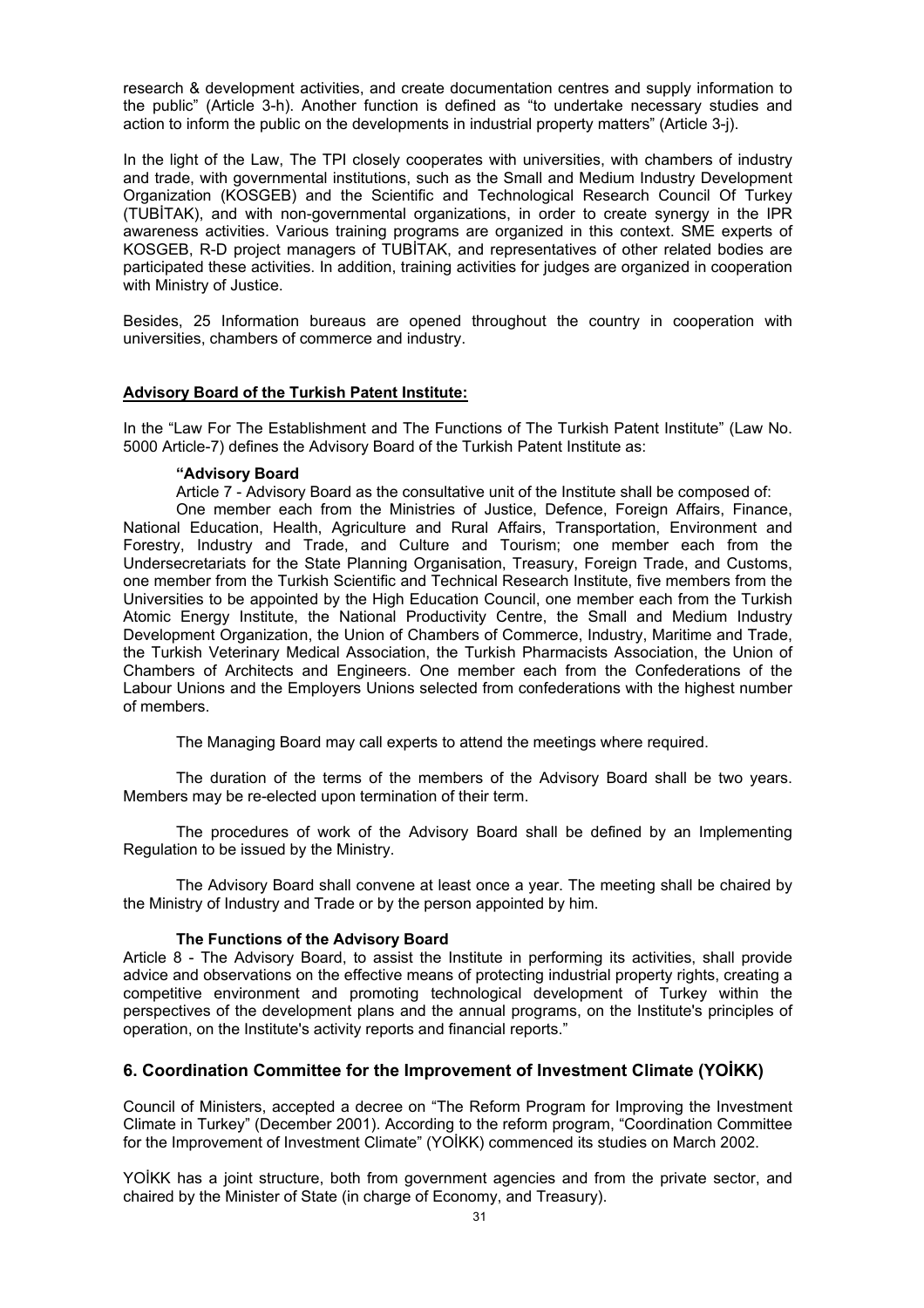research & development activities, and create documentation centres and supply information to the public" (Article 3-h). Another function is defined as "to undertake necessary studies and action to inform the public on the developments in industrial property matters" (Article 3-j).

In the light of the Law, The TPI closely cooperates with universities, with chambers of industry and trade, with governmental institutions, such as the Small and Medium Industry Development Organization (KOSGEB) and the Scientific and Technological Research Council Of Turkey (TUBİTAK), and with non-governmental organizations, in order to create synergy in the IPR awareness activities. Various training programs are organized in this context. SME experts of KOSGEB, R-D project managers of TUBİTAK, and representatives of other related bodies are participated these activities. In addition, training activities for judges are organized in cooperation with Ministry of Justice.

Besides, 25 Information bureaus are opened throughout the country in cooperation with universities, chambers of commerce and industry.

### **Advisory Board of the Turkish Patent Institute:**

In the "Law For The Establishment and The Functions of The Turkish Patent Institute" (Law No. 5000 Article-7) defines the Advisory Board of the Turkish Patent Institute as:

#### **"Advisory Board**

Article 7 - Advisory Board as the consultative unit of the Institute shall be composed of:

One member each from the Ministries of Justice, Defence, Foreign Affairs, Finance, National Education, Health, Agriculture and Rural Affairs, Transportation, Environment and Forestry, Industry and Trade, and Culture and Tourism; one member each from the Undersecretariats for the State Planning Organisation, Treasury, Foreign Trade, and Customs, one member from the Turkish Scientific and Technical Research Institute, five members from the Universities to be appointed by the High Education Council, one member each from the Turkish Atomic Energy Institute, the National Productivity Centre, the Small and Medium Industry Development Organization, the Union of Chambers of Commerce, Industry, Maritime and Trade, the Turkish Veterinary Medical Association, the Turkish Pharmacists Association, the Union of Chambers of Architects and Engineers. One member each from the Confederations of the Labour Unions and the Employers Unions selected from confederations with the highest number of members.

The Managing Board may call experts to attend the meetings where required.

The duration of the terms of the members of the Advisory Board shall be two years. Members may be re-elected upon termination of their term.

The procedures of work of the Advisory Board shall be defined by an Implementing Regulation to be issued by the Ministry.

The Advisory Board shall convene at least once a year. The meeting shall be chaired by the Ministry of Industry and Trade or by the person appointed by him.

### **The Functions of the Advisory Board**

Article 8 - The Advisory Board, to assist the Institute in performing its activities, shall provide advice and observations on the effective means of protecting industrial property rights, creating a competitive environment and promoting technological development of Turkey within the perspectives of the development plans and the annual programs, on the Institute's principles of operation, on the Institute's activity reports and financial reports."

## **6. Coordination Committee for the Improvement of Investment Climate (YOİKK)**

Council of Ministers, accepted a decree on "The Reform Program for Improving the Investment Climate in Turkey" (December 2001). According to the reform program, "Coordination Committee for the Improvement of Investment Climate" (YOİKK) commenced its studies on March 2002.

YOİKK has a joint structure, both from government agencies and from the private sector, and chaired by the Minister of State (in charge of Economy, and Treasury).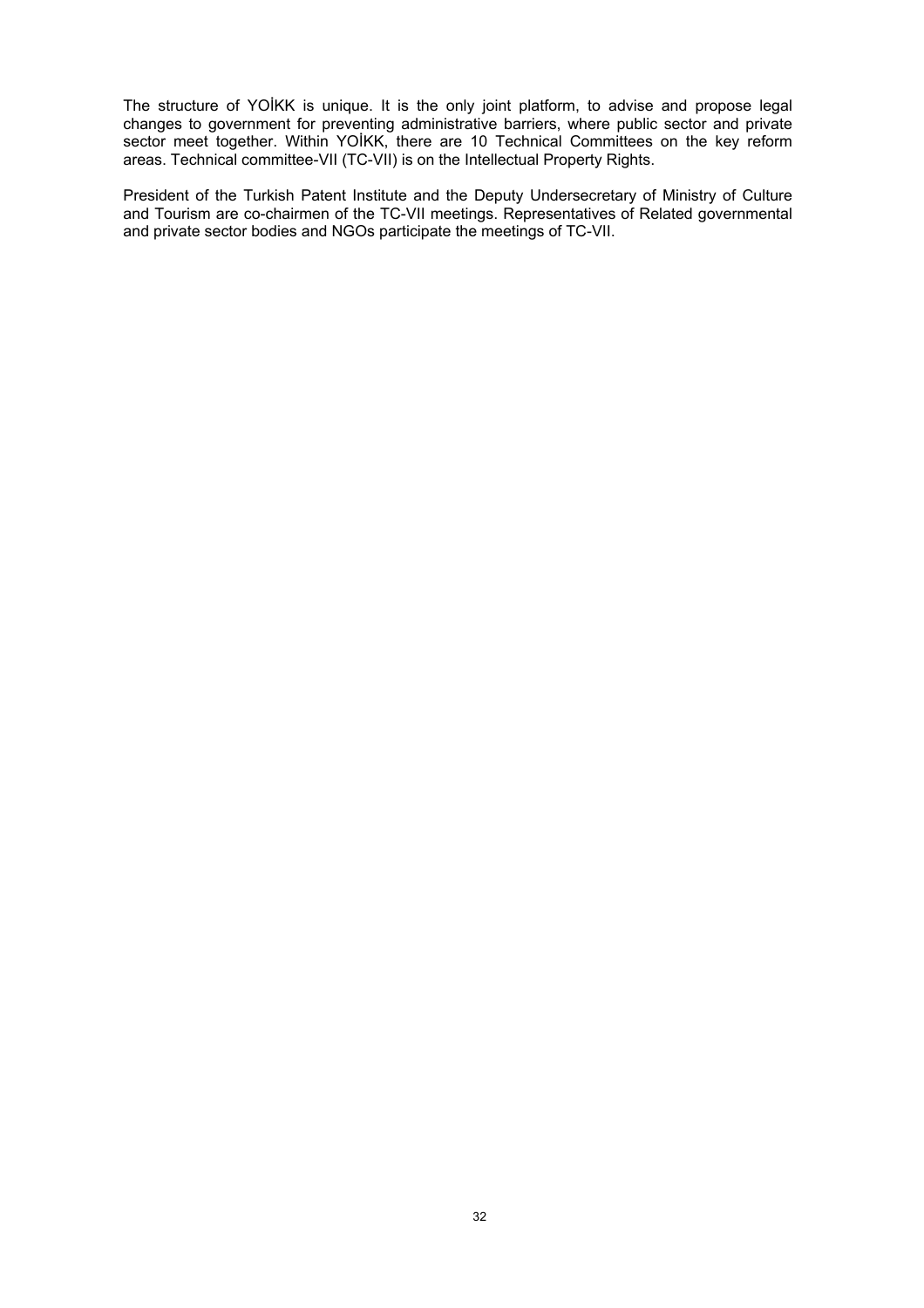The structure of YOİKK is unique. It is the only joint platform, to advise and propose legal changes to government for preventing administrative barriers, where public sector and private sector meet together. Within YOİKK, there are 10 Technical Committees on the key reform areas. Technical committee-VII (TC-VII) is on the Intellectual Property Rights.

President of the Turkish Patent Institute and the Deputy Undersecretary of Ministry of Culture and Tourism are co-chairmen of the TC-VII meetings. Representatives of Related governmental and private sector bodies and NGOs participate the meetings of TC-VII.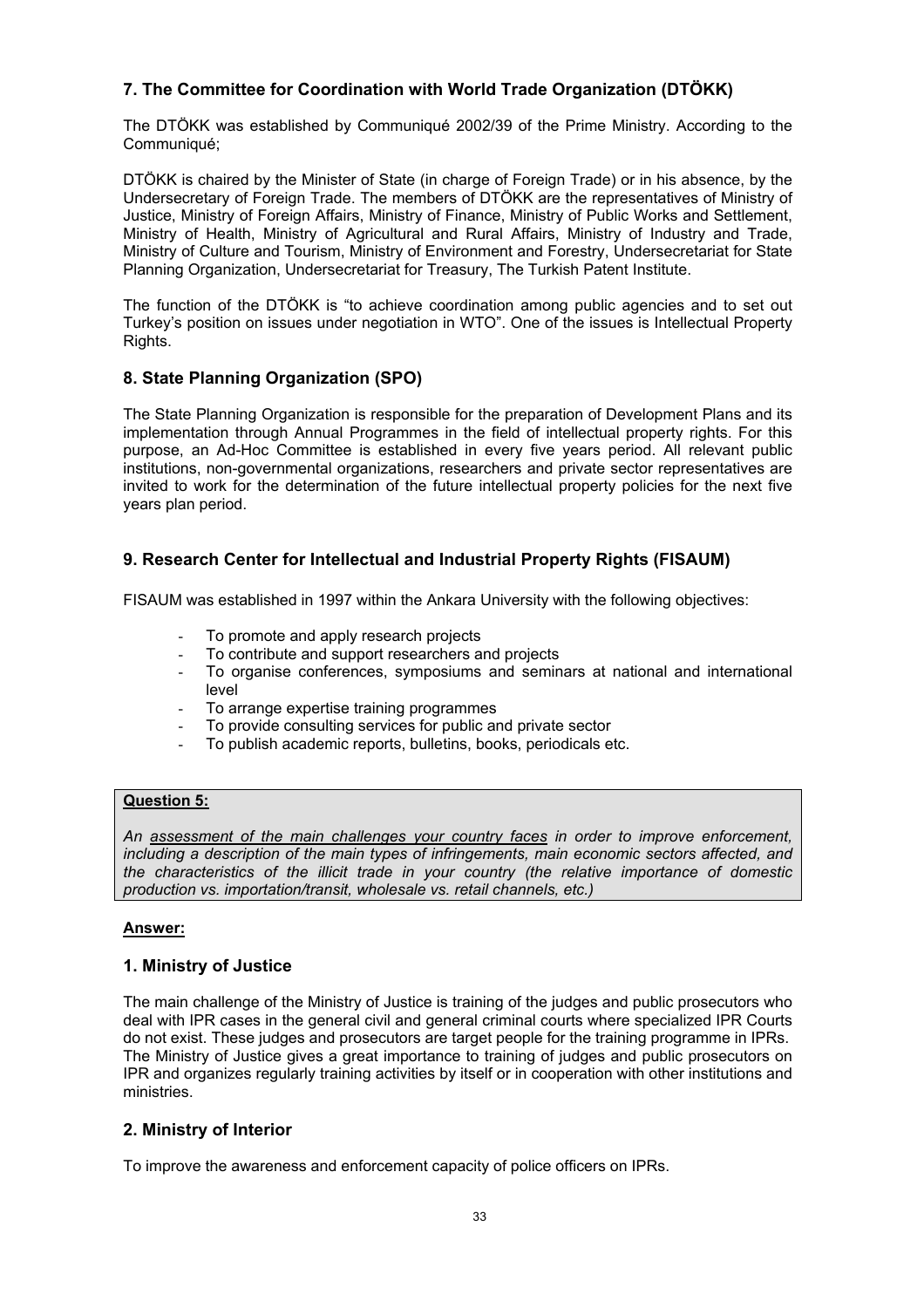# **7. The Committee for Coordination with World Trade Organization (DTÖKK)**

The DTÖKK was established by Communiqué 2002/39 of the Prime Ministry. According to the Communiqué;

DTÖKK is chaired by the Minister of State (in charge of Foreign Trade) or in his absence, by the Undersecretary of Foreign Trade. The members of DTÖKK are the representatives of Ministry of Justice, Ministry of Foreign Affairs, Ministry of Finance, Ministry of Public Works and Settlement, Ministry of Health, Ministry of Agricultural and Rural Affairs, Ministry of Industry and Trade, Ministry of Culture and Tourism, Ministry of Environment and Forestry, Undersecretariat for State Planning Organization, Undersecretariat for Treasury, The Turkish Patent Institute.

The function of the DTÖKK is "to achieve coordination among public agencies and to set out Turkey's position on issues under negotiation in WTO". One of the issues is Intellectual Property Rights.

# **8. State Planning Organization (SPO)**

The State Planning Organization is responsible for the preparation of Development Plans and its implementation through Annual Programmes in the field of intellectual property rights. For this purpose, an Ad-Hoc Committee is established in every five years period. All relevant public institutions, non-governmental organizations, researchers and private sector representatives are invited to work for the determination of the future intellectual property policies for the next five years plan period.

## **9. Research Center for Intellectual and Industrial Property Rights (FISAUM)**

FISAUM was established in 1997 within the Ankara University with the following objectives:

- To promote and apply research projects
- To contribute and support researchers and projects
- To organise conferences, symposiums and seminars at national and international level
- To arrange expertise training programmes
- To provide consulting services for public and private sector
- To publish academic reports, bulletins, books, periodicals etc.

## **Question 5:**

*An assessment of the main challenges your country faces in order to improve enforcement, including a description of the main types of infringements, main economic sectors affected, and the characteristics of the illicit trade in your country (the relative importance of domestic production vs. importation/transit, wholesale vs. retail channels, etc.)* 

## **Answer:**

## **1. Ministry of Justice**

The main challenge of the Ministry of Justice is training of the judges and public prosecutors who deal with IPR cases in the general civil and general criminal courts where specialized IPR Courts do not exist. These judges and prosecutors are target people for the training programme in IPRs. The Ministry of Justice gives a great importance to training of judges and public prosecutors on IPR and organizes regularly training activities by itself or in cooperation with other institutions and ministries.

## **2. Ministry of Interior**

To improve the awareness and enforcement capacity of police officers on IPRs.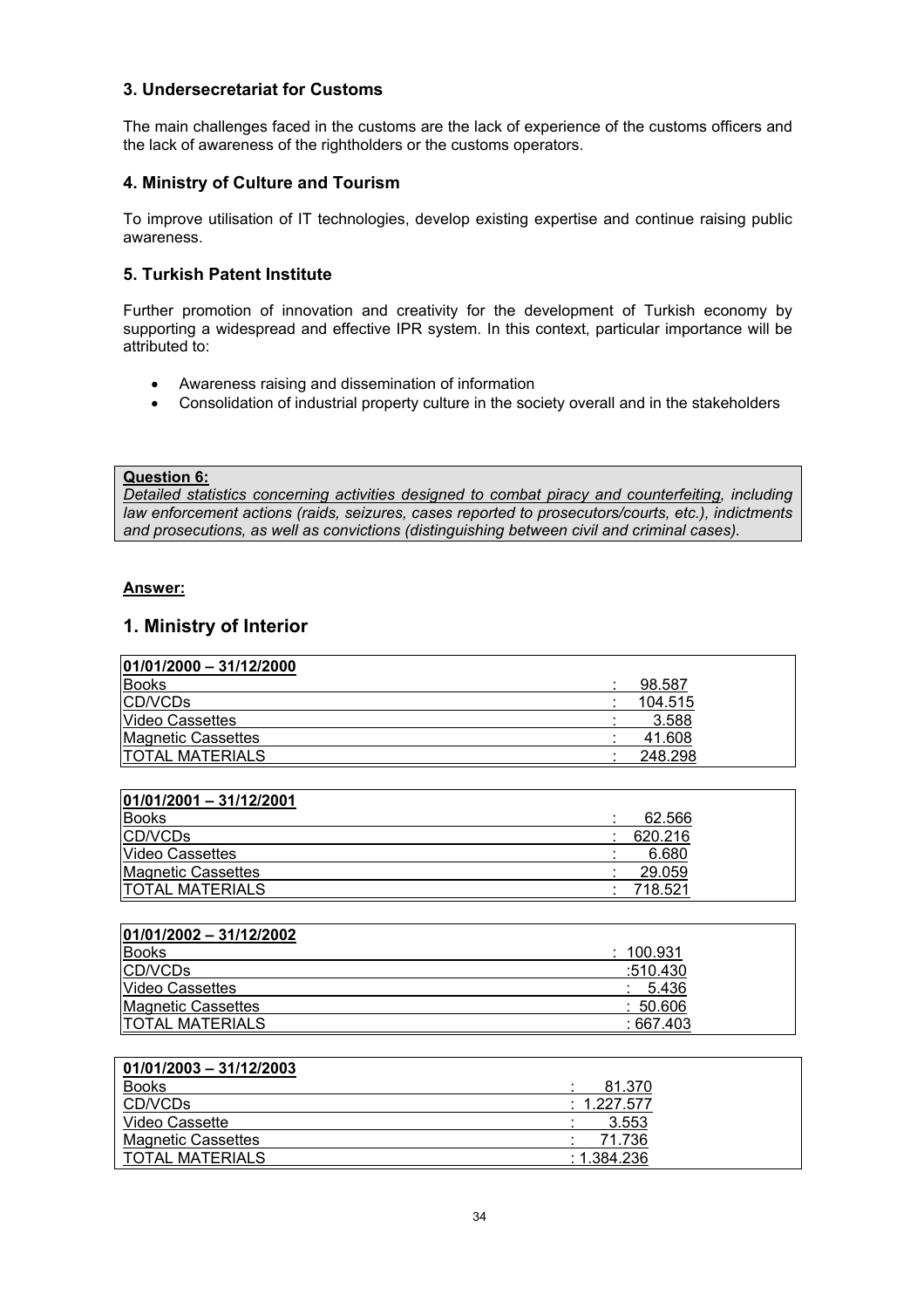## **3. Undersecretariat for Customs**

The main challenges faced in the customs are the lack of experience of the customs officers and the lack of awareness of the rightholders or the customs operators.

## **4. Ministry of Culture and Tourism**

To improve utilisation of IT technologies, develop existing expertise and continue raising public awareness.

## **5. Turkish Patent Institute**

Further promotion of innovation and creativity for the development of Turkish economy by supporting a widespread and effective IPR system. In this context, particular importance will be attributed to:

- Awareness raising and dissemination of information
- Consolidation of industrial property culture in the society overall and in the stakeholders

### **Question 6:**

*Detailed statistics concerning activities designed to combat piracy and counterfeiting, including law enforcement actions (raids, seizures, cases reported to prosecutors/courts, etc.), indictments and prosecutions, as well as convictions (distinguishing between civil and criminal cases).* 

## **Answer:**

## **1. Ministry of Interior**

| $ 01/01/2000 - 31/12/2000$ |         |
|----------------------------|---------|
| <b>Books</b>               | 98.587  |
| CD/VCDs                    | 104.515 |
| <b>Video Cassettes</b>     | 3.588   |
| <b>Magnetic Cassettes</b>  | 41.608  |
| <b>ITOTAL MATERIALS</b>    | 248.298 |

| <b>Books</b>              | 62.566  |
|---------------------------|---------|
| CD/VCDs                   | 620.216 |
| <b>Video Cassettes</b>    | 6.680   |
| <b>Magnetic Cassettes</b> | 29.059  |
| <b>TOTAL MATERIALS</b>    | 718.521 |

| $ 01/01/2002 - 31/12/2002 $ |           |
|-----------------------------|-----------|
| <b>Books</b>                | : 100.931 |
| <b>CD/VCDs</b>              | :510.430  |
| <b>Video Cassettes</b>      | : 5.436   |
| Magnetic Cassettes          | :50.606   |
| <b>TOTAL MATERIALS</b>      | : 667.403 |

## **01/01/2003 – 31/12/2003**

| <b>Books</b>              | 81.370      |
|---------------------------|-------------|
| CD/VCDs                   | : 1.227.577 |
| Video Cassette            | 3.553       |
| <b>Magnetic Cassettes</b> | 71.736      |
| <b>TOTAL MATERIALS</b>    | :1.384.236  |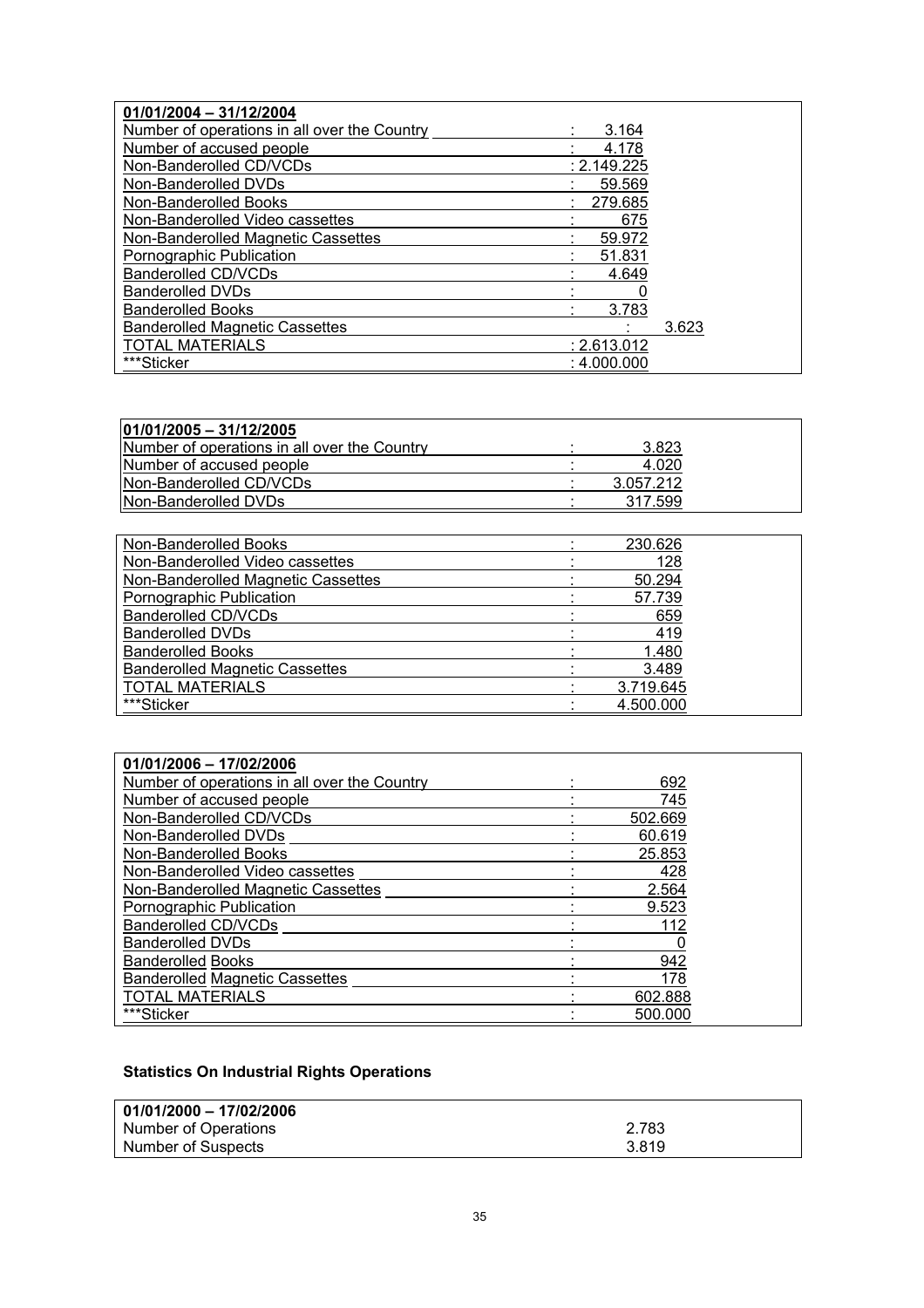| 01/01/2004 - 31/12/2004                      |             |  |
|----------------------------------------------|-------------|--|
| Number of operations in all over the Country | 3.164       |  |
| Number of accused people                     | 4.178       |  |
| Non-Banderolled CD/VCDs                      | : 2.149.225 |  |
| Non-Banderolled DVDs                         | 59.569      |  |
| Non-Banderolled Books                        | 279.685     |  |
| Non-Banderolled Video cassettes              | 675         |  |
| Non-Banderolled Magnetic Cassettes           | 59.972      |  |
| Pornographic Publication                     | 51.831      |  |
| Banderolled CD/VCDs                          | 4.649       |  |
| <b>Banderolled DVDs</b>                      |             |  |
| <b>Banderolled Books</b>                     | 3.783       |  |
| <b>Banderolled Magnetic Cassettes</b>        | 3.623       |  |
| TOTAL MATERIALS                              | : 2.613.012 |  |
| ***Sticker                                   | : 4.000.000 |  |

| $ 01/01/2005 - 31/12/2005 $                  |           |
|----------------------------------------------|-----------|
| Number of operations in all over the Country | 3.823     |
| Number of accused people                     | 4.020     |
| <b>INon-Banderolled CD/VCDs</b>              | 3.057.212 |
| <b>Non-Banderolled DVDs</b>                  | 317.599   |

| Non-Banderolled Books                 | 230.626   |
|---------------------------------------|-----------|
| Non-Banderolled Video cassettes       | 128       |
| Non-Banderolled Magnetic Cassettes    | 50.294    |
| Pornographic Publication              | 57.739    |
| Banderolled CD/VCDs                   | 659       |
| <b>Banderolled DVDs</b>               | 419       |
| <b>Banderolled Books</b>              | 1.480     |
| <b>Banderolled Magnetic Cassettes</b> | 3.489     |
| <b>TOTAL MATERIALS</b>                | 3.719.645 |
| ***Sticker                            | 4.500.000 |

| 01/01/2006 - 17/02/2006                      |         |
|----------------------------------------------|---------|
| Number of operations in all over the Country | 692     |
| Number of accused people                     | 745     |
| Non-Banderolled CD/VCDs                      | 502.669 |
| Non-Banderolled DVDs                         | 60.619  |
| Non-Banderolled Books                        | 25.853  |
| Non-Banderolled Video cassettes              | 428     |
| Non-Banderolled Magnetic Cassettes           | 2.564   |
| Pornographic Publication                     | 9.523   |
| <b>Banderolled CD/VCDs</b>                   | 112     |
| <b>Banderolled DVDs</b>                      |         |
| <b>Banderolled Books</b>                     | 942     |
| <b>Banderolled Magnetic Cassettes</b>        | 178     |
| <b>TOTAL MATERIALS</b>                       | 602.888 |
| ***Sticker                                   | 500.000 |

# **Statistics On Industrial Rights Operations**

| 01/01/2000 - 17/02/2006 |       |
|-------------------------|-------|
| Number of Operations    | 2.783 |
| Number of Suspects      | 3.819 |